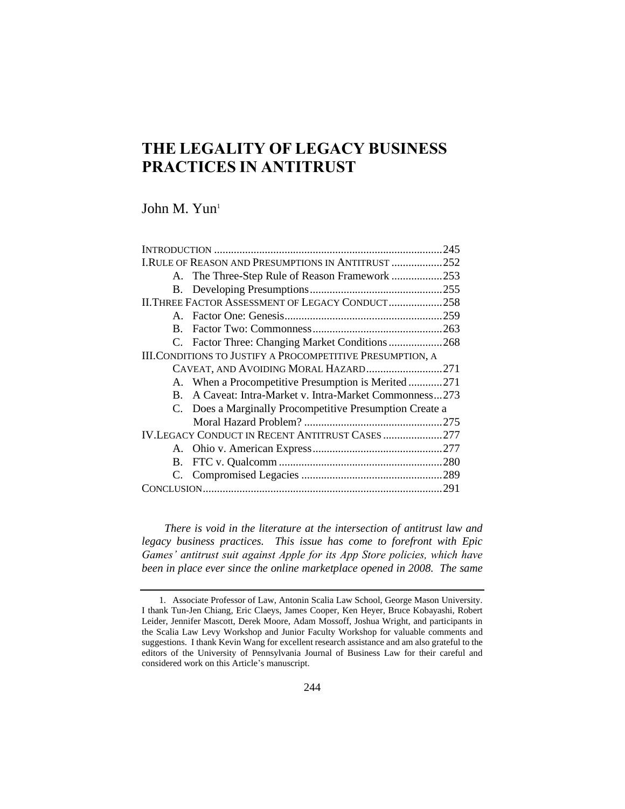## **THE LEGALITY OF LEGACY BUSINESS PRACTICES IN ANTITRUST**

John M. Yun<sup>1</sup>

|                                                            | I.RULE OF REASON AND PRESUMPTIONS IN ANTITRUST 252       |  |
|------------------------------------------------------------|----------------------------------------------------------|--|
|                                                            | A. The Three-Step Rule of Reason Framework 253           |  |
|                                                            |                                                          |  |
| II. THREE FACTOR ASSESSMENT OF LEGACY CONDUCT258           |                                                          |  |
|                                                            |                                                          |  |
| $\mathbf{B}$ .                                             |                                                          |  |
|                                                            | C. Factor Three: Changing Market Conditions268           |  |
| III. CONDITIONS TO JUSTIFY A PROCOMPETITIVE PRESUMPTION, A |                                                          |  |
| CAVEAT, AND AVOIDING MORAL HAZARD271                       |                                                          |  |
|                                                            | A. When a Procompetitive Presumption is Merited271       |  |
| $\mathbf{B}$ .                                             | A Caveat: Intra-Market v. Intra-Market Commonness273     |  |
|                                                            | C. Does a Marginally Procompetitive Presumption Create a |  |
|                                                            |                                                          |  |
| <b>IV.LEGACY CONDUCT IN RECENT ANTITRUST CASES 277</b>     |                                                          |  |
|                                                            |                                                          |  |
|                                                            |                                                          |  |
|                                                            |                                                          |  |
|                                                            |                                                          |  |

*There is void in the literature at the intersection of antitrust law and legacy business practices. This issue has come to forefront with Epic Games' antitrust suit against Apple for its App Store policies, which have been in place ever since the online marketplace opened in 2008. The same* 

<sup>1.</sup> Associate Professor of Law, Antonin Scalia Law School, George Mason University. I thank Tun-Jen Chiang, Eric Claeys, James Cooper, Ken Heyer, Bruce Kobayashi, Robert Leider, Jennifer Mascott, Derek Moore, Adam Mossoff, Joshua Wright, and participants in the Scalia Law Levy Workshop and Junior Faculty Workshop for valuable comments and suggestions. I thank Kevin Wang for excellent research assistance and am also grateful to the editors of the University of Pennsylvania Journal of Business Law for their careful and considered work on this Article's manuscript.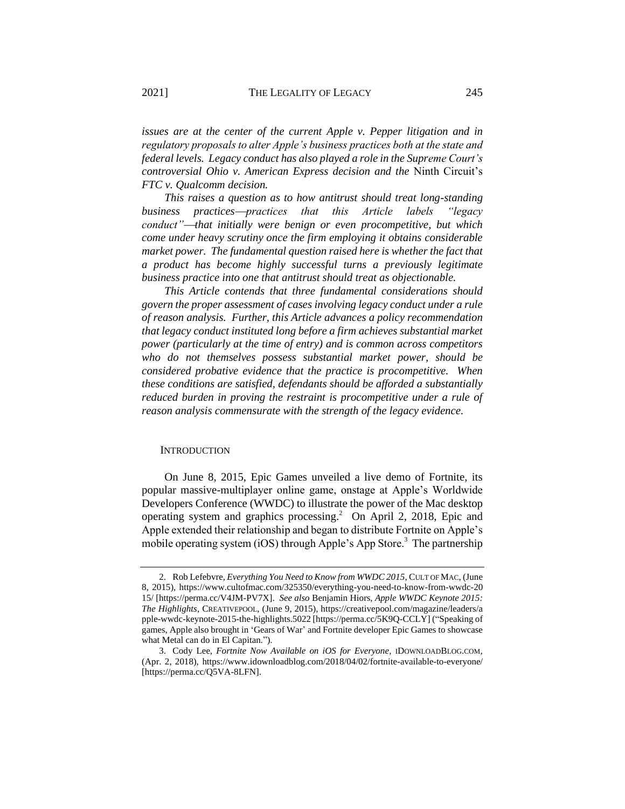*issues are at the center of the current Apple v. Pepper litigation and in regulatory proposals to alter Apple's business practices both at the state and federal levels. Legacy conduct has also played a role in the Supreme Court's controversial Ohio v. American Express decision and the* Ninth Circuit's *FTC v. Qualcomm decision.*

*This raises a question as to how antitrust should treat long-standing business practices*⎯*practices that this Article labels "legacy conduct"*—*that initially were benign or even procompetitive, but which come under heavy scrutiny once the firm employing it obtains considerable market power. The fundamental question raised here is whether the fact that a product has become highly successful turns a previously legitimate business practice into one that antitrust should treat as objectionable.*

*This Article contends that three fundamental considerations should govern the proper assessment of cases involving legacy conduct under a rule of reason analysis. Further, this Article advances a policy recommendation that legacy conduct instituted long before a firm achieves substantial market power (particularly at the time of entry) and is common across competitors who do not themselves possess substantial market power, should be considered probative evidence that the practice is procompetitive. When these conditions are satisfied, defendants should be afforded a substantially reduced burden in proving the restraint is procompetitive under a rule of reason analysis commensurate with the strength of the legacy evidence.*

### **INTRODUCTION**

On June 8, 2015, Epic Games unveiled a live demo of Fortnite, its popular massive-multiplayer online game, onstage at Apple's Worldwide Developers Conference (WWDC) to illustrate the power of the Mac desktop operating system and graphics processing.<sup>2</sup> On April 2, 2018, Epic and Apple extended their relationship and began to distribute Fortnite on Apple's mobile operating system (iOS) through Apple's App Store.<sup>3</sup> The partnership

<sup>2.</sup> Rob Lefebvre, *Everything You Need to Know from WWDC 2015*, CULT OF MAC, (June 8, 2015), https://www.cultofmac.com/325350/everything-you-need-to-know-from-wwdc-20 15/ [https://perma.cc/V4JM-PV7X]. *See also* Benjamin Hiors, *Apple WWDC Keynote 2015: The Highlights*, CREATIVEPOOL, (June 9, 2015), https://creativepool.com/magazine/leaders/a pple-wwdc-keynote-2015-the-highlights.5022 [https://perma.cc/5K9Q-CCLY] ("Speaking of games, Apple also brought in 'Gears of War' and Fortnite developer Epic Games to showcase what Metal can do in El Capitan.").

<sup>3.</sup> Cody Lee, *Fortnite Now Available on iOS for Everyone*, IDOWNLOADBLOG.COM, (Apr. 2, 2018), https://www.idownloadblog.com/2018/04/02/fortnite-available-to-everyone/ [https://perma.cc/Q5VA-8LFN].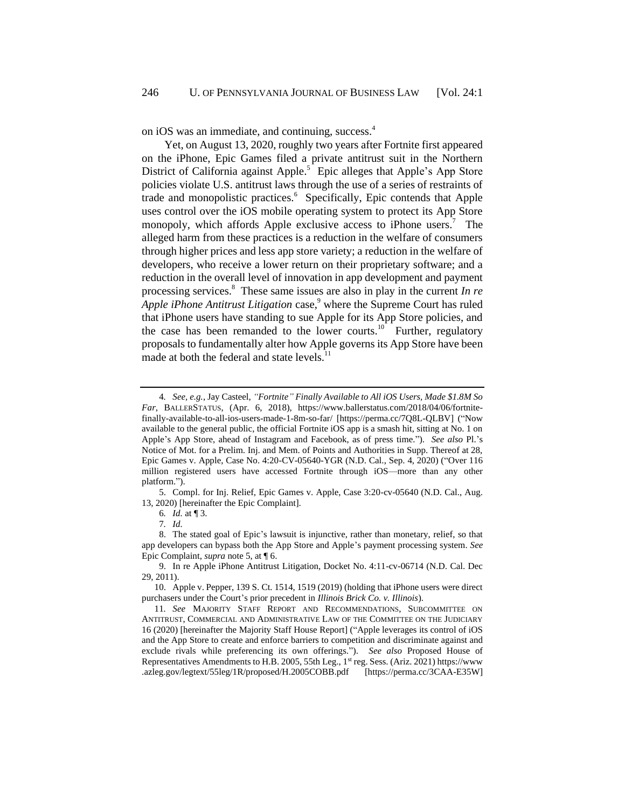on iOS was an immediate, and continuing, success.<sup>4</sup>

Yet, on August 13, 2020, roughly two years after Fortnite first appeared on the iPhone, Epic Games filed a private antitrust suit in the Northern District of California against Apple.<sup>5</sup> Epic alleges that Apple's App Store policies violate U.S. antitrust laws through the use of a series of restraints of trade and monopolistic practices.<sup>6</sup> Specifically, Epic contends that Apple uses control over the iOS mobile operating system to protect its App Store monopoly, which affords Apple exclusive access to iPhone users.<sup>7</sup> The alleged harm from these practices is a reduction in the welfare of consumers through higher prices and less app store variety; a reduction in the welfare of developers, who receive a lower return on their proprietary software; and a reduction in the overall level of innovation in app development and payment processing services.<sup>8</sup> These same issues are also in play in the current *In re Apple iPhone Antitrust Litigation* case,<sup>9</sup> where the Supreme Court has ruled that iPhone users have standing to sue Apple for its App Store policies, and the case has been remanded to the lower courts.<sup>10</sup> Further, regulatory proposals to fundamentally alter how Apple governs its App Store have been made at both the federal and state levels.<sup>11</sup>

5. Compl. for Inj. Relief, Epic Games v. Apple, Case 3:20-cv-05640 (N.D. Cal., Aug. 13, 2020) [hereinafter the Epic Complaint].

6*. Id.* at ¶ 3.

9. In re Apple iPhone Antitrust Litigation, Docket No. 4:11-cv-06714 (N.D. Cal. Dec 29, 2011).

10. Apple v. Pepper, 139 S. Ct. 1514, 1519 (2019) (holding that iPhone users were direct purchasers under the Court's prior precedent in *Illinois Brick Co. v. Illinois*).

11*. See* MAJORITY STAFF REPORT AND RECOMMENDATIONS, SUBCOMMITTEE ON ANTITRUST, COMMERCIAL AND ADMINISTRATIVE LAW OF THE COMMITTEE ON THE JUDICIARY 16 (2020) [hereinafter the Majority Staff House Report] ("Apple leverages its control of iOS and the App Store to create and enforce barriers to competition and discriminate against and exclude rivals while preferencing its own offerings."). *See also* Proposed House of Representatives Amendments to H.B. 2005, 55th Leg., 1<sup>st</sup> reg. Sess. (Ariz. 2021) https://www .azleg.gov/legtext/55leg/1R/proposed/H.2005COBB.pdf [https://perma.cc/3CAA-E35W]

<span id="page-2-0"></span><sup>4</sup>*. See, e.g.*, Jay Casteel, *"Fortnite" Finally Available to All iOS Users, Made \$1.8M So Far*, BALLERSTATUS, (Apr. 6, 2018), https://www.ballerstatus.com/2018/04/06/fortnitefinally-available-to-all-ios-users-made-1-8m-so-far/ [https://perma.cc/7Q8L-QLBV] ("Now available to the general public, the official Fortnite iOS app is a smash hit, sitting at No. 1 on Apple's App Store, ahead of Instagram and Facebook, as of press time."). *See also* Pl.'s Notice of Mot. for a Prelim. Inj. and Mem. of Points and Authorities in Supp. Thereof at 28, Epic Games v. Apple, Case No. 4:20-CV-05640-YGR (N.D. Cal., Sep. 4, 2020) ("Over 116 million registered users have accessed Fortnite through iOS—more than any other platform.").

<sup>7</sup>*. Id.*

<sup>8.</sup> The stated goal of Epic's lawsuit is injunctive, rather than monetary, relief, so that app developers can bypass both the App Store and Apple's payment processing system. *See* Epic Complaint, *supra* note 5, at ¶ 6.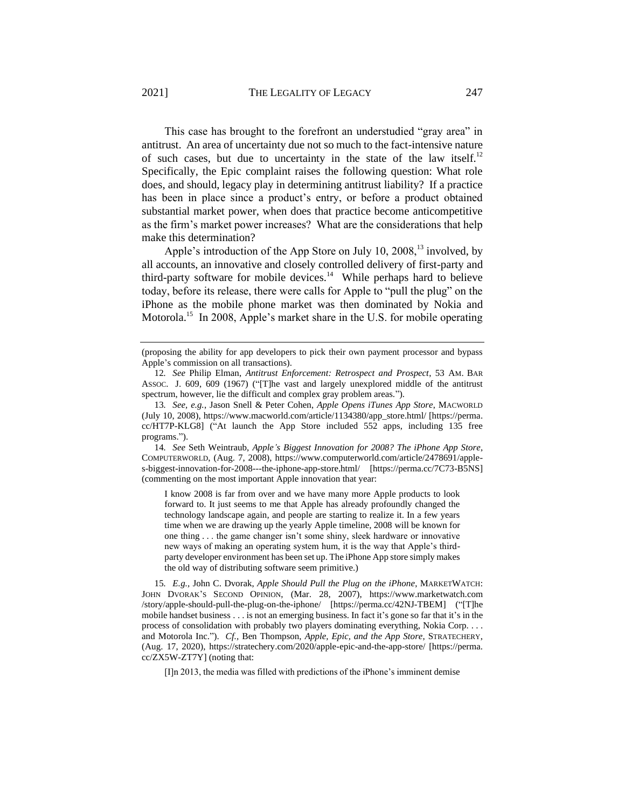This case has brought to the forefront an understudied "gray area" in antitrust. An area of uncertainty due not so much to the fact-intensive nature of such cases, but due to uncertainty in the state of the law itself.<sup>12</sup> Specifically, the Epic complaint raises the following question: What role does, and should, legacy play in determining antitrust liability? If a practice has been in place since a product's entry, or before a product obtained substantial market power, when does that practice become anticompetitive as the firm's market power increases? What are the considerations that help make this determination?

Apple's introduction of the App Store on July 10, 2008,<sup>13</sup> involved, by all accounts, an innovative and closely controlled delivery of first-party and third-party software for mobile devices. $14$  While perhaps hard to believe today, before its release, there were calls for Apple to "pull the plug" on the iPhone as the mobile phone market was then dominated by Nokia and Motorola.<sup>15</sup> In 2008, Apple's market share in the U.S. for mobile operating

14*. See* Seth Weintraub, *Apple's Biggest Innovation for 2008? The iPhone App Store*, COMPUTERWORLD, (Aug. 7, 2008), https://www.computerworld.com/article/2478691/apples-biggest-innovation-for-2008---the-iphone-app-store.html/ [https://perma.cc/7C73-B5NS] (commenting on the most important Apple innovation that year:

I know 2008 is far from over and we have many more Apple products to look forward to. It just seems to me that Apple has already profoundly changed the technology landscape again, and people are starting to realize it. In a few years time when we are drawing up the yearly Apple timeline, 2008 will be known for one thing . . . the game changer isn't some shiny, sleek hardware or innovative new ways of making an operating system hum, it is the way that Apple's thirdparty developer environment has been set up. The iPhone App store simply makes the old way of distributing software seem primitive.)

15*. E.g.,* John C. Dvorak, *Apple Should Pull the Plug on the iPhone*, MARKETWATCH: JOHN DVORAK'S SECOND OPINION, (Mar. 28, 2007), https://www.marketwatch.com /story/apple-should-pull-the-plug-on-the-iphone/ [https://perma.cc/42NJ-TBEM] ("[T]he mobile handset business . . . is not an emerging business. In fact it's gone so far that it's in the process of consolidation with probably two players dominating everything, Nokia Corp. . . . and Motorola Inc."). *Cf.,* Ben Thompson, *Apple, Epic, and the App Store*, STRATECHERY, (Aug. 17, 2020), https://stratechery.com/2020/apple-epic-and-the-app-store/ [https://perma. cc/ZX5W-ZT7Y] (noting that:

[I]n 2013, the media was filled with predictions of the iPhone's imminent demise

<span id="page-3-0"></span><sup>(</sup>proposing the ability for app developers to pick their own payment processor and bypass Apple's commission on all transactions).

<sup>12</sup>*. See* Philip Elman, *Antitrust Enforcement: Retrospect and Prospect*, 53 AM. BAR ASSOC. J. 609, 609 (1967) ("[T]he vast and largely unexplored middle of the antitrust spectrum, however, lie the difficult and complex gray problem areas.").

<sup>13</sup>*. See, e.g.*, Jason Snell & Peter Cohen, *Apple Opens iTunes App Store*, MACWORLD (July 10, 2008), https://www.macworld.com/article/1134380/app\_store.html/ [https://perma. cc/HT7P-KLG8] ("At launch the App Store included 552 apps, including 135 free programs.").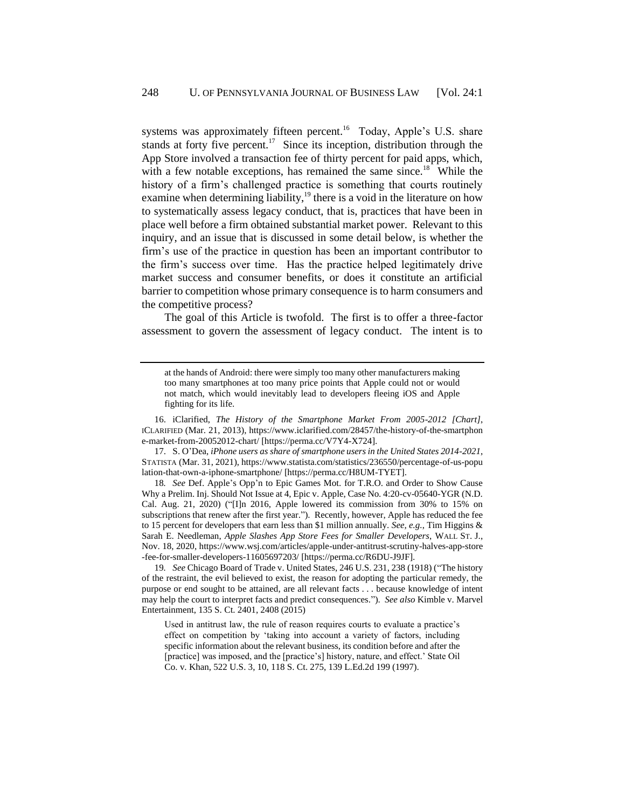<span id="page-4-0"></span>systems was approximately fifteen percent.<sup>16</sup> Today, Apple's U.S. share stands at forty five percent.<sup>17</sup> Since its inception, distribution through the App Store involved a transaction fee of thirty percent for paid apps, which, with a few notable exceptions, has remained the same since.<sup>18</sup> While the history of a firm's challenged practice is something that courts routinely examine when determining liability, $19$  there is a void in the literature on how to systematically assess legacy conduct, that is, practices that have been in place well before a firm obtained substantial market power. Relevant to this inquiry, and an issue that is discussed in some detail below, is whether the firm's use of the practice in question has been an important contributor to the firm's success over time. Has the practice helped legitimately drive market success and consumer benefits, or does it constitute an artificial barrier to competition whose primary consequence is to harm consumers and the competitive process?

The goal of this Article is twofold. The first is to offer a three-factor assessment to govern the assessment of legacy conduct. The intent is to

at the hands of Android: there were simply too many other manufacturers making too many smartphones at too many price points that Apple could not or would not match, which would inevitably lead to developers fleeing iOS and Apple fighting for its life.

16. iClarified, *The History of the Smartphone Market From 2005-2012 [Chart]*, ICLARIFIED (Mar. 21, 2013), https://www.iclarified.com/28457/the-history-of-the-smartphon e-market-from-20052012-chart/ [https://perma.cc/V7Y4-X724].

17. S. O'Dea, *iPhone users as share of smartphone users in the United States 2014-2021*, STATISTA (Mar. 31, 2021), https://www.statista.com/statistics/236550/percentage-of-us-popu lation-that-own-a-iphone-smartphone/ [https://perma.cc/H8UM-TYET].

18*. See* Def. Apple's Opp'n to Epic Games Mot. for T.R.O. and Order to Show Cause Why a Prelim. Inj. Should Not Issue at 4, Epic v. Apple, Case No. 4:20-cv-05640-YGR (N.D. Cal. Aug. 21, 2020) (" $\Pi$ ]n 2016, Apple lowered its commission from 30% to 15% on subscriptions that renew after the first year."). Recently, however, Apple has reduced the fee to 15 percent for developers that earn less than \$1 million annually. *See, e.g.*, Tim Higgins & Sarah E. Needleman, *Apple Slashes App Store Fees for Smaller Developers*, WALL ST. J., Nov. 18, 2020, https://www.wsj.com/articles/apple-under-antitrust-scrutiny-halves-app-store -fee-for-smaller-developers-11605697203/ [https://perma.cc/R6DU-J9JF].

19*. See* Chicago Board of Trade v. United States, 246 U.S. 231, 238 (1918) ("The history of the restraint, the evil believed to exist, the reason for adopting the particular remedy, the purpose or end sought to be attained, are all relevant facts . . . because knowledge of intent may help the court to interpret facts and predict consequences."). *See also* Kimble v. Marvel Entertainment, 135 S. Ct. 2401, 2408 (2015)

Used in antitrust law, the rule of reason requires courts to evaluate a practice's effect on competition by 'taking into account a variety of factors, including specific information about the relevant business, its condition before and after the [practice] was imposed, and the [practice's] history, nature, and effect.' State Oil Co. v. Khan, 522 U.S. 3, 10, 118 S. Ct. 275, 139 L.Ed.2d 199 (1997).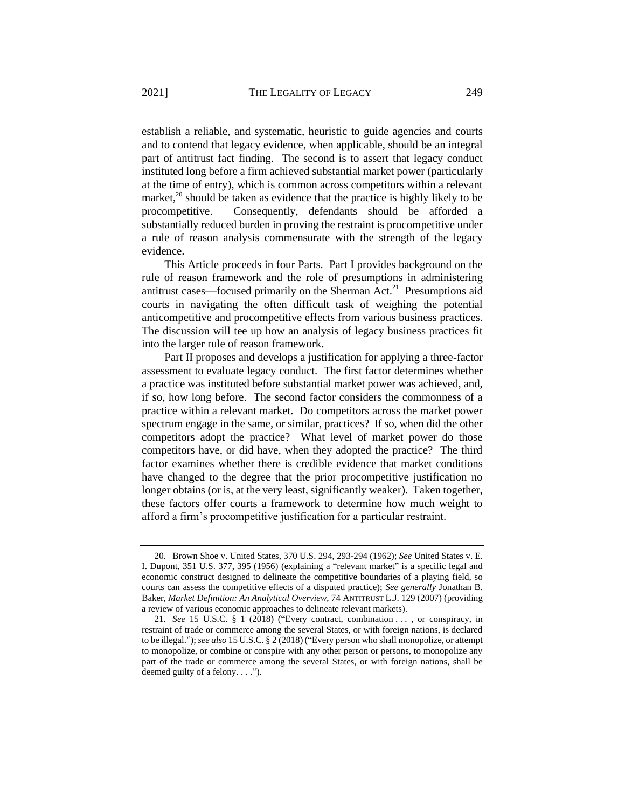establish a reliable, and systematic, heuristic to guide agencies and courts and to contend that legacy evidence, when applicable, should be an integral part of antitrust fact finding. The second is to assert that legacy conduct instituted long before a firm achieved substantial market power (particularly at the time of entry), which is common across competitors within a relevant market,<sup>20</sup> should be taken as evidence that the practice is highly likely to be procompetitive. Consequently, defendants should be afforded a substantially reduced burden in proving the restraint is procompetitive under a rule of reason analysis commensurate with the strength of the legacy evidence.

This Article proceeds in four Parts. Part I provides background on the rule of reason framework and the role of presumptions in administering antitrust cases—focused primarily on the Sherman Act.<sup>21</sup> Presumptions aid courts in navigating the often difficult task of weighing the potential anticompetitive and procompetitive effects from various business practices. The discussion will tee up how an analysis of legacy business practices fit into the larger rule of reason framework.

Part II proposes and develops a justification for applying a three-factor assessment to evaluate legacy conduct. The first factor determines whether a practice was instituted before substantial market power was achieved, and, if so, how long before. The second factor considers the commonness of a practice within a relevant market. Do competitors across the market power spectrum engage in the same, or similar, practices? If so, when did the other competitors adopt the practice? What level of market power do those competitors have, or did have, when they adopted the practice? The third factor examines whether there is credible evidence that market conditions have changed to the degree that the prior procompetitive justification no longer obtains (or is, at the very least, significantly weaker). Taken together, these factors offer courts a framework to determine how much weight to afford a firm's procompetitive justification for a particular restraint.

<sup>20.</sup> Brown Shoe v. United States, 370 U.S. 294, 293-294 (1962); *See* United States v. E. I. Dupont, 351 U.S. 377, 395 (1956) (explaining a "relevant market" is a specific legal and economic construct designed to delineate the competitive boundaries of a playing field, so courts can assess the competitive effects of a disputed practice); *See generally* Jonathan B. Baker, *Market Definition: An Analytical Overview*, 74 ANTITRUST L.J. 129 (2007) (providing a review of various economic approaches to delineate relevant markets).

<sup>21</sup>*. See* 15 U.S.C. § 1 (2018) ("Every contract, combination . . . , or conspiracy, in restraint of trade or commerce among the several States, or with foreign nations, is declared to be illegal."); *see also* 15 U.S.C. § 2 (2018) ("Every person who shall monopolize, or attempt to monopolize, or combine or conspire with any other person or persons, to monopolize any part of the trade or commerce among the several States, or with foreign nations, shall be deemed guilty of a felony. . . .").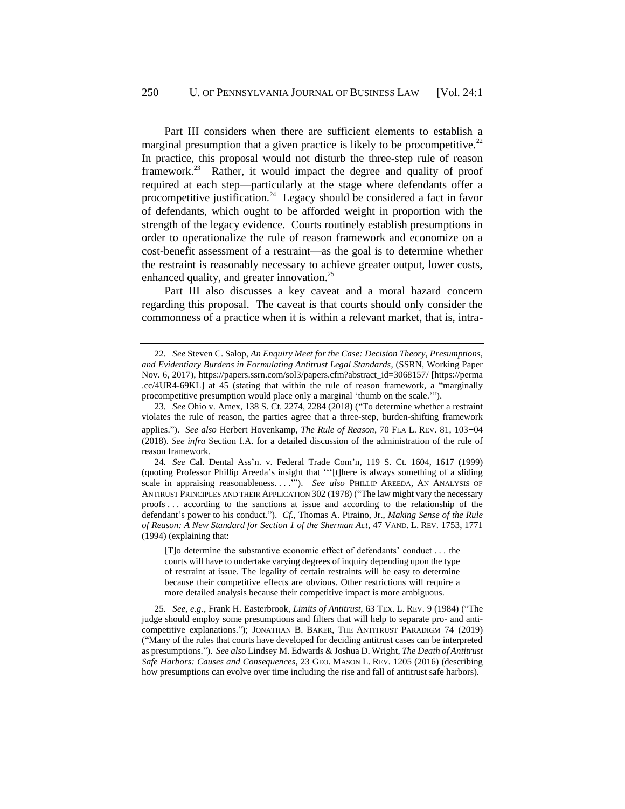<span id="page-6-3"></span><span id="page-6-1"></span><span id="page-6-0"></span>Part III considers when there are sufficient elements to establish a marginal presumption that a given practice is likely to be procompetitive.<sup>22</sup> In practice, this proposal would not disturb the three-step rule of reason framework.<sup>23</sup> Rather, it would impact the degree and quality of proof required at each step—particularly at the stage where defendants offer a procompetitive justification.<sup>24</sup> Legacy should be considered a fact in favor of defendants, which ought to be afforded weight in proportion with the strength of the legacy evidence. Courts routinely establish presumptions in order to operationalize the rule of reason framework and economize on a cost-benefit assessment of a restraint—as the goal is to determine whether the restraint is reasonably necessary to achieve greater output, lower costs, enhanced quality, and greater innovation.<sup>25</sup>

<span id="page-6-2"></span>Part III also discusses a key caveat and a moral hazard concern regarding this proposal. The caveat is that courts should only consider the commonness of a practice when it is within a relevant market, that is, intra-

<sup>22</sup>*. See* Steven C. Salop, *An Enquiry Meet for the Case: Decision Theory, Presumptions, and Evidentiary Burdens in Formulating Antitrust Legal Standards*, (SSRN, Working Paper Nov. 6, 2017), https://papers.ssrn.com/sol3/papers.cfm?abstract\_id=3068157/ [https://perma .cc/4UR4-69KL] at 45 (stating that within the rule of reason framework, a "marginally procompetitive presumption would place only a marginal 'thumb on the scale.'").

<sup>23</sup>*. See* Ohio v. Amex, 138 S. Ct. 2274, 2284 (2018) ("To determine whether a restraint violates the rule of reason, the parties agree that a three-step, burden-shifting framework applies."). *See also* Herbert Hovenkamp, *The Rule of Reason*, 70 FLA L. REV. 81, 103–04 (2018). *See infra* Section [I.A.](#page-9-0) for a detailed discussion of the administration of the rule of reason framework.

<sup>24</sup>*. See* Cal. Dental Ass'n. v. Federal Trade Com'n, 119 S. Ct. 1604, 1617 (1999) (quoting Professor Phillip Areeda's insight that '''[t]here is always something of a sliding scale in appraising reasonableness. . . .'"). *See also* PHILLIP AREEDA, AN ANALYSIS OF ANTIRUST PRINCIPLES AND THEIR APPLICATION 302 (1978) ("The law might vary the necessary proofs . . . according to the sanctions at issue and according to the relationship of the defendant's power to his conduct."). *Cf.,* Thomas A. Piraino, Jr., *Making Sense of the Rule of Reason: A New Standard for Section 1 of the Sherman Act*, 47 VAND. L. REV. 1753, 1771 (1994) (explaining that:

<sup>[</sup>T]o determine the substantive economic effect of defendants' conduct . . . the courts will have to undertake varying degrees of inquiry depending upon the type of restraint at issue. The legality of certain restraints will be easy to determine because their competitive effects are obvious. Other restrictions will require a more detailed analysis because their competitive impact is more ambiguous.

<sup>25</sup>*. See, e.g.*, Frank H. Easterbrook, *Limits of Antitrust*, 63 TEX. L. REV. 9 (1984) ("The judge should employ some presumptions and filters that will help to separate pro- and anticompetitive explanations."); JONATHAN B. BAKER, THE ANTITRUST PARADIGM 74 (2019) ("Many of the rules that courts have developed for deciding antitrust cases can be interpreted as presumptions."). *See als*o Lindsey M. Edwards & Joshua D. Wright, *The Death of Antitrust Safe Harbors: Causes and Consequences*, 23 GEO. MASON L. REV. 1205 (2016) (describing how presumptions can evolve over time including the rise and fall of antitrust safe harbors).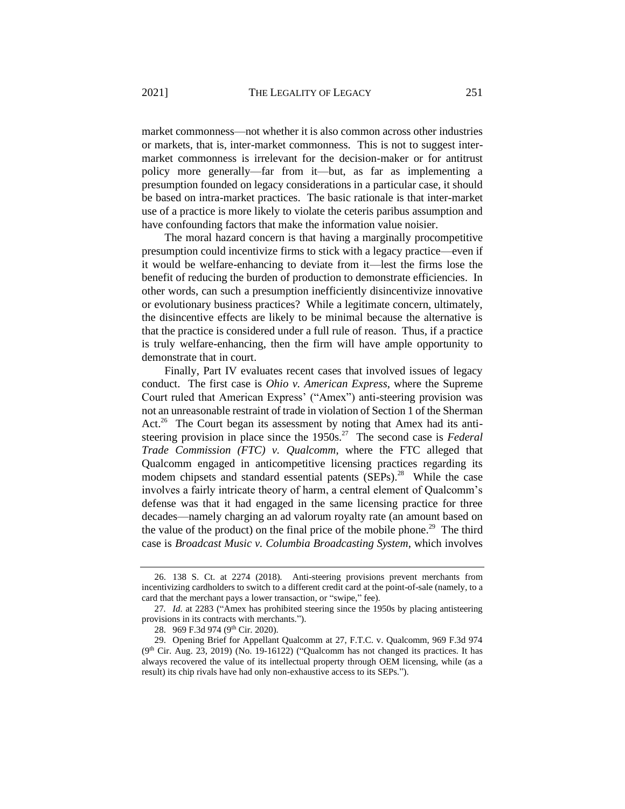market commonness—not whether it is also common across other industries or markets, that is, inter-market commonness. This is not to suggest intermarket commonness is irrelevant for the decision-maker or for antitrust policy more generally—far from it—but, as far as implementing a presumption founded on legacy considerations in a particular case, it should be based on intra-market practices. The basic rationale is that inter-market use of a practice is more likely to violate the ceteris paribus assumption and have confounding factors that make the information value noisier.

The moral hazard concern is that having a marginally procompetitive presumption could incentivize firms to stick with a legacy practice—even if it would be welfare-enhancing to deviate from it—lest the firms lose the benefit of reducing the burden of production to demonstrate efficiencies. In other words, can such a presumption inefficiently disincentivize innovative or evolutionary business practices? While a legitimate concern, ultimately, the disincentive effects are likely to be minimal because the alternative is that the practice is considered under a full rule of reason. Thus, if a practice is truly welfare-enhancing, then the firm will have ample opportunity to demonstrate that in court.

Finally, Part IV evaluates recent cases that involved issues of legacy conduct. The first case is *Ohio v. American Express*, where the Supreme Court ruled that American Express' ("Amex") anti-steering provision was not an unreasonable restraint of trade in violation of Section 1 of the Sherman Act.<sup>26</sup> The Court began its assessment by noting that Amex had its antisteering provision in place since the 1950s.<sup>27</sup> The second case is *Federal Trade Commission (FTC) v. Qualcomm*, where the FTC alleged that Qualcomm engaged in anticompetitive licensing practices regarding its modem chipsets and standard essential patents (SEPs).<sup>28</sup> While the case involves a fairly intricate theory of harm, a central element of Qualcomm's defense was that it had engaged in the same licensing practice for three decades—namely charging an ad valorum royalty rate (an amount based on the value of the product) on the final price of the mobile phone.<sup>29</sup> The third case is *Broadcast Music v. Columbia Broadcasting System*, which involves

<sup>26.</sup> 138 S. Ct. at 2274 (2018). Anti-steering provisions prevent merchants from incentivizing cardholders to switch to a different credit card at the point-of-sale (namely, to a card that the merchant pays a lower transaction, or "swipe," fee).

<sup>27</sup>*. Id.* at 2283 ("Amex has prohibited steering since the 1950s by placing antisteering provisions in its contracts with merchants.").

<sup>28.</sup> 969 F.3d 974 (9th Cir. 2020).

<sup>29.</sup> Opening Brief for Appellant Qualcomm at 27, F.T.C. v. Qualcomm, 969 F.3d 974  $(9<sup>th</sup> Cir. Aug. 23, 2019)$  (No. 19-16122) ("Qualcomm has not changed its practices. It has always recovered the value of its intellectual property through OEM licensing, while (as a result) its chip rivals have had only non-exhaustive access to its SEPs.").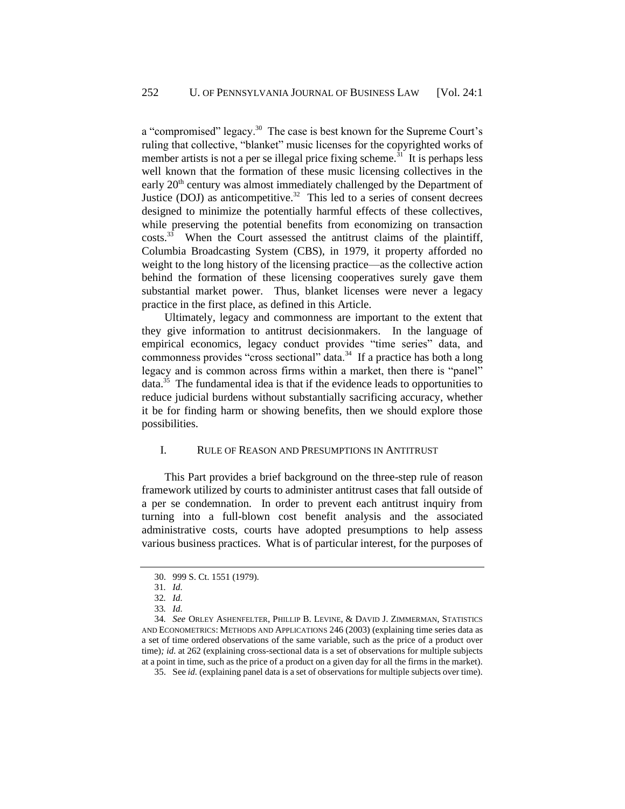a "compromised" legacy.<sup>30</sup> The case is best known for the Supreme Court's ruling that collective, "blanket" music licenses for the copyrighted works of member artists is not a per se illegal price fixing scheme.<sup>31</sup> It is perhaps less well known that the formation of these music licensing collectives in the early 20<sup>th</sup> century was almost immediately challenged by the Department of Justice (DOJ) as anticompetitive.<sup>32</sup> This led to a series of consent decrees designed to minimize the potentially harmful effects of these collectives, while preserving the potential benefits from economizing on transaction costs.<sup>33</sup> When the Court assessed the antitrust claims of the plaintiff, Columbia Broadcasting System (CBS), in 1979, it property afforded no weight to the long history of the licensing practice—as the collective action behind the formation of these licensing cooperatives surely gave them substantial market power. Thus, blanket licenses were never a legacy practice in the first place, as defined in this Article.

Ultimately, legacy and commonness are important to the extent that they give information to antitrust decisionmakers. In the language of empirical economics, legacy conduct provides "time series" data, and commonness provides "cross sectional" data. $34$  If a practice has both a long legacy and is common across firms within a market, then there is "panel" data.<sup>35</sup> The fundamental idea is that if the evidence leads to opportunities to reduce judicial burdens without substantially sacrificing accuracy, whether it be for finding harm or showing benefits, then we should explore those possibilities.

### I. RULE OF REASON AND PRESUMPTIONS IN ANTITRUST

This Part provides a brief background on the three-step rule of reason framework utilized by courts to administer antitrust cases that fall outside of a per se condemnation. In order to prevent each antitrust inquiry from turning into a full-blown cost benefit analysis and the associated administrative costs, courts have adopted presumptions to help assess various business practices. What is of particular interest, for the purposes of

<sup>30.</sup> 999 S. Ct. 1551 (1979).

<sup>31</sup>*. Id.*

<sup>32</sup>*. Id.*

<sup>33</sup>*. Id.*

<sup>34</sup>*. See* ORLEY ASHENFELTER, PHILLIP B. LEVINE, & DAVID J. ZIMMERMAN, STATISTICS AND ECONOMETRICS: METHODS AND APPLICATIONS 246 (2003) (explaining time series data as a set of time ordered observations of the same variable, such as the price of a product over time)*; id.* at 262 (explaining cross-sectional data is a set of observations for multiple subjects at a point in time, such as the price of a product on a given day for all the firms in the market).

<sup>35.</sup> See *id.* (explaining panel data is a set of observations for multiple subjects over time).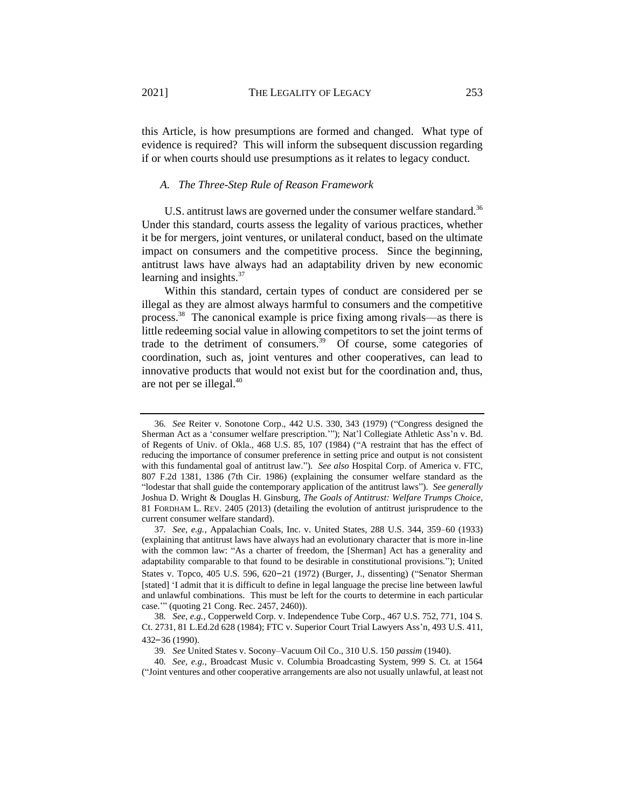this Article, is how presumptions are formed and changed. What type of evidence is required? This will inform the subsequent discussion regarding if or when courts should use presumptions as it relates to legacy conduct.

### <span id="page-9-0"></span>*A. The Three-Step Rule of Reason Framework*

U.S. antitrust laws are governed under the consumer welfare standard.<sup>36</sup> Under this standard, courts assess the legality of various practices, whether it be for mergers, joint ventures, or unilateral conduct, based on the ultimate impact on consumers and the competitive process. Since the beginning, antitrust laws have always had an adaptability driven by new economic learning and insights. $37$ 

Within this standard, certain types of conduct are considered per se illegal as they are almost always harmful to consumers and the competitive process.<sup>38</sup> The canonical example is price fixing among rivals—as there is little redeeming social value in allowing competitors to set the joint terms of trade to the detriment of consumers.<sup>39</sup> Of course, some categories of coordination, such as, joint ventures and other cooperatives, can lead to innovative products that would not exist but for the coordination and, thus, are not per se illegal. $40$ 

<sup>36</sup>*. See* Reiter v. Sonotone Corp., 442 U.S. 330, 343 (1979) ("Congress designed the Sherman Act as a 'consumer welfare prescription.'"); Nat'l Collegiate Athletic Ass'n v. Bd. of Regents of Univ. of Okla., 468 U.S. 85, 107 (1984) ("A restraint that has the effect of reducing the importance of consumer preference in setting price and output is not consistent with this fundamental goal of antitrust law."). *See also* Hospital Corp. of America v. FTC, 807 F.2d 1381, 1386 (7th Cir. 1986) (explaining the consumer welfare standard as the "lodestar that shall guide the contemporary application of the antitrust laws"). *See generally* Joshua D. Wright & Douglas H. Ginsburg, *The Goals of Antitrust: Welfare Trumps Choice*, 81 FORDHAM L. REV. 2405 (2013) (detailing the evolution of antitrust jurisprudence to the current consumer welfare standard).

<sup>37</sup>*. See, e.g.*, Appalachian Coals, Inc. v. United States, 288 U.S. 344, 359–60 (1933) (explaining that antitrust laws have always had an evolutionary character that is more in-line with the common law: "As a charter of freedom, the [Sherman] Act has a generality and adaptability comparable to that found to be desirable in constitutional provisions."); United States v. Topco, 405 U.S. 596, 620–21 (1972) (Burger, J., dissenting) ("Senator Sherman [stated] 'I admit that it is difficult to define in legal language the precise line between lawful and unlawful combinations. This must be left for the courts to determine in each particular case.'" (quoting 21 Cong. Rec. 2457, 2460)).

<sup>38</sup>*. See, e.g.*, Copperweld Corp. v. Independence Tube Corp., 467 U.S. 752, 771, 104 S. Ct. 2731, 81 L.Ed.2d 628 (1984); FTC v. Superior Court Trial Lawyers Ass'n, 493 U.S. 411, 432–36 (1990).

<sup>39</sup>*. See* United States v. Socony–Vacuum Oil Co., 310 U.S. 150 *passim* (1940).

<sup>40</sup>*. See, e.g.*, Broadcast Music v. Columbia Broadcasting System, 999 S. Ct. at 1564 ("Joint ventures and other cooperative arrangements are also not usually unlawful, at least not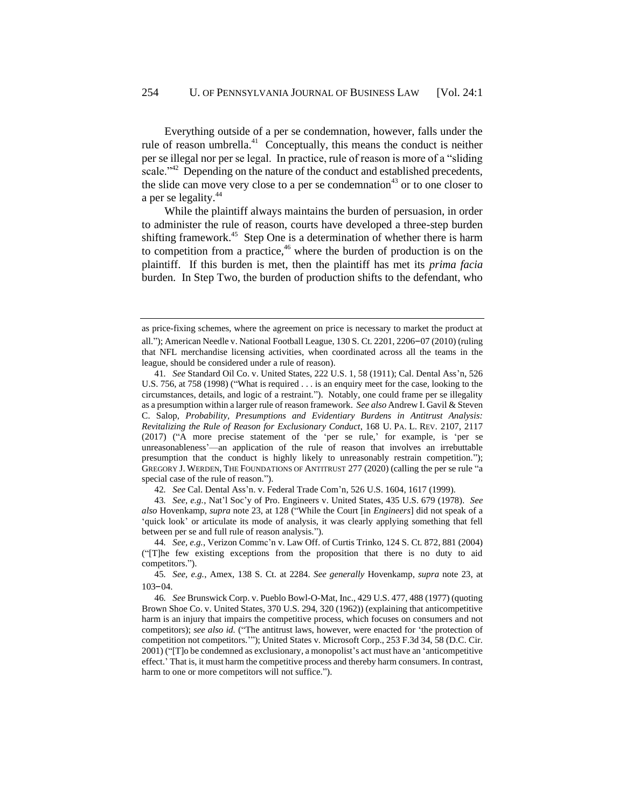<span id="page-10-0"></span>Everything outside of a per se condemnation, however, falls under the rule of reason umbrella. $41$  Conceptually, this means the conduct is neither per se illegal nor per se legal. In practice, rule of reason is more of a "sliding scale."<sup>42</sup> Depending on the nature of the conduct and established precedents, the slide can move very close to a per se condemnation<sup>43</sup> or to one closer to a per se legality.<sup>44</sup>

While the plaintiff always maintains the burden of persuasion, in order to administer the rule of reason, courts have developed a three-step burden shifting framework.<sup>45</sup> Step One is a determination of whether there is harm to competition from a practice,<sup>46</sup> where the burden of production is on the plaintiff. If this burden is met, then the plaintiff has met its *prima facia* burden. In Step Two, the burden of production shifts to the defendant, who

as price-fixing schemes, where the agreement on price is necessary to market the product at all."); American Needle v. National Football League, 130 S. Ct. 2201, 2206–07 (2010) (ruling that NFL merchandise licensing activities, when coordinated across all the teams in the league, should be considered under a rule of reason).

<sup>41</sup>*. See* Standard Oil Co. v. United States, 222 U.S. 1, 58 (1911); Cal. Dental Ass'n, 526 U.S. 756, at 758 (1998) ("What is required . . . is an enquiry meet for the case, looking to the circumstances, details, and logic of a restraint."). Notably, one could frame per se illegality as a presumption within a larger rule of reason framework. *See also* Andrew I. Gavil & Steven C. Salop, *Probability, Presumptions and Evidentiary Burdens in Antitrust Analysis: Revitalizing the Rule of Reason for Exclusionary Conduct*, 168 U. PA. L. REV. 2107, 2117 (2017) ("A more precise statement of the 'per se rule,' for example, is 'per se unreasonableness'—an application of the rule of reason that involves an irrebuttable presumption that the conduct is highly likely to unreasonably restrain competition."); GREGORY J. WERDEN, THE FOUNDATIONS OF ANTITRUST 277 (2020) (calling the per se rule "a special case of the rule of reason.").

<sup>42</sup>*. See* Cal. Dental Ass'n. v. Federal Trade Com'n, 526 U.S. 1604, 1617 (1999).

<sup>43</sup>*. See, e.g.*, Nat'l Soc'y of Pro. Engineers v. United States, 435 U.S. 679 (1978). *See also* Hovenkamp, *supra* note [23,](#page-6-0) at 128 ("While the Court [in *Engineers*] did not speak of a 'quick look' or articulate its mode of analysis, it was clearly applying something that fell between per se and full rule of reason analysis.").

<sup>44</sup>*. See, e.g.*, Verizon Commc'n v. Law Off. of Curtis Trinko, 124 S. Ct. 872, 881 (2004) ("[T]he few existing exceptions from the proposition that there is no duty to aid competitors.").

<sup>45</sup>*. See, e.g.*, Amex, 138 S. Ct. at 2284. *See generally* Hovenkamp, *supra* note [23,](#page-6-0) at 103–04.

<sup>46</sup>*. See* Brunswick Corp. v. Pueblo Bowl-O-Mat, Inc., 429 U.S. 477, 488 (1977) (quoting Brown Shoe Co. v. United States, 370 U.S. 294, 320 (1962)) (explaining that anticompetitive harm is an injury that impairs the competitive process, which focuses on consumers and not competitors); *see also id.* ("The antitrust laws, however, were enacted for 'the protection of competition not competitors.'"); United States v. Microsoft Corp., 253 F.3d 34, 58 (D.C. Cir. 2001) ("[T]o be condemned as exclusionary, a monopolist's act must have an 'anticompetitive effect.' That is, it must harm the competitive process and thereby harm consumers. In contrast, harm to one or more competitors will not suffice.").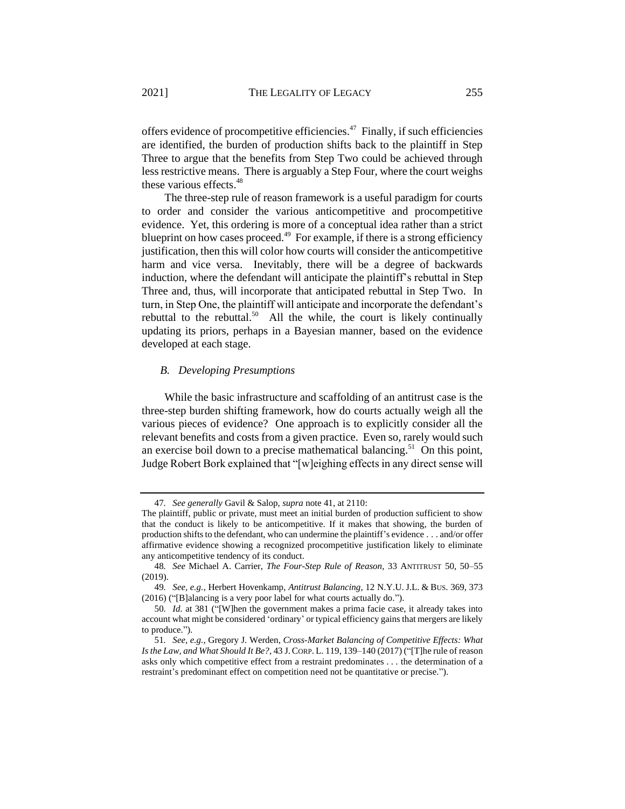offers evidence of procompetitive efficiencies.<sup>47</sup> Finally, if such efficiencies are identified, the burden of production shifts back to the plaintiff in Step Three to argue that the benefits from Step Two could be achieved through less restrictive means. There is arguably a Step Four, where the court weighs these various effects.<sup>48</sup>

The three-step rule of reason framework is a useful paradigm for courts to order and consider the various anticompetitive and procompetitive evidence. Yet, this ordering is more of a conceptual idea rather than a strict blueprint on how cases proceed.<sup>49</sup> For example, if there is a strong efficiency justification, then this will color how courts will consider the anticompetitive harm and vice versa. Inevitably, there will be a degree of backwards induction, where the defendant will anticipate the plaintiff's rebuttal in Step Three and, thus, will incorporate that anticipated rebuttal in Step Two. In turn, in Step One, the plaintiff will anticipate and incorporate the defendant's rebuttal to the rebuttal.<sup>50</sup> All the while, the court is likely continually updating its priors, perhaps in a Bayesian manner, based on the evidence developed at each stage.

### <span id="page-11-0"></span>*B. Developing Presumptions*

While the basic infrastructure and scaffolding of an antitrust case is the three-step burden shifting framework, how do courts actually weigh all the various pieces of evidence? One approach is to explicitly consider all the relevant benefits and costs from a given practice. Even so, rarely would such an exercise boil down to a precise mathematical balancing.<sup>51</sup> On this point, Judge Robert Bork explained that "[w]eighing effects in any direct sense will

<sup>47</sup>*. See generally* Gavil & Salop, *supra* note [41,](#page-10-0) at 2110:

The plaintiff, public or private, must meet an initial burden of production sufficient to show that the conduct is likely to be anticompetitive. If it makes that showing, the burden of production shifts to the defendant, who can undermine the plaintiff's evidence . . . and/or offer affirmative evidence showing a recognized procompetitive justification likely to eliminate any anticompetitive tendency of its conduct.

<sup>48</sup>*. See* Michael A. Carrier, *The Four-Step Rule of Reason*, 33 ANTITRUST 50, 50–55 (2019).

<sup>49</sup>*. See, e.g.*, Herbert Hovenkamp, *Antitrust Balancing*, 12 N.Y.U. J.L. & BUS. 369, 373 (2016) ("[B]alancing is a very poor label for what courts actually do.").

<sup>50</sup>*. Id.* at 381 ("[W]hen the government makes a prima facie case, it already takes into account what might be considered 'ordinary' or typical efficiency gains that mergers are likely to produce.").

<sup>51</sup>*. See, e.g.*, Gregory J. Werden, *Cross-Market Balancing of Competitive Effects: What Is the Law, and What Should It Be?*, 43 J.CORP. L. 119, 139–140 (2017) ("[T]he rule of reason asks only which competitive effect from a restraint predominates . . . the determination of a restraint's predominant effect on competition need not be quantitative or precise.").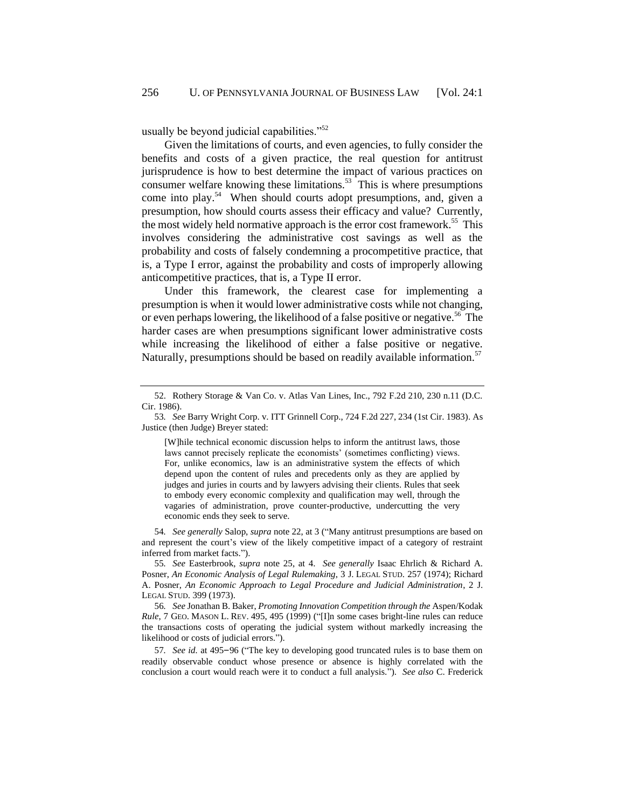usually be beyond judicial capabilities."<sup>52</sup>

Given the limitations of courts, and even agencies, to fully consider the benefits and costs of a given practice, the real question for antitrust jurisprudence is how to best determine the impact of various practices on consumer welfare knowing these limitations.<sup>53</sup> This is where presumptions come into play.<sup>54</sup> When should courts adopt presumptions, and, given a presumption, how should courts assess their efficacy and value? Currently, the most widely held normative approach is the error cost framework.<sup>55</sup> This involves considering the administrative cost savings as well as the probability and costs of falsely condemning a procompetitive practice, that is, a Type I error, against the probability and costs of improperly allowing anticompetitive practices, that is, a Type II error.

Under this framework, the clearest case for implementing a presumption is when it would lower administrative costs while not changing, or even perhaps lowering, the likelihood of a false positive or negative.<sup>56</sup> The harder cases are when presumptions significant lower administrative costs while increasing the likelihood of either a false positive or negative. Naturally, presumptions should be based on readily available information.<sup>57</sup>

[W]hile technical economic discussion helps to inform the antitrust laws, those laws cannot precisely replicate the economists' (sometimes conflicting) views. For, unlike economics, law is an administrative system the effects of which depend upon the content of rules and precedents only as they are applied by judges and juries in courts and by lawyers advising their clients. Rules that seek to embody every economic complexity and qualification may well, through the vagaries of administration, prove counter-productive, undercutting the very economic ends they seek to serve.

54*. See generally* Salop, *supra* note [22,](#page-6-1) at 3 ("Many antitrust presumptions are based on and represent the court's view of the likely competitive impact of a category of restraint inferred from market facts.").

55*. See* Easterbrook, *supra* note [25,](#page-6-2) at 4. *See generally* Isaac Ehrlich & Richard A. Posner, *An Economic Analysis of Legal Rulemaking*, 3 J. LEGAL STUD. 257 (1974); Richard A. Posner, *An Economic Approach to Legal Procedure and Judicial Administration*, 2 J. LEGAL STUD. 399 (1973).

56*. See* Jonathan B. Baker, *Promoting Innovation Competition through the* Aspen/Kodak *Rule*, 7 GEO. MASON L. REV. 495, 495 (1999) ("[I]n some cases bright-line rules can reduce the transactions costs of operating the judicial system without markedly increasing the likelihood or costs of judicial errors.").

57*. See id.* at 495–96 ("The key to developing good truncated rules is to base them on readily observable conduct whose presence or absence is highly correlated with the conclusion a court would reach were it to conduct a full analysis."). *See also* C. Frederick

<sup>52.</sup> Rothery Storage & Van Co. v. Atlas Van Lines, Inc., 792 F.2d 210, 230 n.11 (D.C. Cir. 1986).

<sup>53</sup>*. See* Barry Wright Corp. v. ITT Grinnell Corp., 724 F.2d 227, 234 (1st Cir. 1983). As Justice (then Judge) Breyer stated: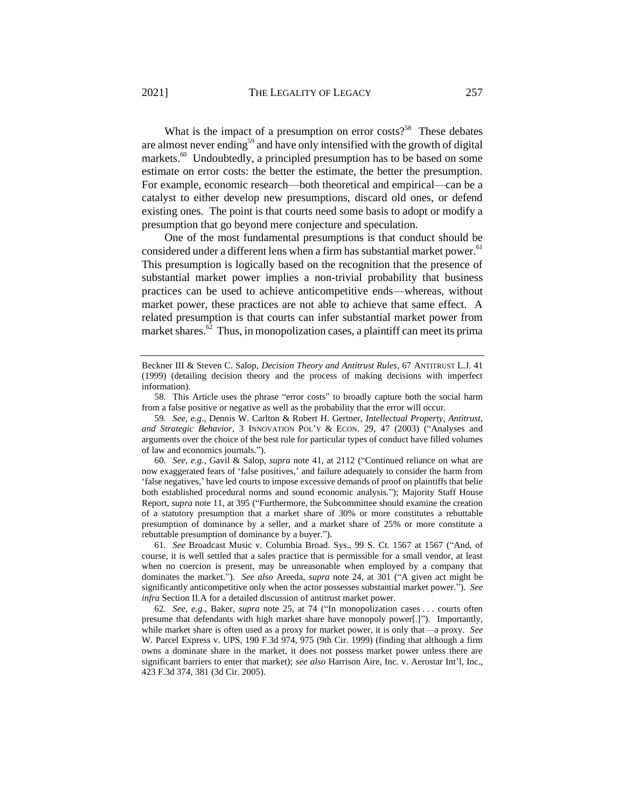<span id="page-13-0"></span>What is the impact of a presumption on error costs?<sup>58</sup> These debates are almost never ending<sup>59</sup> and have only intensified with the growth of digital markets.<sup>60</sup> Undoubtedly, a principled presumption has to be based on some estimate on error costs: the better the estimate, the better the presumption. For example, economic research—both theoretical and empirical—can be a catalyst to either develop new presumptions, discard old ones, or defend existing ones. The point is that courts need some basis to adopt or modify a presumption that go beyond mere conjecture and speculation.

One of the most fundamental presumptions is that conduct should be considered under a different lens when a firm has substantial market power.<sup>61</sup> This presumption is logically based on the recognition that the presence of substantial market power implies a non-trivial probability that business practices can be used to achieve anticompetitive ends—whereas, without market power, these practices are not able to achieve that same effect. A related presumption is that courts can infer substantial market power from market shares.<sup>62</sup> Thus, in monopolization cases, a plaintiff can meet its prima

Beckner III & Steven C. Salop, *Decision Theory and Antitrust Rules*, 67 ANTITRUST L.J. 41 (1999) (detailing decision theory and the process of making decisions with imperfect information).

<sup>58.</sup> This Article uses the phrase "error costs" to broadly capture both the social harm from a false positive or negative as well as the probability that the error will occur.

<sup>59</sup>*. See, e.g.*, Dennis W. Carlton & Robert H. Gertner, *Intellectual Property, Antitrust, and Strategic Behavior*, 3 INNOVATION POL'Y & ECON. 29, 47 (2003) ("Analyses and arguments over the choice of the best rule for particular types of conduct have filled volumes of law and economics journals.").

<sup>60</sup>*. See, e.g.*, Gavil & Salop, *supra* note [41,](#page-10-0) at 2112 ("Continued reliance on what are now exaggerated fears of 'false positives,' and failure adequately to consider the harm from 'false negatives,' have led courts to impose excessive demands of proof on plaintiffs that belie both established procedural norms and sound economic analysis."); Majority Staff House Report, *supra* note [11,](#page-2-0) at 395 ("Furthermore, the Subcommittee should examine the creation of a statutory presumption that a market share of 30% or more constitutes a rebuttable presumption of dominance by a seller, and a market share of 25% or more constitute a rebuttable presumption of dominance by a buyer.").

<sup>61</sup>*. See* Broadcast Music v. Columbia Broad. Sys., 99 S. Ct. 1567 at 1567 ("And, of course, it is well settled that a sales practice that is permissible for a small vendor, at least when no coercion is present, may be unreasonable when employed by a company that dominates the market."). *See also* Areeda, *supra* note [24,](#page-6-3) at 301 ("A given act might be significantly anticompetitive only when the actor possesses substantial market power."). *See infra* Section I[I.A](#page-15-0) for a detailed discussion of antitrust market power.

<sup>62</sup>*. See, e.g.*, Baker, *supra* note [25,](#page-6-2) at 74 ("In monopolization cases . . . courts often presume that defendants with high market share have monopoly power[.]"). Importantly, while market share is often used as a proxy for market power, it is only that—a proxy. *See* W. Parcel Express v. UPS, 190 F.3d 974, 975 (9th Cir. 1999) (finding that although a firm owns a dominate share in the market, it does not possess market power unless there are significant barriers to enter that market); *see also* Harrison Aire, Inc. v. Aerostar Int'l, Inc., 423 F.3d 374, 381 (3d Cir. 2005).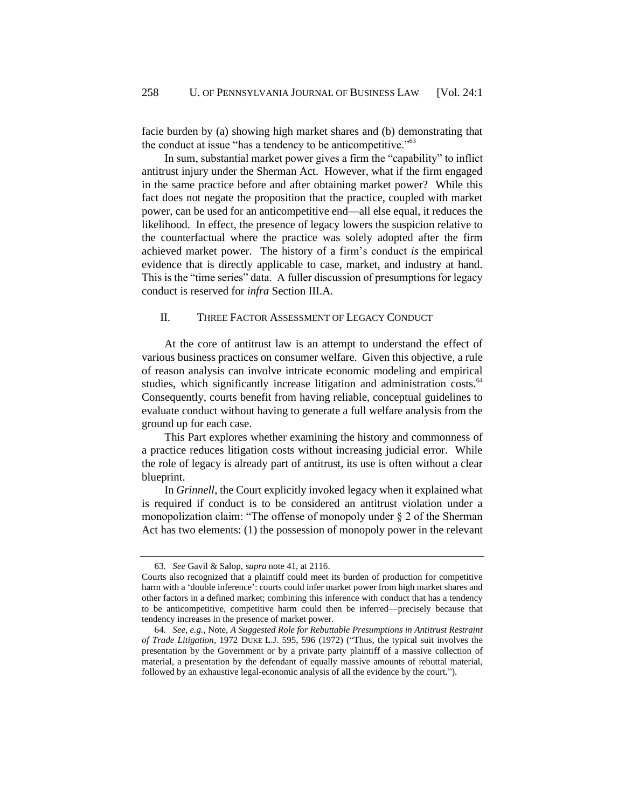facie burden by (a) showing high market shares and (b) demonstrating that the conduct at issue "has a tendency to be anticompetitive."<sup>63</sup>

In sum, substantial market power gives a firm the "capability" to inflict antitrust injury under the Sherman Act. However, what if the firm engaged in the same practice before and after obtaining market power? While this fact does not negate the proposition that the practice, coupled with market power, can be used for an anticompetitive end—all else equal, it reduces the likelihood. In effect, the presence of legacy lowers the suspicion relative to the counterfactual where the practice was solely adopted after the firm achieved market power. The history of a firm's conduct *is* the empirical evidence that is directly applicable to case, market, and industry at hand. This is the "time series" data. A fuller discussion of presumptions for legacy conduct is reserved for *infra* Section III.A.

### II. THREE FACTOR ASSESSMENT OF LEGACY CONDUCT

At the core of antitrust law is an attempt to understand the effect of various business practices on consumer welfare. Given this objective, a rule of reason analysis can involve intricate economic modeling and empirical studies, which significantly increase litigation and administration costs.<sup>64</sup> Consequently, courts benefit from having reliable, conceptual guidelines to evaluate conduct without having to generate a full welfare analysis from the ground up for each case.

This Part explores whether examining the history and commonness of a practice reduces litigation costs without increasing judicial error. While the role of legacy is already part of antitrust, its use is often without a clear blueprint.

In *Grinnell*, the Court explicitly invoked legacy when it explained what is required if conduct is to be considered an antitrust violation under a monopolization claim: "The offense of monopoly under  $\S 2$  of the Sherman Act has two elements: (1) the possession of monopoly power in the relevant

<sup>63</sup>*. See* Gavil & Salop, *supra* note [41,](#page-10-0) at 2116.

Courts also recognized that a plaintiff could meet its burden of production for competitive harm with a 'double inference': courts could infer market power from high market shares and other factors in a defined market; combining this inference with conduct that has a tendency to be anticompetitive, competitive harm could then be inferred—precisely because that tendency increases in the presence of market power.

<sup>64</sup>*. See, e.g.*, Note, *A Suggested Role for Rebuttable Presumptions in Antitrust Restraint of Trade Litigation*, 1972 DUKE L.J. 595, 596 (1972) ("Thus, the typical suit involves the presentation by the Government or by a private party plaintiff of a massive collection of material, a presentation by the defendant of equally massive amounts of rebuttal material, followed by an exhaustive legal-economic analysis of all the evidence by the court.").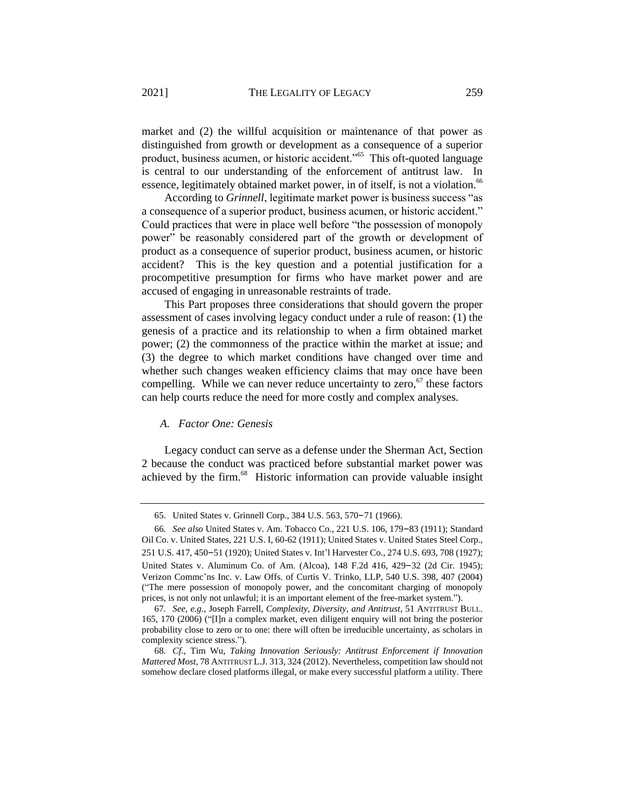market and (2) the willful acquisition or maintenance of that power as distinguished from growth or development as a consequence of a superior product, business acumen, or historic accident."<sup>65</sup> This oft-quoted language is central to our understanding of the enforcement of antitrust law. In essence, legitimately obtained market power, in of itself, is not a violation.<sup>66</sup>

According to *Grinnell*, legitimate market power is business success "as a consequence of a superior product, business acumen, or historic accident." Could practices that were in place well before "the possession of monopoly power" be reasonably considered part of the growth or development of product as a consequence of superior product, business acumen, or historic accident? This is the key question and a potential justification for a procompetitive presumption for firms who have market power and are accused of engaging in unreasonable restraints of trade.

This Part proposes three considerations that should govern the proper assessment of cases involving legacy conduct under a rule of reason: (1) the genesis of a practice and its relationship to when a firm obtained market power; (2) the commonness of the practice within the market at issue; and (3) the degree to which market conditions have changed over time and whether such changes weaken efficiency claims that may once have been compelling. While we can never reduce uncertainty to zero,  $67$  these factors can help courts reduce the need for more costly and complex analyses.

### <span id="page-15-1"></span><span id="page-15-0"></span>*A. Factor One: Genesis*

Legacy conduct can serve as a defense under the Sherman Act, Section 2 because the conduct was practiced before substantial market power was achieved by the firm.<sup>68</sup> Historic information can provide valuable insight

<sup>65.</sup> United States v. Grinnell Corp., 384 U.S. 563, 570–71 (1966).

<sup>66</sup>*. See also* United States v. Am. Tobacco Co., 221 U.S. 106, 179–83 (1911); Standard Oil Co. v. United States, 221 U.S. I, 60-62 (1911); United States v. United States Steel Corp., 251 U.S. 417, 450–51 (1920); United States v. Int'l Harvester Co., 274 U.S. 693, 708 (1927); United States v. Aluminum Co. of Am. (Alcoa), 148 F.2d 416, 429–32 (2d Cir. 1945); Verizon Commc'ns Inc. v. Law Offs. of Curtis V. Trinko, LLP, 540 U.S. 398, 407 (2004) ("The mere possession of monopoly power, and the concomitant charging of monopoly prices, is not only not unlawful; it is an important element of the free-market system.").

<sup>67</sup>*. See, e.g.*, Joseph Farrell, *Complexity, Diversity, and Antitrust*, 51 ANTITRUST BULL. 165, 170 (2006) ("[I]n a complex market, even diligent enquiry will not bring the posterior probability close to zero or to one: there will often be irreducible uncertainty, as scholars in complexity science stress.").

<sup>68</sup>*. Cf.*, Tim Wu, *Taking Innovation Seriously: Antitrust Enforcement if Innovation Mattered Most*, 78 ANTITRUST L.J. 313, 324 (2012). Nevertheless, competition law should not somehow declare closed platforms illegal, or make every successful platform a utility. There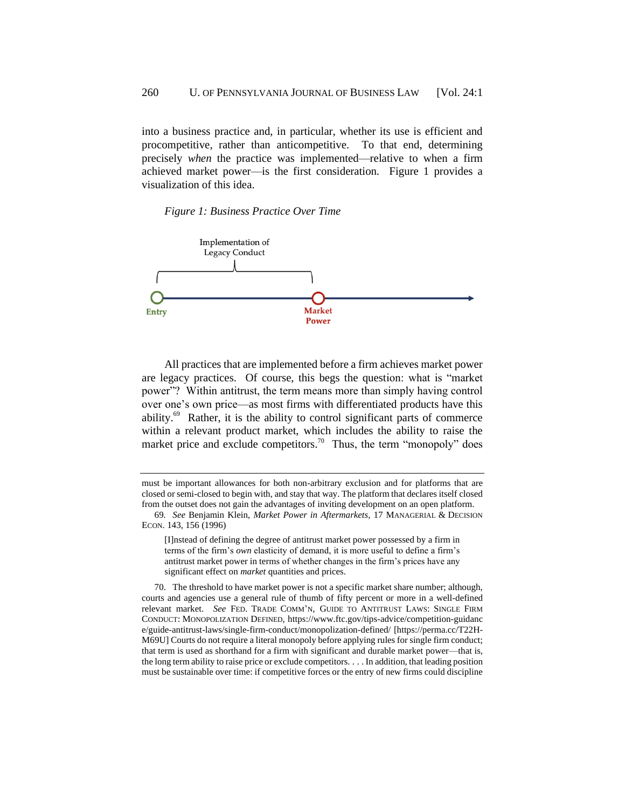into a business practice and, in particular, whether its use is efficient and procompetitive, rather than anticompetitive. To that end, determining precisely *when* the practice was implemented—relative to when a firm achieved market power—is the first consideration. Figure 1 provides a visualization of this idea.

#### *Figure 1: Business Practice Over Time*



All practices that are implemented before a firm achieves market power are legacy practices. Of course, this begs the question: what is "market power"? Within antitrust, the term means more than simply having control over one's own price—as most firms with differentiated products have this ability.<sup>69</sup> Rather, it is the ability to control significant parts of commerce within a relevant product market, which includes the ability to raise the market price and exclude competitors.<sup>70</sup> Thus, the term "monopoly" does

[I]nstead of defining the degree of antitrust market power possessed by a firm in terms of the firm's *own* elasticity of demand, it is more useful to define a firm's antitrust market power in terms of whether changes in the firm's prices have any significant effect on *market* quantities and prices.

70. The threshold to have market power is not a specific market share number; although, courts and agencies use a general rule of thumb of fifty percent or more in a well-defined relevant market. *See* FED. TRADE COMM'N, GUIDE TO ANTITRUST LAWS: SINGLE FIRM CONDUCT: MONOPOLIZATION DEFINED, https://www.ftc.gov/tips-advice/competition-guidanc e/guide-antitrust-laws/single-firm-conduct/monopolization-defined/ [https://perma.cc/T22H-M69U] Courts do not require a literal monopoly before applying rules for single firm conduct; that term is used as shorthand for a firm with significant and durable market power—that is, the long term ability to raise price or exclude competitors. . . . In addition, that leading position must be sustainable over time: if competitive forces or the entry of new firms could discipline

must be important allowances for both non-arbitrary exclusion and for platforms that are closed or semi-closed to begin with, and stay that way. The platform that declares itself closed from the outset does not gain the advantages of inviting development on an open platform.

<sup>69</sup>*. See* Benjamin Klein, *Market Power in Aftermarkets*, 17 MANAGERIAL & DECISION ECON. 143, 156 (1996)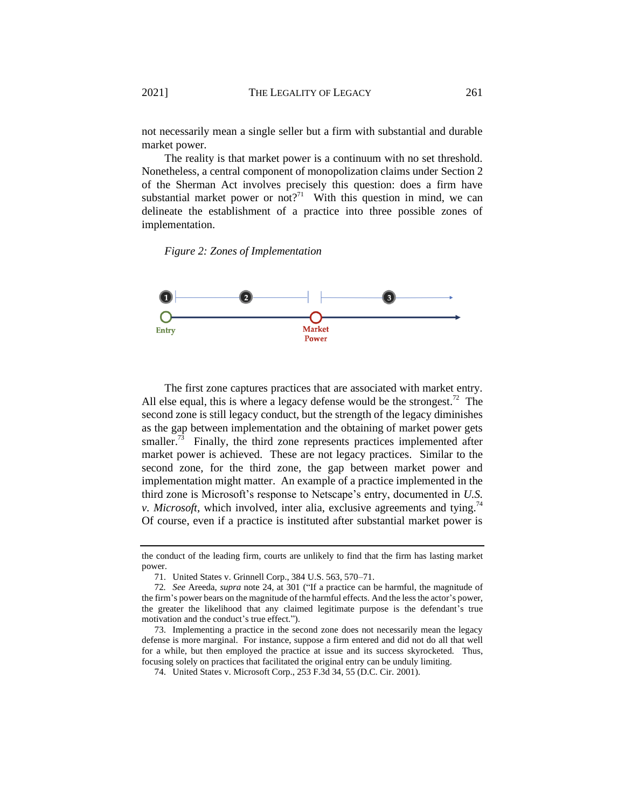not necessarily mean a single seller but a firm with substantial and durable market power.

The reality is that market power is a continuum with no set threshold. Nonetheless, a central component of monopolization claims under Section 2 of the Sherman Act involves precisely this question: does a firm have substantial market power or not?<sup>71</sup> With this question in mind, we can delineate the establishment of a practice into three possible zones of implementation.





The first zone captures practices that are associated with market entry. All else equal, this is where a legacy defense would be the strongest.<sup>72</sup> The second zone is still legacy conduct, but the strength of the legacy diminishes as the gap between implementation and the obtaining of market power gets smaller.<sup>73</sup> Finally, the third zone represents practices implemented after market power is achieved. These are not legacy practices. Similar to the second zone, for the third zone, the gap between market power and implementation might matter. An example of a practice implemented in the third zone is Microsoft's response to Netscape's entry, documented in *U.S. v. Microsoft*, which involved, inter alia, exclusive agreements and tying.<sup>74</sup> Of course, even if a practice is instituted after substantial market power is

the conduct of the leading firm, courts are unlikely to find that the firm has lasting market power.

<sup>71.</sup> United States v. Grinnell Corp., 384 U.S. 563, 570–71.

<sup>72</sup>*. See* Areeda, *supra* note [24,](#page-6-3) at 301 ("If a practice can be harmful, the magnitude of the firm's power bears on the magnitude of the harmful effects. And the less the actor's power, the greater the likelihood that any claimed legitimate purpose is the defendant's true motivation and the conduct's true effect.").

<sup>73.</sup> Implementing a practice in the second zone does not necessarily mean the legacy defense is more marginal. For instance, suppose a firm entered and did not do all that well for a while, but then employed the practice at issue and its success skyrocketed. Thus, focusing solely on practices that facilitated the original entry can be unduly limiting.

<sup>74.</sup> United States v. Microsoft Corp., 253 F.3d 34, 55 (D.C. Cir. 2001).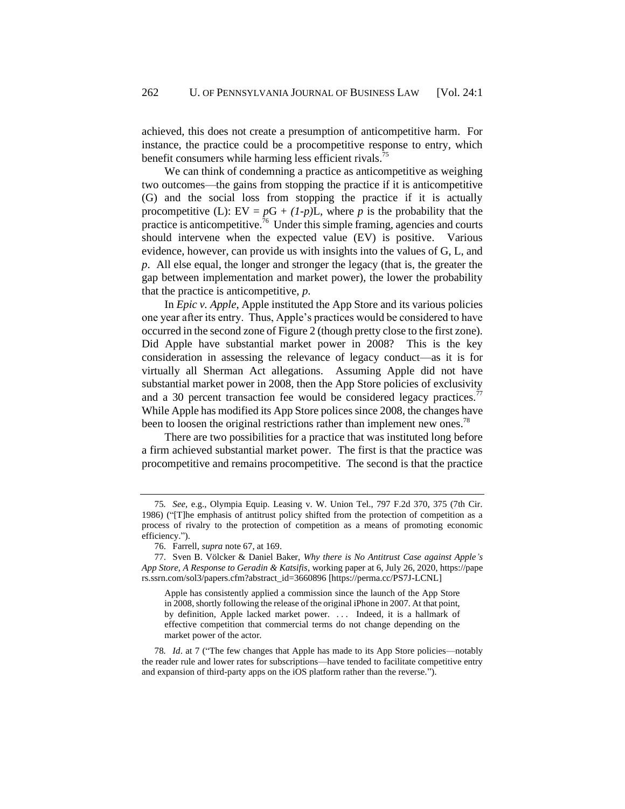achieved, this does not create a presumption of anticompetitive harm. For instance, the practice could be a procompetitive response to entry, which benefit consumers while harming less efficient rivals.<sup>75</sup>

We can think of condemning a practice as anticompetitive as weighing two outcomes—the gains from stopping the practice if it is anticompetitive (G) and the social loss from stopping the practice if it is actually procompetitive (L):  $EV = pG + (1-p)L$ , where *p* is the probability that the practice is anticompetitive.<sup>76</sup> Under this simple framing, agencies and courts should intervene when the expected value (EV) is positive. Various evidence, however, can provide us with insights into the values of G, L, and *p*. All else equal, the longer and stronger the legacy (that is, the greater the gap between implementation and market power), the lower the probability that the practice is anticompetitive, *p*.

In *Epic v. Apple*, Apple instituted the App Store and its various policies one year after its entry. Thus, Apple's practices would be considered to have occurred in the second zone of Figure 2 (though pretty close to the first zone). Did Apple have substantial market power in 2008? This is the key consideration in assessing the relevance of legacy conduct—as it is for virtually all Sherman Act allegations. Assuming Apple did not have substantial market power in 2008, then the App Store policies of exclusivity and a 30 percent transaction fee would be considered legacy practices.<sup>77</sup> While Apple has modified its App Store polices since 2008, the changes have been to loosen the original restrictions rather than implement new ones.<sup>78</sup>

There are two possibilities for a practice that was instituted long before a firm achieved substantial market power. The first is that the practice was procompetitive and remains procompetitive. The second is that the practice

<sup>75</sup>*. See*, e.g., Olympia Equip. Leasing v. W. Union Tel., 797 F.2d 370, 375 (7th Cir. 1986) ("[T]he emphasis of antitrust policy shifted from the protection of competition as a process of rivalry to the protection of competition as a means of promoting economic efficiency.").

<sup>76.</sup> Farrell, *supra* note [67,](#page-15-1) at 169.

<sup>77.</sup> Sven B. Völcker & Daniel Baker, *Why there is No Antitrust Case against Apple's App Store*, *A Response to Geradin & Katsifis*, working paper at 6, July 26, 2020, https://pape rs.ssrn.com/sol3/papers.cfm?abstract\_id=3660896 [https://perma.cc/PS7J-LCNL]

Apple has consistently applied a commission since the launch of the App Store in 2008, shortly following the release of the original iPhone in 2007. At that point, by definition, Apple lacked market power. . . . Indeed, it is a hallmark of effective competition that commercial terms do not change depending on the market power of the actor.

<sup>78</sup>*. Id*. at 7 ("The few changes that Apple has made to its App Store policies—notably the reader rule and lower rates for subscriptions—have tended to facilitate competitive entry and expansion of third-party apps on the iOS platform rather than the reverse.").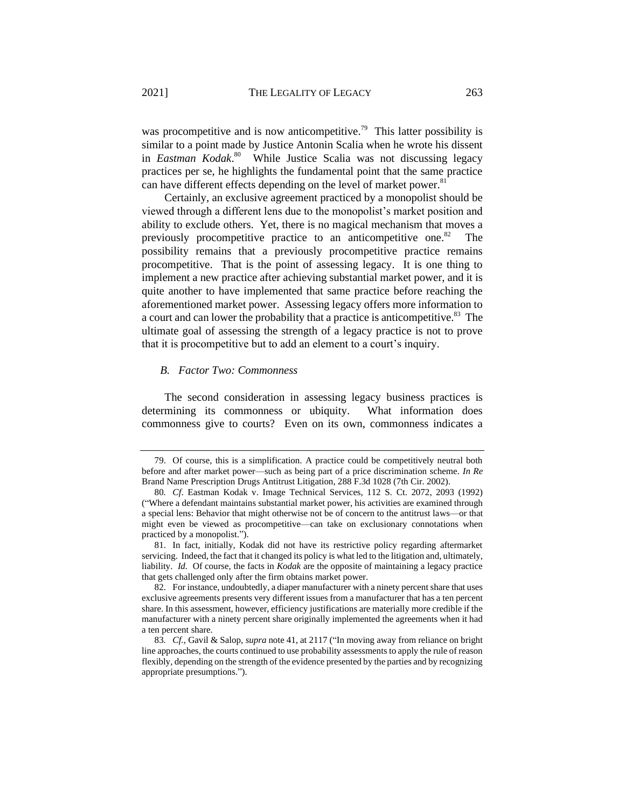was procompetitive and is now anticompetitive.<sup>79</sup> This latter possibility is similar to a point made by Justice Antonin Scalia when he wrote his dissent in *Eastman Kodak*. <sup>80</sup> While Justice Scalia was not discussing legacy practices per se, he highlights the fundamental point that the same practice can have different effects depending on the level of market power.<sup>81</sup>

Certainly, an exclusive agreement practiced by a monopolist should be viewed through a different lens due to the monopolist's market position and ability to exclude others. Yet, there is no magical mechanism that moves a previously procompetitive practice to an anticompetitive one. $82$  The possibility remains that a previously procompetitive practice remains procompetitive. That is the point of assessing legacy. It is one thing to implement a new practice after achieving substantial market power, and it is quite another to have implemented that same practice before reaching the aforementioned market power. Assessing legacy offers more information to a court and can lower the probability that a practice is anticompetitive.<sup>83</sup> The ultimate goal of assessing the strength of a legacy practice is not to prove that it is procompetitive but to add an element to a court's inquiry.

### *B. Factor Two: Commonness*

The second consideration in assessing legacy business practices is determining its commonness or ubiquity. What information does commonness give to courts? Even on its own, commonness indicates a

<sup>79.</sup> Of course, this is a simplification. A practice could be competitively neutral both before and after market power—such as being part of a price discrimination scheme. *In Re*  Brand Name Prescription Drugs Antitrust Litigation, 288 F.3d 1028 (7th Cir. 2002).

<sup>80</sup>*. Cf*. Eastman Kodak v. Image Technical Services, 112 S. Ct. 2072, 2093 (1992) ("Where a defendant maintains substantial market power, his activities are examined through a special lens: Behavior that might otherwise not be of concern to the antitrust laws—or that might even be viewed as procompetitive—can take on exclusionary connotations when practiced by a monopolist.").

<sup>81.</sup> In fact, initially, Kodak did not have its restrictive policy regarding aftermarket servicing. Indeed, the fact that it changed its policy is what led to the litigation and, ultimately, liability. *Id.* Of course, the facts in *Kodak* are the opposite of maintaining a legacy practice that gets challenged only after the firm obtains market power.

<sup>82.</sup> For instance, undoubtedly, a diaper manufacturer with a ninety percent share that uses exclusive agreements presents very different issues from a manufacturer that has a ten percent share. In this assessment, however, efficiency justifications are materially more credible if the manufacturer with a ninety percent share originally implemented the agreements when it had a ten percent share.

<sup>83</sup>*. Cf.*, Gavil & Salop, *supra* note [41,](#page-10-0) at 2117 ("In moving away from reliance on bright line approaches, the courts continued to use probability assessments to apply the rule of reason flexibly, depending on the strength of the evidence presented by the parties and by recognizing appropriate presumptions.").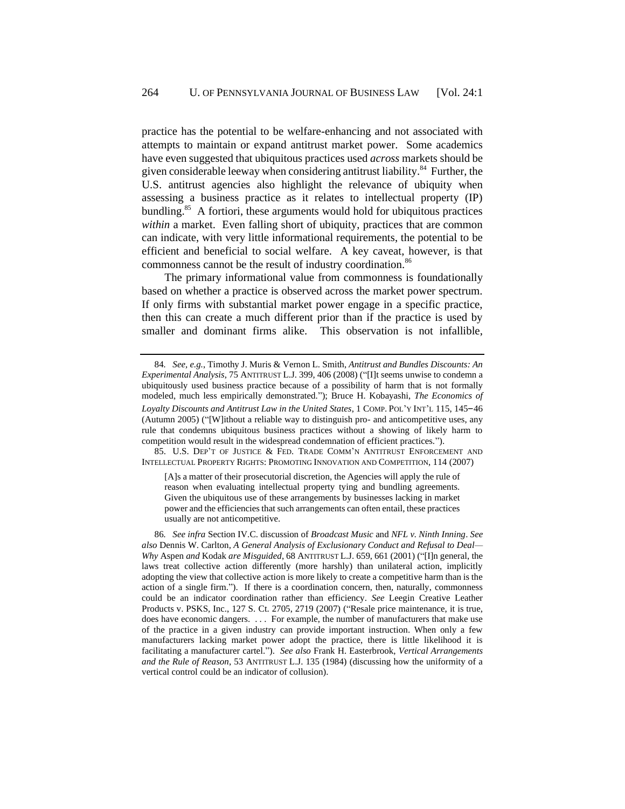practice has the potential to be welfare-enhancing and not associated with attempts to maintain or expand antitrust market power. Some academics have even suggested that ubiquitous practices used *across* markets should be given considerable leeway when considering antitrust liability.<sup>84</sup> Further, the U.S. antitrust agencies also highlight the relevance of ubiquity when assessing a business practice as it relates to intellectual property (IP) bundling.<sup>85</sup> A fortiori, these arguments would hold for ubiquitous practices *within* a market. Even falling short of ubiquity, practices that are common can indicate, with very little informational requirements, the potential to be efficient and beneficial to social welfare. A key caveat, however, is that commonness cannot be the result of industry coordination.<sup>86</sup>

<span id="page-20-0"></span>The primary informational value from commonness is foundationally based on whether a practice is observed across the market power spectrum. If only firms with substantial market power engage in a specific practice, then this can create a much different prior than if the practice is used by smaller and dominant firms alike. This observation is not infallible,

85. U.S. DEP'T OF JUSTICE & FED. TRADE COMM'N ANTITRUST ENFORCEMENT AND INTELLECTUAL PROPERTY RIGHTS: PROMOTING INNOVATION AND COMPETITION, 114 (2007)

[A]s a matter of their prosecutorial discretion, the Agencies will apply the rule of reason when evaluating intellectual property tying and bundling agreements. Given the ubiquitous use of these arrangements by businesses lacking in market power and the efficiencies that such arrangements can often entail, these practices usually are not anticompetitive.

<sup>84</sup>*. See, e.g.*, Timothy J. Muris & Vernon L. Smith, *Antitrust and Bundles Discounts: An Experimental Analysis*, 75 ANTITRUST L.J. 399, 406 (2008) ("[I]t seems unwise to condemn a ubiquitously used business practice because of a possibility of harm that is not formally modeled, much less empirically demonstrated."); Bruce H. Kobayashi, *The Economics of Loyalty Discounts and Antitrust Law in the United States*, 1 COMP. POL'Y INT'<sup>L</sup> 115, 145–46 (Autumn 2005) ("[W]ithout a reliable way to distinguish pro- and anticompetitive uses, any rule that condemns ubiquitous business practices without a showing of likely harm to competition would result in the widespread condemnation of efficient practices.").

<sup>86</sup>*. See infra* Section I[V.C.](#page-45-0) discussion of *Broadcast Music* and *NFL v. Ninth Inning*. *See also* Dennis W. Carlton*, A General Analysis of Exclusionary Conduct and Refusal to Deal— Why* Aspen *and* Kodak *are Misguided*, 68 ANTITRUST L.J. 659, 661 (2001) ("[I]n general, the laws treat collective action differently (more harshly) than unilateral action, implicitly adopting the view that collective action is more likely to create a competitive harm than is the action of a single firm."). If there is a coordination concern, then, naturally, commonness could be an indicator coordination rather than efficiency. *See* Leegin Creative Leather Products v. PSKS, Inc., 127 S. Ct. 2705, 2719 (2007) ("Resale price maintenance, it is true, does have economic dangers. . . . For example, the number of manufacturers that make use of the practice in a given industry can provide important instruction. When only a few manufacturers lacking market power adopt the practice, there is little likelihood it is facilitating a manufacturer cartel."). *See also* Frank H. Easterbrook, *Vertical Arrangements and the Rule of Reason*, 53 ANTITRUST L.J. 135 (1984) (discussing how the uniformity of a vertical control could be an indicator of collusion).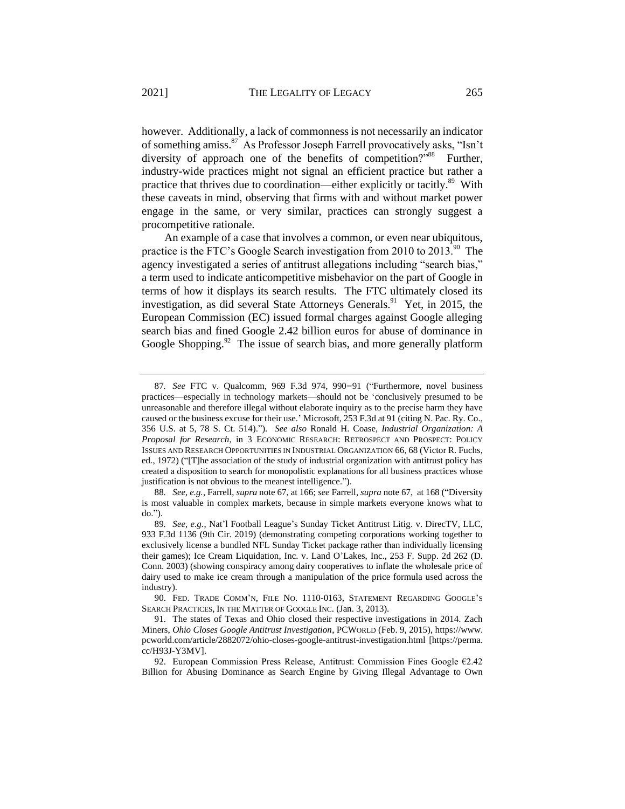however. Additionally, a lack of commonness is not necessarily an indicator of something amiss.<sup>87</sup> As Professor Joseph Farrell provocatively asks, "Isn't diversity of approach one of the benefits of competition?"<sup>88</sup> Further, industry-wide practices might not signal an efficient practice but rather a practice that thrives due to coordination—either explicitly or tacitly.<sup>89</sup> With these caveats in mind, observing that firms with and without market power engage in the same, or very similar, practices can strongly suggest a procompetitive rationale.

An example of a case that involves a common, or even near ubiquitous, practice is the FTC's Google Search investigation from 2010 to 2013.<sup>90</sup> The agency investigated a series of antitrust allegations including "search bias," a term used to indicate anticompetitive misbehavior on the part of Google in terms of how it displays its search results. The FTC ultimately closed its investigation, as did several State Attorneys Generals.<sup>91</sup> Yet, in 2015, the European Commission (EC) issued formal charges against Google alleging search bias and fined Google 2.42 billion euros for abuse of dominance in Google Shopping.<sup>92</sup> The issue of search bias, and more generally platform

<sup>87</sup>*. See* FTC v. Qualcomm, 969 F.3d 974, 990–91 ("Furthermore, novel business practices—especially in technology markets—should not be 'conclusively presumed to be unreasonable and therefore illegal without elaborate inquiry as to the precise harm they have caused or the business excuse for their use.' Microsoft, 253 F.3d at 91 (citing N. Pac. Ry. Co., 356 U.S. at 5, 78 S. Ct. 514)."). *See also* Ronald H. Coase, *Industrial Organization: A Proposal for Research*, in 3 ECONOMIC RESEARCH: RETROSPECT AND PROSPECT: POLICY ISSUES AND RESEARCH OPPORTUNITIES IN INDUSTRIAL ORGANIZATION 66, 68 (Victor R. Fuchs, ed., 1972) ("[T]he association of the study of industrial organization with antitrust policy has created a disposition to search for monopolistic explanations for all business practices whose justification is not obvious to the meanest intelligence.").

<sup>88</sup>*. See, e.g.*, Farrell, *supra* note [67,](#page-15-1) at 166; *see* Farrell, *supra* not[e 67,](#page-15-1) at 168 ("Diversity is most valuable in complex markets, because in simple markets everyone knows what to do.").

<sup>89</sup>*. See, e.g.*, Nat'l Football League's Sunday Ticket Antitrust Litig. v. DirecTV, LLC, 933 F.3d 1136 (9th Cir. 2019) (demonstrating competing corporations working together to exclusively license a bundled NFL Sunday Ticket package rather than individually licensing their games); Ice Cream Liquidation, Inc. v. Land O'Lakes, Inc., 253 F. Supp. 2d 262 (D. Conn. 2003) (showing conspiracy among dairy cooperatives to inflate the wholesale price of dairy used to make ice cream through a manipulation of the price formula used across the industry).

<sup>90.</sup> FED. TRADE COMM'N, FILE NO. 1110-0163, STATEMENT REGARDING GOOGLE'S SEARCH PRACTICES, IN THE MATTER OF GOOGLE INC. (Jan. 3, 2013).

<sup>91.</sup> The states of Texas and Ohio closed their respective investigations in 2014. Zach Miners, *Ohio Closes Google Antitrust Investigation*, PCWORLD (Feb. 9, 2015), https://www. pcworld.com/article/2882072/ohio-closes-google-antitrust-investigation.html [https://perma. cc/H93J-Y3MV].

<sup>92.</sup> European Commission Press Release, Antitrust: Commission Fines Google  $E2.42$ Billion for Abusing Dominance as Search Engine by Giving Illegal Advantage to Own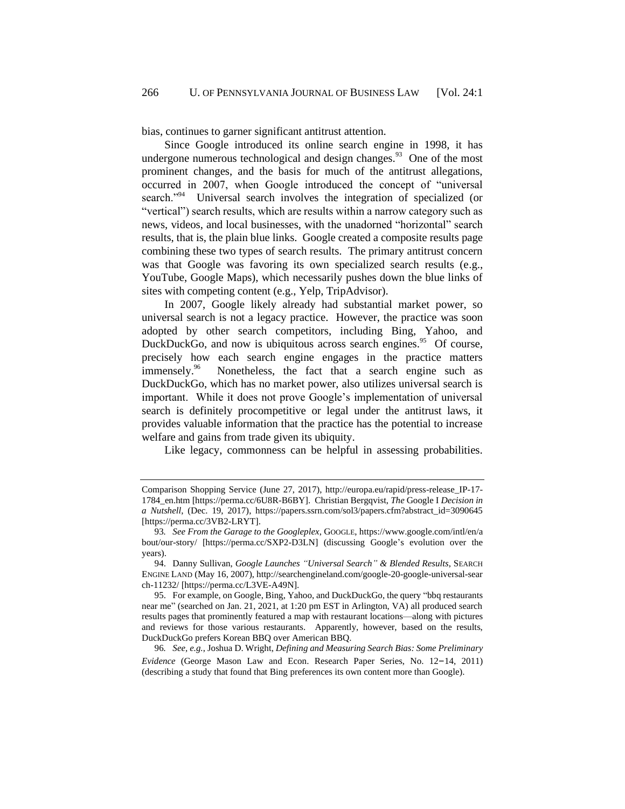bias, continues to garner significant antitrust attention.

Since Google introduced its online search engine in 1998, it has undergone numerous technological and design changes.<sup>93</sup> One of the most prominent changes, and the basis for much of the antitrust allegations, occurred in 2007, when Google introduced the concept of "universal search."<sup>94</sup> Universal search involves the integration of specialized (or "vertical") search results, which are results within a narrow category such as news, videos, and local businesses, with the unadorned "horizontal" search results, that is, the plain blue links. Google created a composite results page combining these two types of search results. The primary antitrust concern was that Google was favoring its own specialized search results (e.g., YouTube, Google Maps), which necessarily pushes down the blue links of sites with competing content (e.g., Yelp, TripAdvisor).

In 2007, Google likely already had substantial market power, so universal search is not a legacy practice. However, the practice was soon adopted by other search competitors, including Bing, Yahoo, and DuckDuckGo, and now is ubiquitous across search engines.<sup>95</sup> Of course, precisely how each search engine engages in the practice matters immensely.<sup>96</sup> Nonetheless, the fact that a search engine such as DuckDuckGo, which has no market power, also utilizes universal search is important. While it does not prove Google's implementation of universal search is definitely procompetitive or legal under the antitrust laws, it provides valuable information that the practice has the potential to increase welfare and gains from trade given its ubiquity.

Like legacy, commonness can be helpful in assessing probabilities.

96*. See, e.g.*, Joshua D. Wright, *Defining and Measuring Search Bias: Some Preliminary Evidence* (George Mason Law and Econ. Research Paper Series, No. 12–14, 2011) (describing a study that found that Bing preferences its own content more than Google).

Comparison Shopping Service (June 27, 2017), http://europa.eu/rapid/press-release\_IP-17- 1784\_en.htm [https://perma.cc/6U8R-B6BY]. Christian Bergqvist, *The* Google I *Decision in a Nutshell*, (Dec. 19, 2017), https://papers.ssrn.com/sol3/papers.cfm?abstract\_id=3090645 [https://perma.cc/3VB2-LRYT].

<sup>93</sup>*. See From the Garage to the Googleplex*, GOOGLE, https://www.google.com/intl/en/a bout/our-story/ [https://perma.cc/SXP2-D3LN] (discussing Google's evolution over the years).

<sup>94.</sup> Danny Sullivan, *Google Launches "Universal Search" & Blended Results*, SEARCH ENGINE LAND (May 16, 2007), http://searchengineland.com/google-20-google-universal-sear ch-11232/ [https://perma.cc/L3VE-A49N].

<sup>95.</sup> For example, on Google, Bing, Yahoo, and DuckDuckGo, the query "bbq restaurants near me" (searched on Jan. 21, 2021, at 1:20 pm EST in Arlington, VA) all produced search results pages that prominently featured a map with restaurant locations—along with pictures and reviews for those various restaurants. Apparently, however, based on the results, DuckDuckGo prefers Korean BBQ over American BBQ.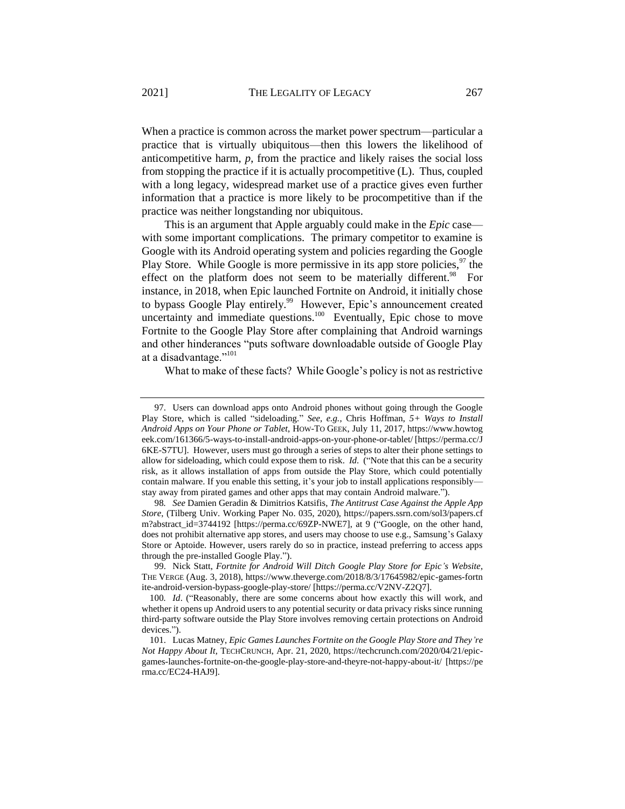When a practice is common across the market power spectrum—particular a practice that is virtually ubiquitous—then this lowers the likelihood of anticompetitive harm, *p*, from the practice and likely raises the social loss from stopping the practice if it is actually procompetitive (L). Thus, coupled with a long legacy, widespread market use of a practice gives even further information that a practice is more likely to be procompetitive than if the practice was neither longstanding nor ubiquitous.

This is an argument that Apple arguably could make in the *Epic* case with some important complications. The primary competitor to examine is Google with its Android operating system and policies regarding the Google Play Store. While Google is more permissive in its app store policies,  $97$  the effect on the platform does not seem to be materially different.<sup>98</sup> For instance, in 2018, when Epic launched Fortnite on Android, it initially chose to bypass Google Play entirely.<sup>99</sup> However, Epic's announcement created uncertainty and immediate questions. $100$  Eventually, Epic chose to move Fortnite to the Google Play Store after complaining that Android warnings and other hinderances "puts software downloadable outside of Google Play at a disadvantage."<sup>101</sup>

What to make of these facts? While Google's policy is not as restrictive

<sup>97.</sup> Users can download apps onto Android phones without going through the Google Play Store, which is called "sideloading." *See, e.g.*, Chris Hoffman, *5+ Ways to Install Android Apps on Your Phone or Tablet*, HOW-TO GEEK, July 11, 2017, https://www.howtog eek.com/161366/5-ways-to-install-android-apps-on-your-phone-or-tablet/ [https://perma.cc/J 6KE-S7TU]. However, users must go through a series of steps to alter their phone settings to allow for sideloading, which could expose them to risk. *Id*. ("Note that this can be a security risk, as it allows installation of apps from outside the Play Store, which could potentially contain malware. If you enable this setting, it's your job to install applications responsibly stay away from pirated games and other apps that may contain Android malware.").

<sup>98</sup>*. See* Damien Geradin & Dimitrios Katsifis, *The Antitrust Case Against the Apple App Store*, (Tilberg Univ. Working Paper No. 035, 2020), https://papers.ssrn.com/sol3/papers.cf m?abstract\_id=3744192 [https://perma.cc/69ZP-NWE7], at 9 ("Google, on the other hand, does not prohibit alternative app stores, and users may choose to use e.g., Samsung's Galaxy Store or Aptoide. However, users rarely do so in practice, instead preferring to access apps through the pre-installed Google Play.").

<sup>99.</sup> Nick Statt, *Fortnite for Android Will Ditch Google Play Store for Epic's Website*, THE VERGE (Aug. 3, 2018), https://www.theverge.com/2018/8/3/17645982/epic-games-fortn ite-android-version-bypass-google-play-store/ [https://perma.cc/V2NV-Z2Q7].

<sup>100</sup>*. Id*. ("Reasonably, there are some concerns about how exactly this will work, and whether it opens up Android users to any potential security or data privacy risks since running third-party software outside the Play Store involves removing certain protections on Android devices.").

<sup>101.</sup> Lucas Matney, *Epic Games Launches Fortnite on the Google Play Store and They're Not Happy About It,* TECHCRUNCH, Apr. 21, 2020, https://techcrunch.com/2020/04/21/epicgames-launches-fortnite-on-the-google-play-store-and-theyre-not-happy-about-it/ [https://pe rma.cc/EC24-HAJ9].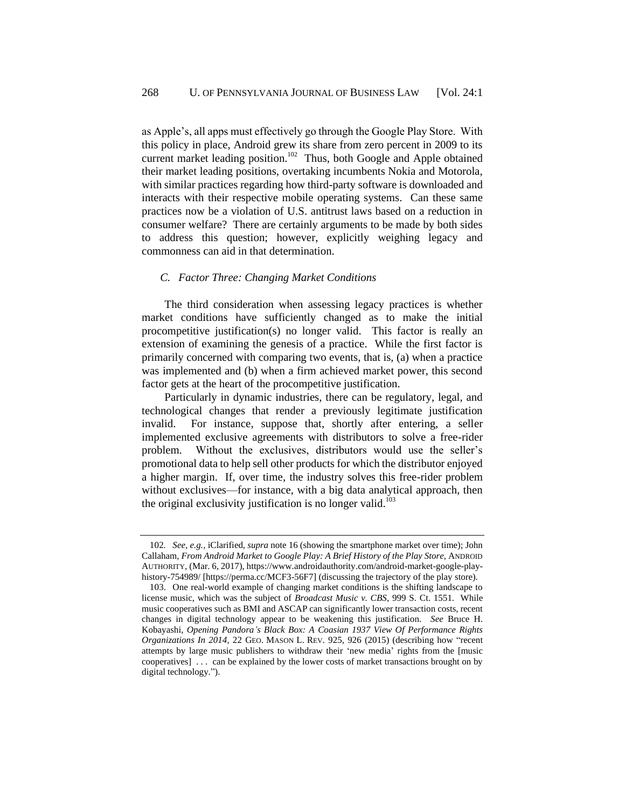as Apple's, all apps must effectively go through the Google Play Store. With this policy in place, Android grew its share from zero percent in 2009 to its current market leading position.<sup>102</sup> Thus, both Google and Apple obtained their market leading positions, overtaking incumbents Nokia and Motorola, with similar practices regarding how third-party software is downloaded and interacts with their respective mobile operating systems. Can these same practices now be a violation of U.S. antitrust laws based on a reduction in consumer welfare? There are certainly arguments to be made by both sides to address this question; however, explicitly weighing legacy and commonness can aid in that determination.

### *C. Factor Three: Changing Market Conditions*

The third consideration when assessing legacy practices is whether market conditions have sufficiently changed as to make the initial procompetitive justification(s) no longer valid. This factor is really an extension of examining the genesis of a practice. While the first factor is primarily concerned with comparing two events, that is, (a) when a practice was implemented and (b) when a firm achieved market power, this second factor gets at the heart of the procompetitive justification.

Particularly in dynamic industries, there can be regulatory, legal, and technological changes that render a previously legitimate justification invalid. For instance, suppose that, shortly after entering, a seller implemented exclusive agreements with distributors to solve a free-rider problem. Without the exclusives, distributors would use the seller's promotional data to help sell other products for which the distributor enjoyed a higher margin. If, over time, the industry solves this free-rider problem without exclusives—for instance, with a big data analytical approach, then the original exclusivity justification is no longer valid.<sup>103</sup>

<sup>102</sup>*. See, e.g.*, iClarified, *supra* note [16](#page-4-0) (showing the smartphone market over time); John Callaham, *From Android Market to Google Play: A Brief History of the Play Store*, ANDROID AUTHORITY, (Mar. 6, 2017), https://www.androidauthority.com/android-market-google-playhistory-754989/ [https://perma.cc/MCF3-56F7] (discussing the trajectory of the play store).

<sup>103.</sup> One real-world example of changing market conditions is the shifting landscape to license music, which was the subject of *Broadcast Music v. CBS*, 999 S. Ct. 1551. While music cooperatives such as BMI and ASCAP can significantly lower transaction costs, recent changes in digital technology appear to be weakening this justification. *See* Bruce H. Kobayashi, *Opening Pandora's Black Box: A Coasian 1937 View Of Performance Rights Organizations In 2014*, 22 GEO. MASON L. REV. 925, 926 (2015) (describing how "recent attempts by large music publishers to withdraw their 'new media' rights from the [music cooperatives] . . . can be explained by the lower costs of market transactions brought on by digital technology.").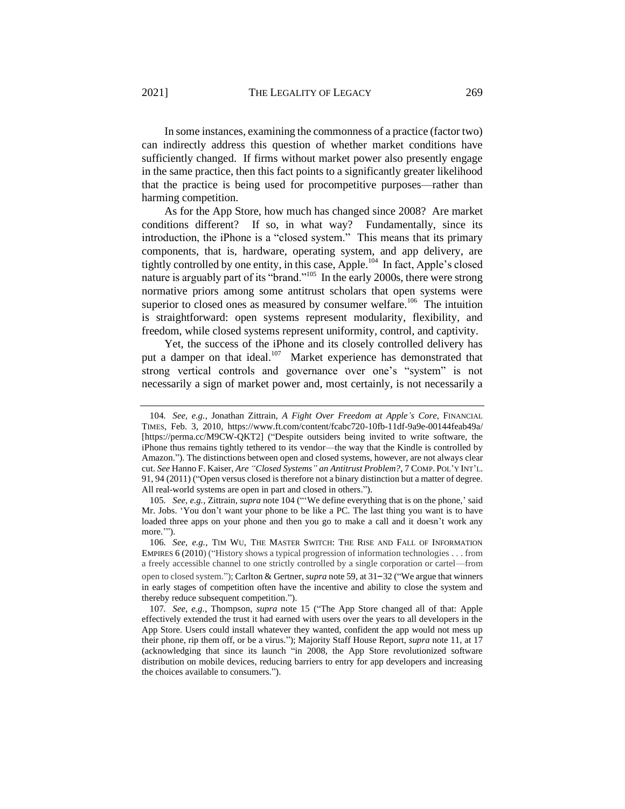In some instances, examining the commonness of a practice (factor two) can indirectly address this question of whether market conditions have sufficiently changed. If firms without market power also presently engage in the same practice, then this fact points to a significantly greater likelihood that the practice is being used for procompetitive purposes—rather than harming competition.

<span id="page-25-0"></span>As for the App Store, how much has changed since 2008? Are market conditions different? If so, in what way? Fundamentally, since its introduction, the iPhone is a "closed system." This means that its primary components, that is, hardware, operating system, and app delivery, are tightly controlled by one entity, in this case, Apple.<sup>104</sup> In fact, Apple's closed nature is arguably part of its "brand."<sup>105</sup> In the early 2000s, there were strong normative priors among some antitrust scholars that open systems were superior to closed ones as measured by consumer welfare.<sup>106</sup> The intuition is straightforward: open systems represent modularity, flexibility, and freedom, while closed systems represent uniformity, control, and captivity.

Yet, the success of the iPhone and its closely controlled delivery has put a damper on that ideal.<sup>107</sup> Market experience has demonstrated that strong vertical controls and governance over one's "system" is not necessarily a sign of market power and, most certainly, is not necessarily a

<sup>104</sup>*. See, e.g.*, Jonathan Zittrain, *A Fight Over Freedom at Apple's Core*, FINANCIAL TIMES, Feb. 3, 2010, https://www.ft.com/content/fcabc720-10fb-11df-9a9e-00144feab49a/ [https://perma.cc/M9CW-QKT2] ("Despite outsiders being invited to write software, the iPhone thus remains tightly tethered to its vendor—the way that the Kindle is controlled by Amazon."). The distinctions between open and closed systems, however, are not always clear cut. *See* Hanno F. Kaiser, *Are "Closed Systems" an Antitrust Problem?*, 7 COMP. POL'Y INT'L. 91, 94 (2011) ("Open versus closed is therefore not a binary distinction but a matter of degree. All real-world systems are open in part and closed in others.").

<sup>105</sup>*. See, e.g.*, Zittrain, *supra* not[e 104](#page-25-0) ("'We define everything that is on the phone,' said Mr. Jobs. 'You don't want your phone to be like a PC. The last thing you want is to have loaded three apps on your phone and then you go to make a call and it doesn't work any more."").

<sup>106</sup>*. See, e.g.*, TIM WU, THE MASTER SWITCH: THE RISE AND FALL OF INFORMATION EMPIRES 6 (2010) ("History shows a typical progression of information technologies . . . from a freely accessible channel to one strictly controlled by a single corporation or cartel—from open to closed system."); Carlton & Gertner, *supra* note [59,](#page-13-0) at 31–32 ("We argue that winners in early stages of competition often have the incentive and ability to close the system and thereby reduce subsequent competition.").

<sup>107</sup>*. See, e.g.*, Thompson, *supra* note [15](#page-3-0) ("The App Store changed all of that: Apple effectively extended the trust it had earned with users over the years to all developers in the App Store. Users could install whatever they wanted, confident the app would not mess up their phone, rip them off, or be a virus."); Majority Staff House Report, *supra* note [11,](#page-2-0) at 17 (acknowledging that since its launch "in 2008, the App Store revolutionized software distribution on mobile devices, reducing barriers to entry for app developers and increasing the choices available to consumers.").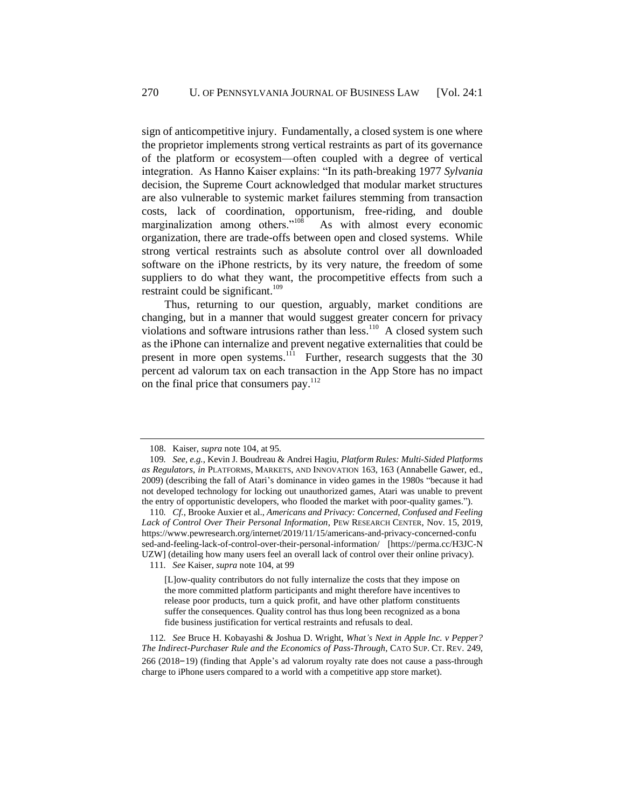sign of anticompetitive injury. Fundamentally, a closed system is one where the proprietor implements strong vertical restraints as part of its governance of the platform or ecosystem—often coupled with a degree of vertical integration. As Hanno Kaiser explains: "In its path-breaking 1977 *Sylvania* decision, the Supreme Court acknowledged that modular market structures are also vulnerable to systemic market failures stemming from transaction costs, lack of coordination, opportunism, free-riding, and double marginalization among others."<sup>108</sup> As with almost every economic organization, there are trade-offs between open and closed systems. While strong vertical restraints such as absolute control over all downloaded software on the iPhone restricts, by its very nature, the freedom of some suppliers to do what they want, the procompetitive effects from such a restraint could be significant.<sup>109</sup>

Thus, returning to our question, arguably, market conditions are changing, but in a manner that would suggest greater concern for privacy violations and software intrusions rather than less.<sup>110</sup> A closed system such as the iPhone can internalize and prevent negative externalities that could be present in more open systems.<sup>111</sup> Further, research suggests that the 30 percent ad valorum tax on each transaction in the App Store has no impact on the final price that consumers pay.<sup>112</sup>

111*. See* Kaiser, *supra* note [104,](#page-25-0) at 99

[L]ow-quality contributors do not fully internalize the costs that they impose on the more committed platform participants and might therefore have incentives to release poor products, turn a quick profit, and have other platform constituents suffer the consequences. Quality control has thus long been recognized as a bona fide business justification for vertical restraints and refusals to deal.

112*. See* Bruce H. Kobayashi & Joshua D. Wright, *What's Next in Apple Inc. v Pepper? The Indirect-Purchaser Rule and the Economics of Pass-Through*, CATO SUP. CT. REV. 249, 266 (2018–19) (finding that Apple's ad valorum royalty rate does not cause a pass-through charge to iPhone users compared to a world with a competitive app store market).

<sup>108.</sup> Kaiser, *supra* note [104,](#page-25-0) at 95.

<sup>109</sup>*. See, e.g.*, Kevin J. Boudreau & Andrei Hagiu, *Platform Rules: Multi-Sided Platforms as Regulators*, *in* PLATFORMS, MARKETS, AND INNOVATION 163, 163 (Annabelle Gawer, ed., 2009) (describing the fall of Atari's dominance in video games in the 1980s "because it had not developed technology for locking out unauthorized games, Atari was unable to prevent the entry of opportunistic developers, who flooded the market with poor-quality games.").

<sup>110</sup>*. Cf.*, Brooke Auxier et al., *Americans and Privacy: Concerned, Confused and Feeling Lack of Control Over Their Personal Information*, PEW RESEARCH CENTER, Nov. 15, 2019, https://www.pewresearch.org/internet/2019/11/15/americans-and-privacy-concerned-confu sed-and-feeling-lack-of-control-over-their-personal-information/ [https://perma.cc/H3JC-N UZW] (detailing how many users feel an overall lack of control over their online privacy).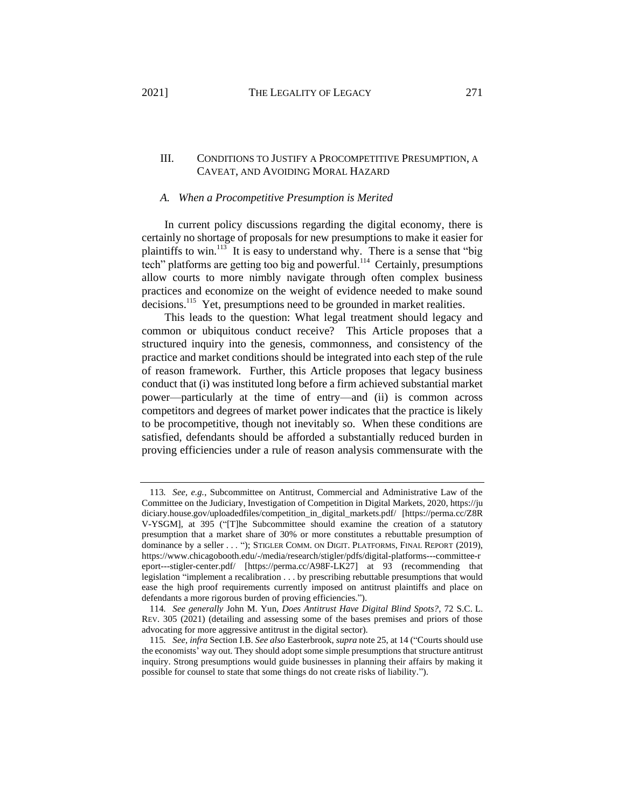# III. CONDITIONS TO JUSTIFY A PROCOMPETITIVE PRESUMPTION, A

### *A. When a Procompetitive Presumption is Merited*

CAVEAT, AND AVOIDING MORAL HAZARD

In current policy discussions regarding the digital economy, there is certainly no shortage of proposals for new presumptions to make it easier for plaintiffs to win.<sup>113</sup> It is easy to understand why. There is a sense that "big tech" platforms are getting too big and powerful.<sup>114</sup> Certainly, presumptions allow courts to more nimbly navigate through often complex business practices and economize on the weight of evidence needed to make sound decisions.<sup>115</sup> Yet, presumptions need to be grounded in market realities.

This leads to the question: What legal treatment should legacy and common or ubiquitous conduct receive? This Article proposes that a structured inquiry into the genesis, commonness, and consistency of the practice and market conditions should be integrated into each step of the rule of reason framework. Further, this Article proposes that legacy business conduct that (i) was instituted long before a firm achieved substantial market power—particularly at the time of entry—and (ii) is common across competitors and degrees of market power indicates that the practice is likely to be procompetitive, though not inevitably so. When these conditions are satisfied, defendants should be afforded a substantially reduced burden in proving efficiencies under a rule of reason analysis commensurate with the

<sup>113</sup>*. See, e.g.*, Subcommittee on Antitrust, Commercial and Administrative Law of the Committee on the Judiciary, Investigation of Competition in Digital Markets, 2020, https://ju diciary.house.gov/uploadedfiles/competition\_in\_digital\_markets.pdf/ [https://perma.cc/Z8R V-YSGM], at 395 ("[T]he Subcommittee should examine the creation of a statutory presumption that a market share of 30% or more constitutes a rebuttable presumption of dominance by a seller . . . "); STIGLER COMM. ON DIGIT. PLATFORMS, FINAL REPORT (2019), https://www.chicagobooth.edu/-/media/research/stigler/pdfs/digital-platforms---committee-r eport---stigler-center.pdf/ [https://perma.cc/A98F-LK27] at 93 (recommending that legislation "implement a recalibration . . . by prescribing rebuttable presumptions that would ease the high proof requirements currently imposed on antitrust plaintiffs and place on defendants a more rigorous burden of proving efficiencies.").

<sup>114</sup>*. See generally* John M. Yun, *Does Antitrust Have Digital Blind Spots?*, 72 S.C. L. REV. 305 (2021) (detailing and assessing some of the bases premises and priors of those advocating for more aggressive antitrust in the digital sector).

<sup>115</sup>*. See, infra* Section [I.B.](#page-11-0) *See also* Easterbrook, *supra* note [25,](#page-6-2) at 14 ("Courts should use the economists' way out. They should adopt some simple presumptions that structure antitrust inquiry. Strong presumptions would guide businesses in planning their affairs by making it possible for counsel to state that some things do not create risks of liability.").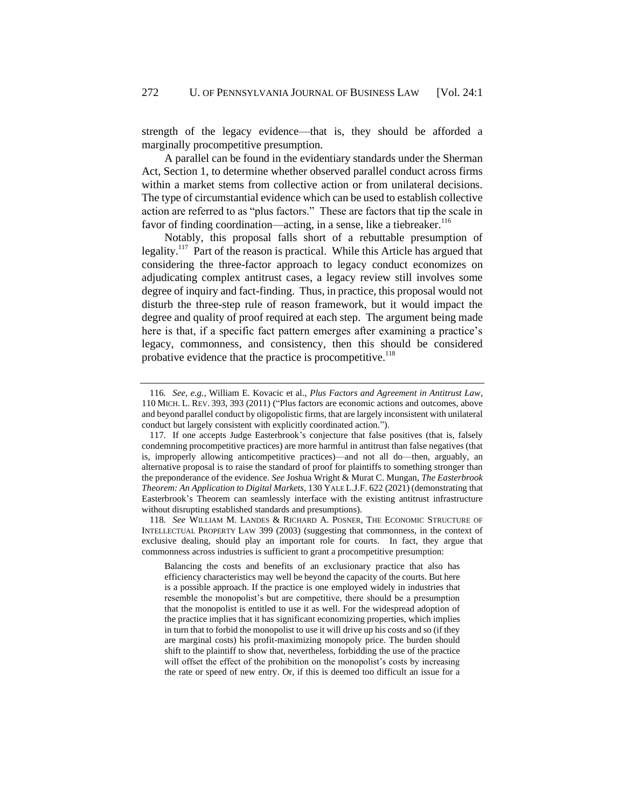strength of the legacy evidence—that is, they should be afforded a marginally procompetitive presumption.

A parallel can be found in the evidentiary standards under the Sherman Act, Section 1, to determine whether observed parallel conduct across firms within a market stems from collective action or from unilateral decisions. The type of circumstantial evidence which can be used to establish collective action are referred to as "plus factors." These are factors that tip the scale in favor of finding coordination—acting, in a sense, like a tiebreaker. $116$ 

Notably, this proposal falls short of a rebuttable presumption of legality.<sup>117</sup> Part of the reason is practical. While this Article has argued that considering the three-factor approach to legacy conduct economizes on adjudicating complex antitrust cases, a legacy review still involves some degree of inquiry and fact-finding. Thus, in practice, this proposal would not disturb the three-step rule of reason framework, but it would impact the degree and quality of proof required at each step. The argument being made here is that, if a specific fact pattern emerges after examining a practice's legacy, commonness, and consistency, then this should be considered probative evidence that the practice is procompetitive.<sup>118</sup>

<sup>116</sup>*. See, e.g.*, William E. Kovacic et al., *Plus Factors and Agreement in Antitrust Law*, 110 MICH. L. REV. 393, 393 (2011) ("Plus factors are economic actions and outcomes, above and beyond parallel conduct by oligopolistic firms, that are largely inconsistent with unilateral conduct but largely consistent with explicitly coordinated action.").

<sup>117.</sup> If one accepts Judge Easterbrook's conjecture that false positives (that is, falsely condemning procompetitive practices) are more harmful in antitrust than false negatives (that is, improperly allowing anticompetitive practices)—and not all do—then, arguably, an alternative proposal is to raise the standard of proof for plaintiffs to something stronger than the preponderance of the evidence. *See* Joshua Wright & Murat C. Mungan, *The Easterbrook Theorem: An Application to Digital Markets*, 130 YALE L.J.F. 622 (2021) (demonstrating that Easterbrook's Theorem can seamlessly interface with the existing antitrust infrastructure without disrupting established standards and presumptions).

<sup>118</sup>*. See* WILLIAM M. LANDES & RICHARD A. POSNER, THE ECONOMIC STRUCTURE OF INTELLECTUAL PROPERTY LAW 399 (2003) (suggesting that commonness, in the context of exclusive dealing, should play an important role for courts. In fact, they argue that commonness across industries is sufficient to grant a procompetitive presumption:

Balancing the costs and benefits of an exclusionary practice that also has efficiency characteristics may well be beyond the capacity of the courts. But here is a possible approach. If the practice is one employed widely in industries that resemble the monopolist's but are competitive, there should be a presumption that the monopolist is entitled to use it as well. For the widespread adoption of the practice implies that it has significant economizing properties, which implies in turn that to forbid the monopolist to use it will drive up his costs and so (if they are marginal costs) his profit-maximizing monopoly price. The burden should shift to the plaintiff to show that, nevertheless, forbidding the use of the practice will offset the effect of the prohibition on the monopolist's costs by increasing the rate or speed of new entry. Or, if this is deemed too difficult an issue for a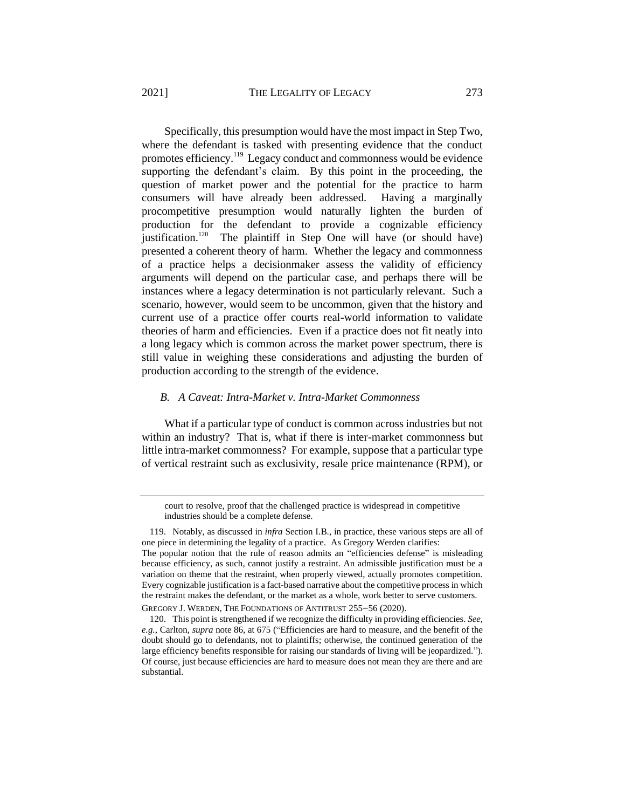Specifically, this presumption would have the most impact in Step Two, where the defendant is tasked with presenting evidence that the conduct promotes efficiency.<sup>119</sup> Legacy conduct and commonness would be evidence supporting the defendant's claim. By this point in the proceeding, the question of market power and the potential for the practice to harm consumers will have already been addressed. Having a marginally procompetitive presumption would naturally lighten the burden of production for the defendant to provide a cognizable efficiency justification.<sup>120</sup> The plaintiff in Step One will have (or should have) presented a coherent theory of harm. Whether the legacy and commonness of a practice helps a decisionmaker assess the validity of efficiency arguments will depend on the particular case, and perhaps there will be instances where a legacy determination is not particularly relevant. Such a scenario, however, would seem to be uncommon, given that the history and current use of a practice offer courts real-world information to validate theories of harm and efficiencies. Even if a practice does not fit neatly into a long legacy which is common across the market power spectrum, there is still value in weighing these considerations and adjusting the burden of production according to the strength of the evidence.

### *B. A Caveat: Intra-Market v. Intra-Market Commonness*

What if a particular type of conduct is common across industries but not within an industry? That is, what if there is inter-market commonness but little intra-market commonness? For example, suppose that a particular type of vertical restraint such as exclusivity, resale price maintenance (RPM), or

GREGORY J. WERDEN, THE FOUNDATIONS OF ANTITRUST 255–56 (2020).

court to resolve, proof that the challenged practice is widespread in competitive industries should be a complete defense.

<sup>119.</sup> Notably, as discussed in *infra* Section [I.B.,](#page-11-0) in practice, these various steps are all of one piece in determining the legality of a practice. As Gregory Werden clarifies:

The popular notion that the rule of reason admits an "efficiencies defense" is misleading because efficiency, as such, cannot justify a restraint. An admissible justification must be a variation on theme that the restraint, when properly viewed, actually promotes competition. Every cognizable justification is a fact-based narrative about the competitive process in which the restraint makes the defendant, or the market as a whole, work better to serve customers.

<sup>120.</sup> This point is strengthened if we recognize the difficulty in providing efficiencies. *See, e.g.*, Carlton, *supra* note [86,](#page-20-0) at 675 ("Efficiencies are hard to measure, and the benefit of the doubt should go to defendants, not to plaintiffs; otherwise, the continued generation of the large efficiency benefits responsible for raising our standards of living will be jeopardized."). Of course, just because efficiencies are hard to measure does not mean they are there and are substantial.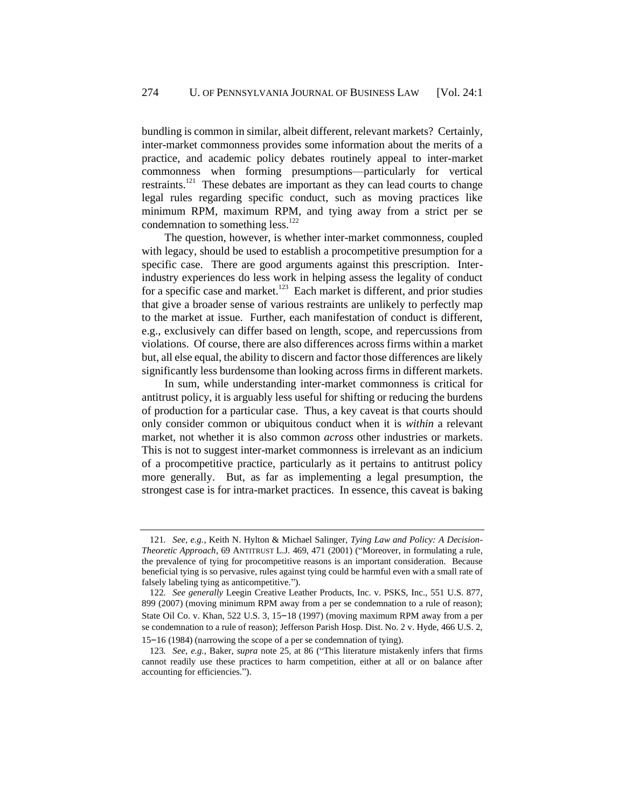bundling is common in similar, albeit different, relevant markets? Certainly, inter-market commonness provides some information about the merits of a practice, and academic policy debates routinely appeal to inter-market commonness when forming presumptions—particularly for vertical restraints.<sup>121</sup> These debates are important as they can lead courts to change legal rules regarding specific conduct, such as moving practices like minimum RPM, maximum RPM, and tying away from a strict per se condemnation to something less.<sup>122</sup>

The question, however, is whether inter-market commonness, coupled with legacy, should be used to establish a procompetitive presumption for a specific case. There are good arguments against this prescription. Interindustry experiences do less work in helping assess the legality of conduct for a specific case and market.<sup>123</sup> Each market is different, and prior studies that give a broader sense of various restraints are unlikely to perfectly map to the market at issue. Further, each manifestation of conduct is different, e.g., exclusively can differ based on length, scope, and repercussions from violations. Of course, there are also differences across firms within a market but, all else equal, the ability to discern and factor those differences are likely significantly less burdensome than looking across firms in different markets.

In sum, while understanding inter-market commonness is critical for antitrust policy, it is arguably less useful for shifting or reducing the burdens of production for a particular case. Thus, a key caveat is that courts should only consider common or ubiquitous conduct when it is *within* a relevant market, not whether it is also common *across* other industries or markets. This is not to suggest inter-market commonness is irrelevant as an indicium of a procompetitive practice, particularly as it pertains to antitrust policy more generally. But, as far as implementing a legal presumption, the strongest case is for intra-market practices. In essence, this caveat is baking

<sup>121</sup>*. See, e.g.*, Keith N. Hylton & Michael Salinger, *Tying Law and Policy: A Decision-Theoretic Approach*, 69 ANTITRUST L.J. 469, 471 (2001) ("Moreover, in formulating a rule, the prevalence of tying for procompetitive reasons is an important consideration. Because beneficial tying is so pervasive, rules against tying could be harmful even with a small rate of falsely labeling tying as anticompetitive.").

<sup>122</sup>*. See generally* Leegin Creative Leather Products, Inc. v. PSKS, Inc., 551 U.S. 877, 899 (2007) (moving minimum RPM away from a per se condemnation to a rule of reason); State Oil Co. v. Khan, 522 U.S. 3, 15–18 (1997) (moving maximum RPM away from a per se condemnation to a rule of reason); Jefferson Parish Hosp. Dist. No. 2 v. Hyde, 466 U.S. 2, 15–16 (1984) (narrowing the scope of a per se condemnation of tying).

<sup>123</sup>*. See, e.g.*, Baker, *supra* note [25,](#page-6-2) at 86 ("This literature mistakenly infers that firms cannot readily use these practices to harm competition, either at all or on balance after accounting for efficiencies.").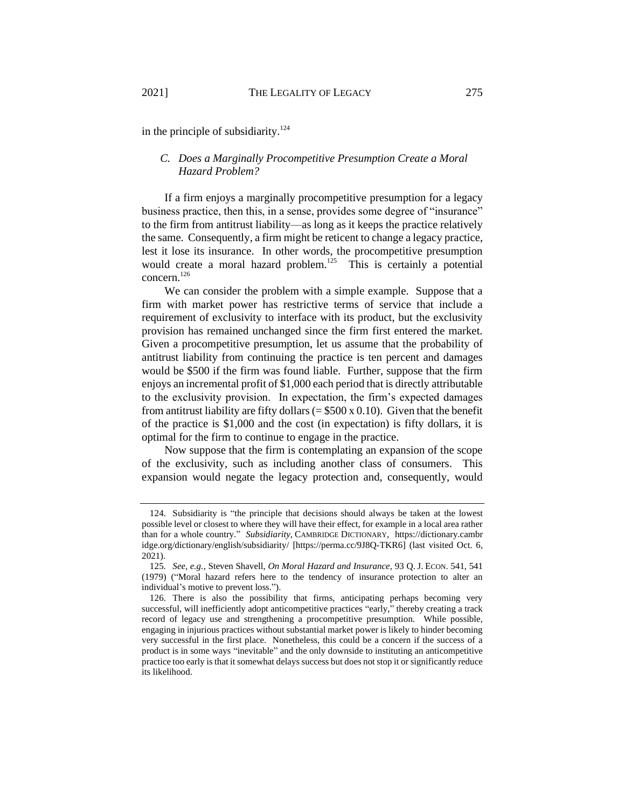in the principle of subsidiarity. $124$ 

### *C. Does a Marginally Procompetitive Presumption Create a Moral Hazard Problem?*

If a firm enjoys a marginally procompetitive presumption for a legacy business practice, then this, in a sense, provides some degree of "insurance" to the firm from antitrust liability—as long as it keeps the practice relatively the same. Consequently, a firm might be reticent to change a legacy practice, lest it lose its insurance. In other words, the procompetitive presumption would create a moral hazard problem.<sup>125</sup> This is certainly a potential  $concern$ <sup>126</sup>

We can consider the problem with a simple example. Suppose that a firm with market power has restrictive terms of service that include a requirement of exclusivity to interface with its product, but the exclusivity provision has remained unchanged since the firm first entered the market. Given a procompetitive presumption, let us assume that the probability of antitrust liability from continuing the practice is ten percent and damages would be \$500 if the firm was found liable. Further, suppose that the firm enjoys an incremental profit of \$1,000 each period that is directly attributable to the exclusivity provision. In expectation, the firm's expected damages from antitrust liability are fifty dollars  $(=\$500 \times 0.10)$ . Given that the benefit of the practice is \$1,000 and the cost (in expectation) is fifty dollars, it is optimal for the firm to continue to engage in the practice.

Now suppose that the firm is contemplating an expansion of the scope of the exclusivity, such as including another class of consumers. This expansion would negate the legacy protection and, consequently, would

<sup>124.</sup> Subsidiarity is "the principle that decisions should always be taken at the lowest possible level or closest to where they will have their effect, for example in a local area rather than for a whole country." *Subsidiarity,* CAMBRIDGE DICTIONARY, https://dictionary.cambr idge.org/dictionary/english/subsidiarity/ [https://perma.cc/9J8Q-TKR6] (last visited Oct. 6, 2021).

<sup>125</sup>*. See, e.g.*, Steven Shavell, *On Moral Hazard and Insurance*, 93 Q. J. ECON. 541, 541 (1979) ("Moral hazard refers here to the tendency of insurance protection to alter an individual's motive to prevent loss.").

<sup>126.</sup> There is also the possibility that firms, anticipating perhaps becoming very successful, will inefficiently adopt anticompetitive practices "early," thereby creating a track record of legacy use and strengthening a procompetitive presumption. While possible, engaging in injurious practices without substantial market power is likely to hinder becoming very successful in the first place. Nonetheless, this could be a concern if the success of a product is in some ways "inevitable" and the only downside to instituting an anticompetitive practice too early is that it somewhat delays success but does not stop it or significantly reduce its likelihood.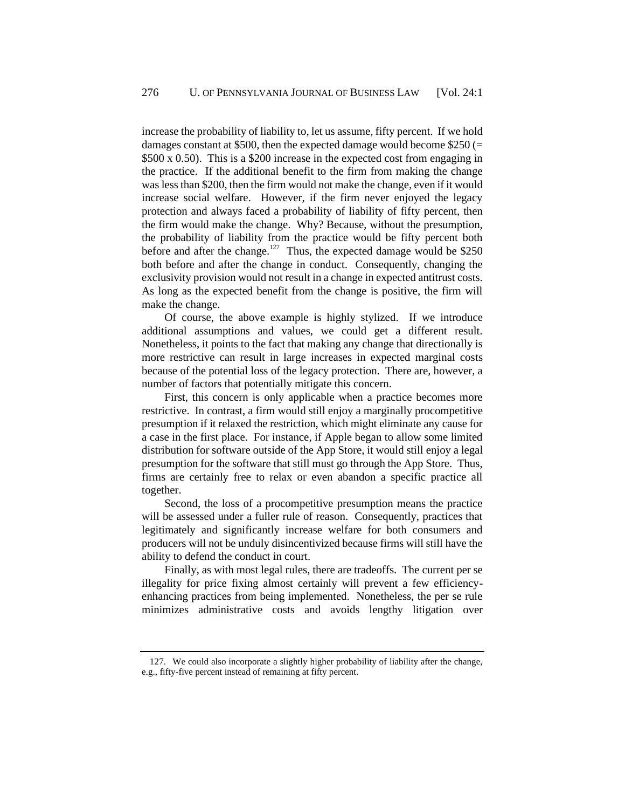increase the probability of liability to, let us assume, fifty percent. If we hold damages constant at \$500, then the expected damage would become  $$250 (=$ \$500 x 0.50). This is a \$200 increase in the expected cost from engaging in the practice. If the additional benefit to the firm from making the change was less than \$200, then the firm would not make the change, even if it would increase social welfare. However, if the firm never enjoyed the legacy protection and always faced a probability of liability of fifty percent, then the firm would make the change. Why? Because, without the presumption, the probability of liability from the practice would be fifty percent both before and after the change.<sup>127</sup> Thus, the expected damage would be \$250 both before and after the change in conduct. Consequently, changing the exclusivity provision would not result in a change in expected antitrust costs. As long as the expected benefit from the change is positive, the firm will make the change.

Of course, the above example is highly stylized. If we introduce additional assumptions and values, we could get a different result. Nonetheless, it points to the fact that making any change that directionally is more restrictive can result in large increases in expected marginal costs because of the potential loss of the legacy protection. There are, however, a number of factors that potentially mitigate this concern.

First, this concern is only applicable when a practice becomes more restrictive. In contrast, a firm would still enjoy a marginally procompetitive presumption if it relaxed the restriction, which might eliminate any cause for a case in the first place. For instance, if Apple began to allow some limited distribution for software outside of the App Store, it would still enjoy a legal presumption for the software that still must go through the App Store. Thus, firms are certainly free to relax or even abandon a specific practice all together.

Second, the loss of a procompetitive presumption means the practice will be assessed under a fuller rule of reason. Consequently, practices that legitimately and significantly increase welfare for both consumers and producers will not be unduly disincentivized because firms will still have the ability to defend the conduct in court.

Finally, as with most legal rules, there are tradeoffs. The current per se illegality for price fixing almost certainly will prevent a few efficiencyenhancing practices from being implemented. Nonetheless, the per se rule minimizes administrative costs and avoids lengthy litigation over

<sup>127.</sup> We could also incorporate a slightly higher probability of liability after the change, e.g., fifty-five percent instead of remaining at fifty percent.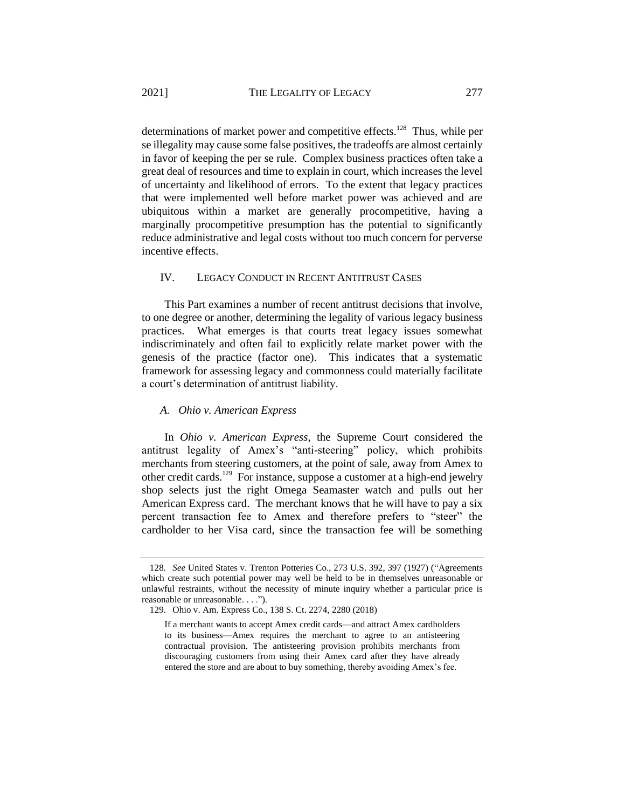determinations of market power and competitive effects.<sup>128</sup> Thus, while per se illegality may cause some false positives, the tradeoffs are almost certainly in favor of keeping the per se rule. Complex business practices often take a great deal of resources and time to explain in court, which increases the level of uncertainty and likelihood of errors. To the extent that legacy practices that were implemented well before market power was achieved and are ubiquitous within a market are generally procompetitive, having a marginally procompetitive presumption has the potential to significantly reduce administrative and legal costs without too much concern for perverse incentive effects.

### IV. LEGACY CONDUCT IN RECENT ANTITRUST CASES

This Part examines a number of recent antitrust decisions that involve, to one degree or another, determining the legality of various legacy business practices. What emerges is that courts treat legacy issues somewhat indiscriminately and often fail to explicitly relate market power with the genesis of the practice (factor one). This indicates that a systematic framework for assessing legacy and commonness could materially facilitate a court's determination of antitrust liability.

### *A. Ohio v. American Express*

In *Ohio v. American Express*, the Supreme Court considered the antitrust legality of Amex's "anti-steering" policy, which prohibits merchants from steering customers, at the point of sale, away from Amex to other credit cards.<sup>129</sup> For instance, suppose a customer at a high-end jewelry shop selects just the right Omega Seamaster watch and pulls out her American Express card. The merchant knows that he will have to pay a six percent transaction fee to Amex and therefore prefers to "steer" the cardholder to her Visa card, since the transaction fee will be something

<sup>128</sup>*. See* United States v. Trenton Potteries Co., 273 U.S. 392, 397 (1927) ("Agreements which create such potential power may well be held to be in themselves unreasonable or unlawful restraints, without the necessity of minute inquiry whether a particular price is reasonable or unreasonable. . . .").

<sup>129.</sup> Ohio v. Am. Express Co., 138 S. Ct. 2274, 2280 (2018)

If a merchant wants to accept Amex credit cards—and attract Amex cardholders to its business—Amex requires the merchant to agree to an antisteering contractual provision. The antisteering provision prohibits merchants from discouraging customers from using their Amex card after they have already entered the store and are about to buy something, thereby avoiding Amex's fee.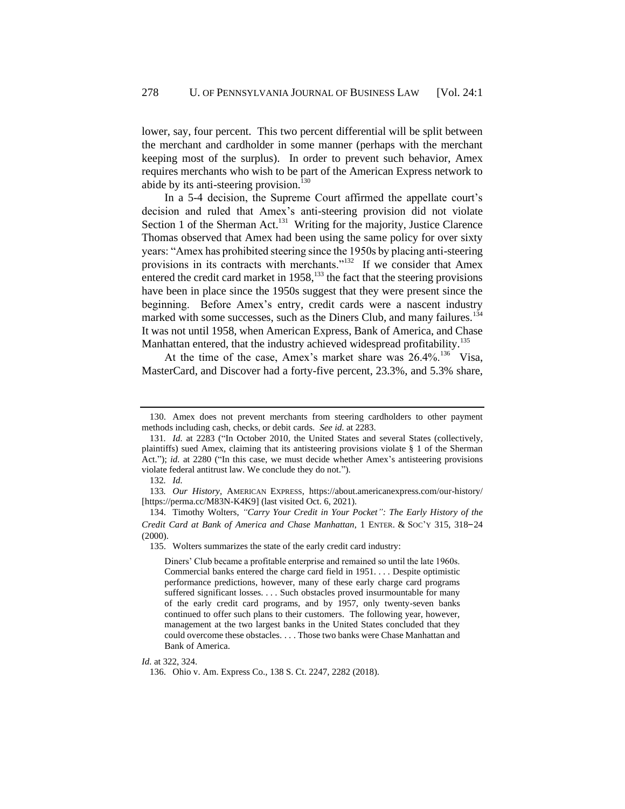lower, say, four percent. This two percent differential will be split between the merchant and cardholder in some manner (perhaps with the merchant keeping most of the surplus). In order to prevent such behavior, Amex requires merchants who wish to be part of the American Express network to abide by its anti-steering provision.<sup>130</sup>

In a 5-4 decision, the Supreme Court affirmed the appellate court's decision and ruled that Amex's anti-steering provision did not violate Section 1 of the Sherman Act.<sup>131</sup> Writing for the majority, Justice Clarence Thomas observed that Amex had been using the same policy for over sixty years: "Amex has prohibited steering since the 1950s by placing anti-steering provisions in its contracts with merchants."<sup>132</sup> If we consider that Amex entered the credit card market in  $1958$ ,<sup>133</sup> the fact that the steering provisions have been in place since the 1950s suggest that they were present since the beginning. Before Amex's entry, credit cards were a nascent industry marked with some successes, such as the Diners Club, and many failures.<sup>134</sup> It was not until 1958, when American Express, Bank of America, and Chase Manhattan entered, that the industry achieved widespread profitability.<sup>135</sup>

At the time of the case, Amex's market share was  $26.4\%$ .<sup>136</sup> Visa, MasterCard, and Discover had a forty-five percent, 23.3%, and 5.3% share,

<sup>130.</sup> Amex does not prevent merchants from steering cardholders to other payment methods including cash, checks, or debit cards. *See id*. at 2283.

<sup>131</sup>*. Id.* at 2283 ("In October 2010, the United States and several States (collectively, plaintiffs) sued Amex, claiming that its antisteering provisions violate § 1 of the Sherman Act."); *id.* at 2280 ("In this case, we must decide whether Amex's antisteering provisions violate federal antitrust law. We conclude they do not.").

<sup>132</sup>*. Id.*

<sup>133</sup>*. Our History*, AMERICAN EXPRESS, https://about.americanexpress.com/our-history/ [https://perma.cc/M83N-K4K9] (last visited Oct. 6, 2021).

<sup>134.</sup> Timothy Wolters, *"Carry Your Credit in Your Pocket": The Early History of the Credit Card at Bank of America and Chase Manhattan*, 1 ENTER. & SOC'<sup>Y</sup> 315, 318–24 (2000).

<sup>135.</sup> Wolters summarizes the state of the early credit card industry:

Diners' Club became a profitable enterprise and remained so until the late 1960s. Commercial banks entered the charge card field in 1951. . . . Despite optimistic performance predictions, however, many of these early charge card programs suffered significant losses. . . . Such obstacles proved insurmountable for many of the early credit card programs, and by 1957, only twenty-seven banks continued to offer such plans to their customers. The following year, however, management at the two largest banks in the United States concluded that they could overcome these obstacles. . . . Those two banks were Chase Manhattan and Bank of America.

*Id.* at 322, 324.

<sup>136.</sup> Ohio v. Am. Express Co., 138 S. Ct. 2247, 2282 (2018).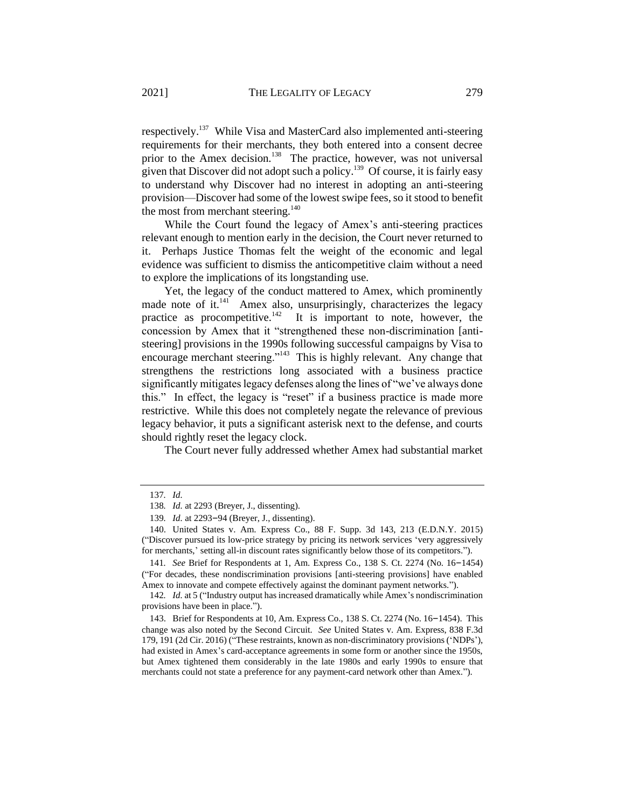respectively.<sup>137</sup> While Visa and MasterCard also implemented anti-steering requirements for their merchants, they both entered into a consent decree prior to the Amex decision.<sup>138</sup> The practice, however, was not universal given that Discover did not adopt such a policy.<sup>139</sup> Of course, it is fairly easy to understand why Discover had no interest in adopting an anti-steering provision—Discover had some of the lowest swipe fees, so it stood to benefit the most from merchant steering.<sup>140</sup>

While the Court found the legacy of Amex's anti-steering practices relevant enough to mention early in the decision, the Court never returned to it. Perhaps Justice Thomas felt the weight of the economic and legal evidence was sufficient to dismiss the anticompetitive claim without a need to explore the implications of its longstanding use.

Yet, the legacy of the conduct mattered to Amex, which prominently made note of it.<sup>141</sup> Amex also, unsurprisingly, characterizes the legacy practice as procompetitive.<sup>142</sup> It is important to note, however, the concession by Amex that it "strengthened these non-discrimination [antisteering] provisions in the 1990s following successful campaigns by Visa to encourage merchant steering."<sup>143</sup> This is highly relevant. Any change that strengthens the restrictions long associated with a business practice significantly mitigates legacy defenses along the lines of "we've always done this." In effect, the legacy is "reset" if a business practice is made more restrictive. While this does not completely negate the relevance of previous legacy behavior, it puts a significant asterisk next to the defense, and courts should rightly reset the legacy clock.

The Court never fully addressed whether Amex had substantial market

<sup>137</sup>*. Id.*

<sup>138</sup>*. Id.* at 2293 (Breyer, J., dissenting).

<sup>139</sup>*. Id.* at 2293–94 (Breyer, J., dissenting).

<sup>140.</sup> United States v. Am. Express Co., 88 F. Supp. 3d 143, 213 (E.D.N.Y. 2015) ("Discover pursued its low-price strategy by pricing its network services 'very aggressively for merchants,' setting all-in discount rates significantly below those of its competitors.").

<sup>141</sup>*. See* Brief for Respondents at 1, Am. Express Co., 138 S. Ct. 2274 (No. 16–1454) ("For decades, these nondiscrimination provisions [anti-steering provisions] have enabled Amex to innovate and compete effectively against the dominant payment networks.").

<sup>142</sup>*. Id.* at 5 ("Industry output has increased dramatically while Amex's nondiscrimination provisions have been in place.").

<sup>143.</sup> Brief for Respondents at 10, Am. Express Co., 138 S. Ct. 2274 (No. 16–1454). This change was also noted by the Second Circuit. *See* United States v. Am. Express, 838 F.3d 179, 191 (2d Cir. 2016) ("These restraints, known as non-discriminatory provisions ('NDPs'), had existed in Amex's card-acceptance agreements in some form or another since the 1950s, but Amex tightened them considerably in the late 1980s and early 1990s to ensure that merchants could not state a preference for any payment-card network other than Amex.").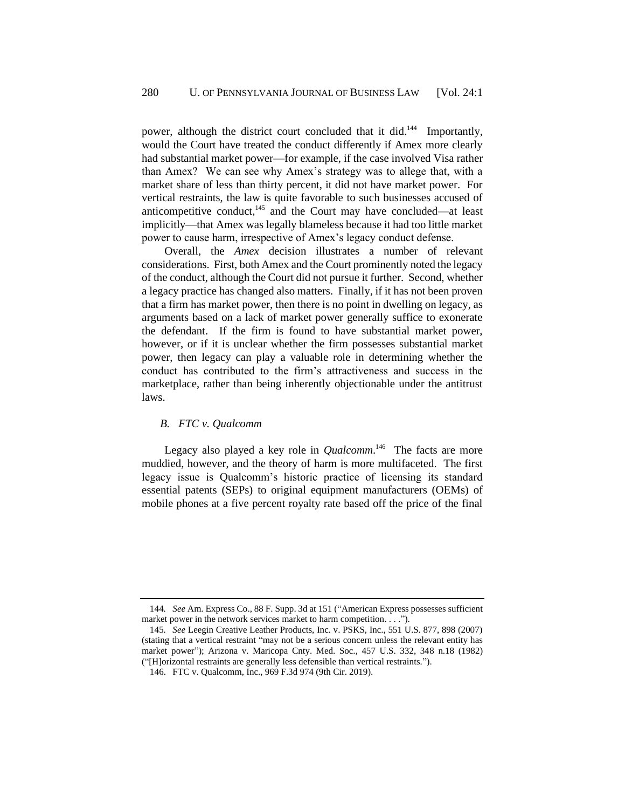power, although the district court concluded that it did.<sup>144</sup> Importantly, would the Court have treated the conduct differently if Amex more clearly had substantial market power—for example, if the case involved Visa rather than Amex? We can see why Amex's strategy was to allege that, with a market share of less than thirty percent, it did not have market power. For vertical restraints, the law is quite favorable to such businesses accused of anticompetitive conduct, $145$  and the Court may have concluded—at least implicitly—that Amex was legally blameless because it had too little market power to cause harm, irrespective of Amex's legacy conduct defense.

Overall, the *Amex* decision illustrates a number of relevant considerations. First, both Amex and the Court prominently noted the legacy of the conduct, although the Court did not pursue it further. Second, whether a legacy practice has changed also matters. Finally, if it has not been proven that a firm has market power, then there is no point in dwelling on legacy, as arguments based on a lack of market power generally suffice to exonerate the defendant. If the firm is found to have substantial market power, however, or if it is unclear whether the firm possesses substantial market power, then legacy can play a valuable role in determining whether the conduct has contributed to the firm's attractiveness and success in the marketplace, rather than being inherently objectionable under the antitrust laws.

### *B. FTC v. Qualcomm*

Legacy also played a key role in *Qualcomm*.<sup>146</sup> The facts are more muddied, however, and the theory of harm is more multifaceted. The first legacy issue is Qualcomm's historic practice of licensing its standard essential patents (SEPs) to original equipment manufacturers (OEMs) of mobile phones at a five percent royalty rate based off the price of the final

<sup>144</sup>*. See* Am. Express Co., 88 F. Supp. 3d at 151 ("American Express possesses sufficient market power in the network services market to harm competition. . . .").

<sup>145</sup>*. See* Leegin Creative Leather Products, Inc. v. PSKS, Inc., 551 U.S. 877, 898 (2007) (stating that a vertical restraint "may not be a serious concern unless the relevant entity has market power"); Arizona v. Maricopa Cnty. Med. Soc., 457 U.S. 332, 348 n.18 (1982) ("[H]orizontal restraints are generally less defensible than vertical restraints.").

<sup>146.</sup> FTC v. Qualcomm, Inc., 969 F.3d 974 (9th Cir. 2019).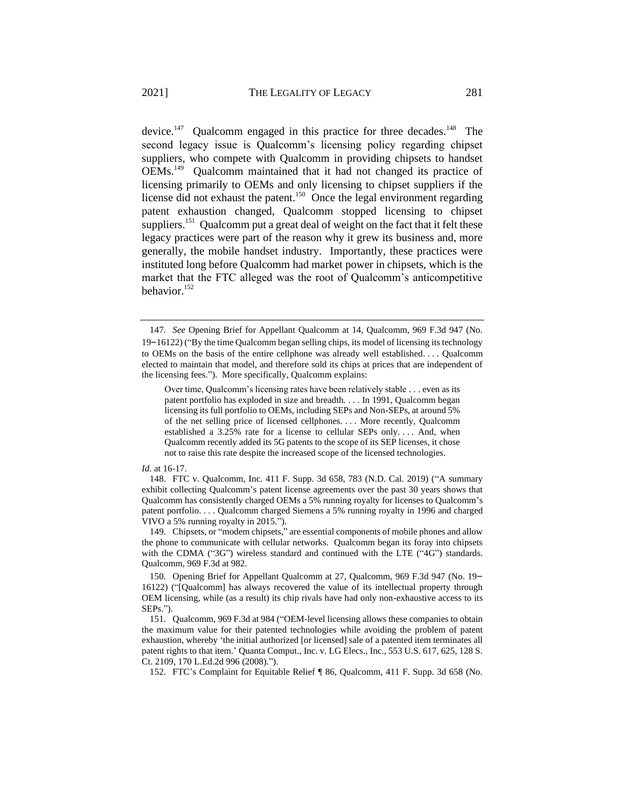<span id="page-37-0"></span>device.<sup>147</sup> Qualcomm engaged in this practice for three decades.<sup>148</sup> The second legacy issue is Qualcomm's licensing policy regarding chipset suppliers, who compete with Qualcomm in providing chipsets to handset OEMs.<sup>149</sup> Qualcomm maintained that it had not changed its practice of licensing primarily to OEMs and only licensing to chipset suppliers if the license did not exhaust the patent.<sup>150</sup> Once the legal environment regarding patent exhaustion changed, Qualcomm stopped licensing to chipset suppliers.<sup>151</sup> Qualcomm put a great deal of weight on the fact that it felt these legacy practices were part of the reason why it grew its business and, more generally, the mobile handset industry. Importantly, these practices were instituted long before Qualcomm had market power in chipsets, which is the market that the FTC alleged was the root of Qualcomm's anticompetitive behavior.<sup>152</sup>

### *Id.* at 16-17.

<sup>147</sup>*. See* Opening Brief for Appellant Qualcomm at 14, Qualcomm, 969 F.3d 947 (No. 19–16122) ("By the time Qualcomm began selling chips, its model of licensing its technology to OEMs on the basis of the entire cellphone was already well established. . . . Qualcomm elected to maintain that model, and therefore sold its chips at prices that are independent of the licensing fees."). More specifically, Qualcomm explains:

Over time, Qualcomm's licensing rates have been relatively stable . . . even as its patent portfolio has exploded in size and breadth. . . . In 1991, Qualcomm began licensing its full portfolio to OEMs, including SEPs and Non-SEPs, at around 5% of the net selling price of licensed cellphones. . . . More recently, Qualcomm established a 3.25% rate for a license to cellular SEPs only. . . . And, when Qualcomm recently added its 5G patents to the scope of its SEP licenses, it chose not to raise this rate despite the increased scope of the licensed technologies.

<sup>148.</sup> FTC v. Qualcomm, Inc. 411 F. Supp. 3d 658, 783 (N.D. Cal. 2019) ("A summary exhibit collecting Qualcomm's patent license agreements over the past 30 years shows that Qualcomm has consistently charged OEMs a 5% running royalty for licenses to Qualcomm's patent portfolio. . . . Qualcomm charged Siemens a 5% running royalty in 1996 and charged VIVO a 5% running royalty in 2015.").

<sup>149.</sup> Chipsets, or "modem chipsets," are essential components of mobile phones and allow the phone to communicate with cellular networks. Qualcomm began its foray into chipsets with the CDMA ("3G") wireless standard and continued with the LTE ("4G") standards. Qualcomm, 969 F.3d at 982.

<sup>150.</sup> Opening Brief for Appellant Qualcomm at 27, Qualcomm, 969 F.3d 947 (No. 19– 16122) ("[Qualcomm] has always recovered the value of its intellectual property through OEM licensing, while (as a result) its chip rivals have had only non-exhaustive access to its SEPs.").

<sup>151.</sup> Qualcomm, 969 F.3d at 984 ("OEM-level licensing allows these companies to obtain the maximum value for their patented technologies while avoiding the problem of patent exhaustion, whereby 'the initial authorized [or licensed] sale of a patented item terminates all patent rights to that item.' Quanta Comput., Inc. v. LG Elecs., Inc., 553 U.S. 617, 625, 128 S. Ct. 2109, 170 L.Ed.2d 996 (2008).").

<sup>152.</sup> FTC's Complaint for Equitable Relief ¶ 86, Qualcomm, 411 F. Supp. 3d 658 (No.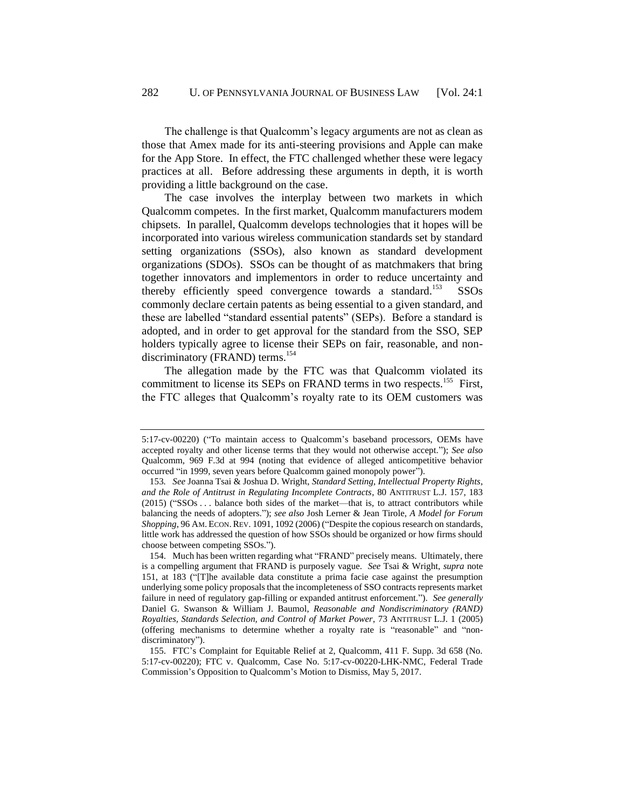The challenge is that Qualcomm's legacy arguments are not as clean as those that Amex made for its anti-steering provisions and Apple can make for the App Store. In effect, the FTC challenged whether these were legacy practices at all. Before addressing these arguments in depth, it is worth providing a little background on the case.

The case involves the interplay between two markets in which Qualcomm competes. In the first market, Qualcomm manufacturers modem chipsets. In parallel, Qualcomm develops technologies that it hopes will be incorporated into various wireless communication standards set by standard setting organizations (SSOs), also known as standard development organizations (SDOs). SSOs can be thought of as matchmakers that bring together innovators and implementors in order to reduce uncertainty and thereby efficiently speed convergence towards a standard.<sup>153</sup> SSOs commonly declare certain patents as being essential to a given standard, and these are labelled "standard essential patents" (SEPs). Before a standard is adopted, and in order to get approval for the standard from the SSO, SEP holders typically agree to license their SEPs on fair, reasonable, and nondiscriminatory (FRAND) terms.<sup>154</sup>

The allegation made by the FTC was that Qualcomm violated its commitment to license its SEPs on FRAND terms in two respects.<sup>155</sup> First, the FTC alleges that Qualcomm's royalty rate to its OEM customers was

<sup>5:17-</sup>cv-00220) ("To maintain access to Qualcomm's baseband processors, OEMs have accepted royalty and other license terms that they would not otherwise accept."); *See also* Qualcomm, 969 F.3d at 994 (noting that evidence of alleged anticompetitive behavior occurred "in 1999, seven years before Qualcomm gained monopoly power").

<sup>153</sup>*. See* Joanna Tsai & Joshua D. Wright, *Standard Setting, Intellectual Property Rights*, *and the Role of Antitrust in Regulating Incomplete Contracts*, 80 ANTITRUST L.J. 157, 183 (2015) ("SSOs . . . balance both sides of the market—that is, to attract contributors while balancing the needs of adopters."); *see also* Josh Lerner & Jean Tirole, *A Model for Forum Shopping*, 96 AM. ECON.REV. 1091, 1092 (2006) ("Despite the copious research on standards, little work has addressed the question of how SSOs should be organized or how firms should choose between competing SSOs.").

<sup>154.</sup> Much has been written regarding what "FRAND" precisely means. Ultimately, there is a compelling argument that FRAND is purposely vague. *See* Tsai & Wright, *supra* note [151,](#page-37-0) at 183 ("[T]he available data constitute a prima facie case against the presumption underlying some policy proposals that the incompleteness of SSO contracts represents market failure in need of regulatory gap-filling or expanded antitrust enforcement."). *See generally* Daniel G. Swanson & William J. Baumol, *Reasonable and Nondiscriminatory (RAND) Royalties, Standards Selection, and Control of Market Power*, 73 ANTITRUST L.J. 1 (2005) (offering mechanisms to determine whether a royalty rate is "reasonable" and "nondiscriminatory").

<sup>155.</sup> FTC's Complaint for Equitable Relief at 2, Qualcomm, 411 F. Supp. 3d 658 (No. 5:17-cv-00220); FTC v. Qualcomm, Case No. 5:17-cv-00220-LHK-NMC, Federal Trade Commission's Opposition to Qualcomm's Motion to Dismiss, May 5, 2017.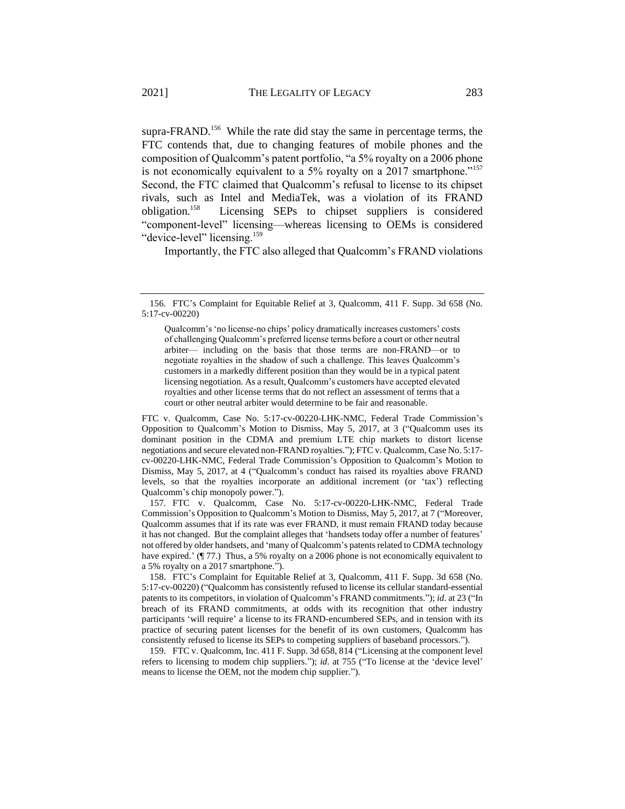supra-FRAND.<sup>156</sup> While the rate did stay the same in percentage terms, the FTC contends that, due to changing features of mobile phones and the composition of Qualcomm's patent portfolio, "a 5% royalty on a 2006 phone is not economically equivalent to a 5% royalty on a 2017 smartphone."<sup>157</sup> Second, the FTC claimed that Qualcomm's refusal to license to its chipset rivals, such as Intel and MediaTek, was a violation of its FRAND obligation.<sup>158</sup> Licensing SEPs to chipset suppliers is considered "component-level" licensing—whereas licensing to OEMs is considered "device-level" licensing.<sup>159</sup>

Importantly, the FTC also alleged that Qualcomm's FRAND violations

FTC v. Qualcomm, Case No. 5:17-cv-00220-LHK-NMC, Federal Trade Commission's Opposition to Qualcomm's Motion to Dismiss, May 5, 2017, at 3 ("Qualcomm uses its dominant position in the CDMA and premium LTE chip markets to distort license negotiations and secure elevated non-FRAND royalties."); FTC v. Qualcomm, Case No. 5:17 cv-00220-LHK-NMC, Federal Trade Commission's Opposition to Qualcomm's Motion to Dismiss, May 5, 2017, at 4 ("Qualcomm's conduct has raised its royalties above FRAND levels, so that the royalties incorporate an additional increment (or 'tax') reflecting Qualcomm's chip monopoly power.").

157. FTC v. Qualcomm, Case No. 5:17-cv-00220-LHK-NMC, Federal Trade Commission's Opposition to Qualcomm's Motion to Dismiss, May 5, 2017, at 7 ("Moreover, Qualcomm assumes that if its rate was ever FRAND, it must remain FRAND today because it has not changed. But the complaint alleges that 'handsets today offer a number of features' not offered by older handsets, and 'many of Qualcomm's patents related to CDMA technology have expired.' (¶ 77.) Thus, a 5% royalty on a 2006 phone is not economically equivalent to a 5% royalty on a 2017 smartphone.").

158. FTC's Complaint for Equitable Relief at 3, Qualcomm, 411 F. Supp. 3d 658 (No. 5:17-cv-00220) ("Qualcomm has consistently refused to license its cellular standard-essential patents to its competitors, in violation of Qualcomm's FRAND commitments."); *id*. at 23 ("In breach of its FRAND commitments, at odds with its recognition that other industry participants 'will require' a license to its FRAND-encumbered SEPs, and in tension with its practice of securing patent licenses for the benefit of its own customers, Qualcomm has consistently refused to license its SEPs to competing suppliers of baseband processors.").

159. FTC v. Qualcomm, Inc. 411 F. Supp. 3d 658, 814 ("Licensing at the component level refers to licensing to modem chip suppliers."); *id*. at 755 ("To license at the 'device level' means to license the OEM, not the modem chip supplier.").

<sup>156.</sup> FTC's Complaint for Equitable Relief at 3, Qualcomm, 411 F. Supp. 3d 658 (No. 5:17-cv-00220)

Qualcomm's 'no license-no chips' policy dramatically increases customers' costs of challenging Qualcomm's preferred license terms before a court or other neutral arbiter— including on the basis that those terms are non-FRAND—or to negotiate royalties in the shadow of such a challenge. This leaves Qualcomm's customers in a markedly different position than they would be in a typical patent licensing negotiation. As a result, Qualcomm's customers have accepted elevated royalties and other license terms that do not reflect an assessment of terms that a court or other neutral arbiter would determine to be fair and reasonable.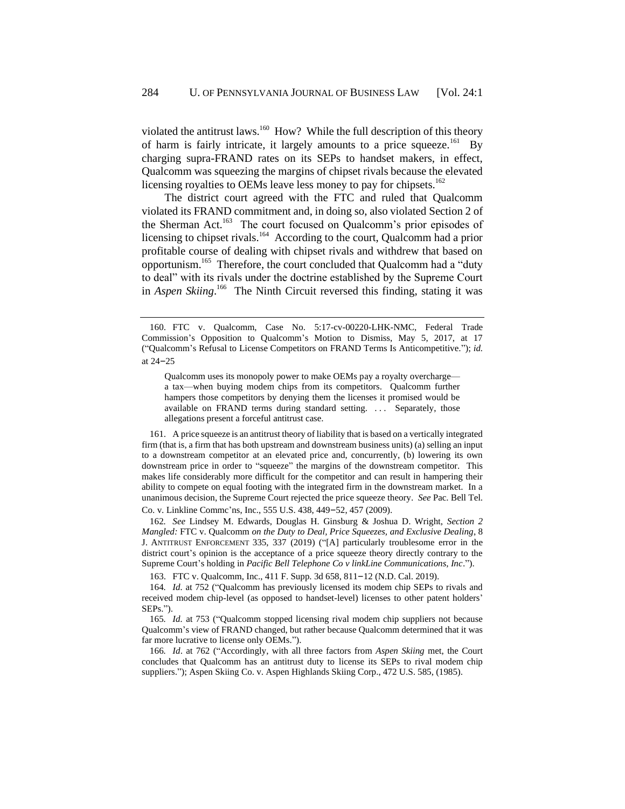violated the antitrust laws.<sup>160</sup> How? While the full description of this theory of harm is fairly intricate, it largely amounts to a price squeeze.<sup>161</sup> By charging supra-FRAND rates on its SEPs to handset makers, in effect, Qualcomm was squeezing the margins of chipset rivals because the elevated licensing royalties to OEMs leave less money to pay for chipsets.<sup>162</sup>

The district court agreed with the FTC and ruled that Qualcomm violated its FRAND commitment and, in doing so, also violated Section 2 of the Sherman Act.<sup>163</sup> The court focused on Qualcomm's prior episodes of licensing to chipset rivals.<sup>164</sup> According to the court, Qualcomm had a prior profitable course of dealing with chipset rivals and withdrew that based on opportunism.<sup>165</sup> Therefore, the court concluded that Qualcomm had a "duty to deal" with its rivals under the doctrine established by the Supreme Court in *Aspen Skiing*. 166 The Ninth Circuit reversed this finding, stating it was

Qualcomm uses its monopoly power to make OEMs pay a royalty overcharge a tax—when buying modem chips from its competitors. Qualcomm further hampers those competitors by denying them the licenses it promised would be available on FRAND terms during standard setting. ... Separately, those allegations present a forceful antitrust case.

161. A price squeeze is an antitrust theory of liability that is based on a vertically integrated firm (that is, a firm that has both upstream and downstream business units) (a) selling an input to a downstream competitor at an elevated price and, concurrently, (b) lowering its own downstream price in order to "squeeze" the margins of the downstream competitor. This makes life considerably more difficult for the competitor and can result in hampering their ability to compete on equal footing with the integrated firm in the downstream market. In a unanimous decision, the Supreme Court rejected the price squeeze theory. *See* Pac. Bell Tel. Co. v. Linkline Commc'ns, Inc., 555 U.S. 438, 449–52, 457 (2009).

162*. See* Lindsey M. Edwards, Douglas H. Ginsburg & Joshua D. Wright, *Section 2 Mangled:* FTC v. Qualcomm *on the Duty to Deal, Price Squeezes, and Exclusive Dealing*, 8 J. ANTITRUST ENFORCEMENT 335, 337 (2019) ("[A] particularly troublesome error in the district court's opinion is the acceptance of a price squeeze theory directly contrary to the Supreme Court's holding in *Pacific Bell Telephone Co v linkLine Communications, Inc*.").

163. FTC v. Qualcomm, Inc., 411 F. Supp. 3d 658, 811–12 (N.D. Cal. 2019).

164*. Id.* at 752 ("Qualcomm has previously licensed its modem chip SEPs to rivals and received modem chip-level (as opposed to handset-level) licenses to other patent holders' SEPs.").

165*. Id.* at 753 ("Qualcomm stopped licensing rival modem chip suppliers not because Qualcomm's view of FRAND changed, but rather because Qualcomm determined that it was far more lucrative to license only OEMs.").

166*. Id*. at 762 ("Accordingly, with all three factors from *Aspen Skiing* met, the Court concludes that Qualcomm has an antitrust duty to license its SEPs to rival modem chip suppliers."); Aspen Skiing Co. v. Aspen Highlands Skiing Corp., 472 U.S. 585, (1985).

<sup>160.</sup> FTC v. Qualcomm, Case No. 5:17-cv-00220-LHK-NMC, Federal Trade Commission's Opposition to Qualcomm's Motion to Dismiss, May 5, 2017, at 17 ("Qualcomm's Refusal to License Competitors on FRAND Terms Is Anticompetitive."); *id.* at 24–25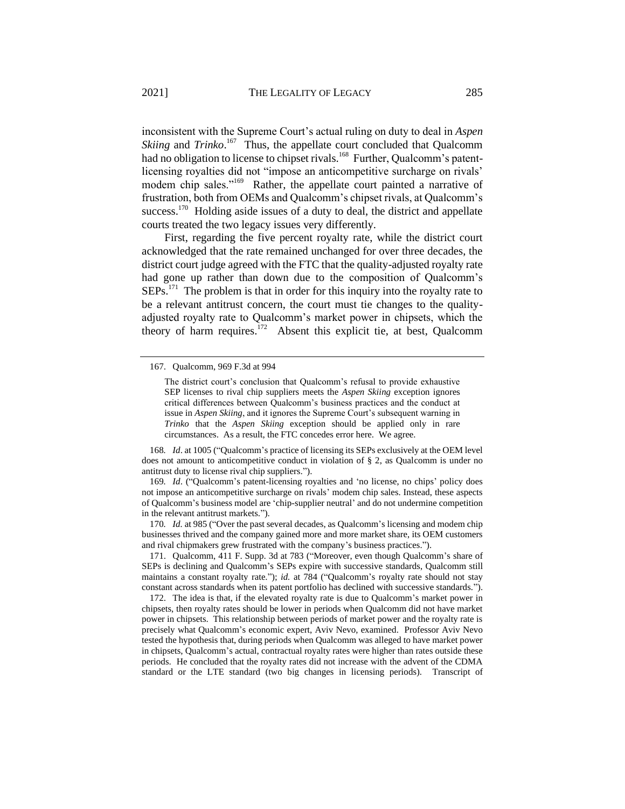inconsistent with the Supreme Court's actual ruling on duty to deal in *Aspen Skiing* and *Trinko*.<sup>167</sup> Thus, the appellate court concluded that Qualcomm had no obligation to license to chipset rivals.<sup>168</sup> Further, Qualcomm's patentlicensing royalties did not "impose an anticompetitive surcharge on rivals' modem chip sales."<sup>169</sup> Rather, the appellate court painted a narrative of frustration, both from OEMs and Qualcomm's chipset rivals, at Qualcomm's success.<sup>170</sup> Holding aside issues of a duty to deal, the district and appellate courts treated the two legacy issues very differently.

First, regarding the five percent royalty rate, while the district court acknowledged that the rate remained unchanged for over three decades, the district court judge agreed with the FTC that the quality-adjusted royalty rate had gone up rather than down due to the composition of Qualcomm's  $SEPs$ <sup>171</sup> The problem is that in order for this inquiry into the royalty rate to be a relevant antitrust concern, the court must tie changes to the qualityadjusted royalty rate to Qualcomm's market power in chipsets, which the theory of harm requires.<sup>172</sup> Absent this explicit tie, at best, Qualcomm

168*. Id*. at 1005 ("Qualcomm's practice of licensing its SEPs exclusively at the OEM level does not amount to anticompetitive conduct in violation of  $\S$  2, as Qualcomm is under no antitrust duty to license rival chip suppliers.").

169*. Id*. ("Qualcomm's patent-licensing royalties and 'no license, no chips' policy does not impose an anticompetitive surcharge on rivals' modem chip sales. Instead, these aspects of Qualcomm's business model are 'chip-supplier neutral' and do not undermine competition in the relevant antitrust markets.").

170*. Id.* at 985 ("Over the past several decades, as Qualcomm's licensing and modem chip businesses thrived and the company gained more and more market share, its OEM customers and rival chipmakers grew frustrated with the company's business practices.").

171. Qualcomm, 411 F. Supp. 3d at 783 ("Moreover, even though Qualcomm's share of SEPs is declining and Qualcomm's SEPs expire with successive standards, Qualcomm still maintains a constant royalty rate."); *id.* at 784 ("Qualcomm's royalty rate should not stay constant across standards when its patent portfolio has declined with successive standards.").

172. The idea is that, if the elevated royalty rate is due to Qualcomm's market power in chipsets, then royalty rates should be lower in periods when Qualcomm did not have market power in chipsets. This relationship between periods of market power and the royalty rate is precisely what Qualcomm's economic expert, Aviv Nevo, examined. Professor Aviv Nevo tested the hypothesis that, during periods when Qualcomm was alleged to have market power in chipsets, Qualcomm's actual, contractual royalty rates were higher than rates outside these periods. He concluded that the royalty rates did not increase with the advent of the CDMA standard or the LTE standard (two big changes in licensing periods). Transcript of

<sup>167.</sup> Qualcomm, 969 F.3d at 994

The district court's conclusion that Qualcomm's refusal to provide exhaustive SEP licenses to rival chip suppliers meets the *Aspen Skiing* exception ignores critical differences between Qualcomm's business practices and the conduct at issue in *Aspen Skiing*, and it ignores the Supreme Court's subsequent warning in *Trinko* that the *Aspen Skiing* exception should be applied only in rare circumstances. As a result, the FTC concedes error here. We agree.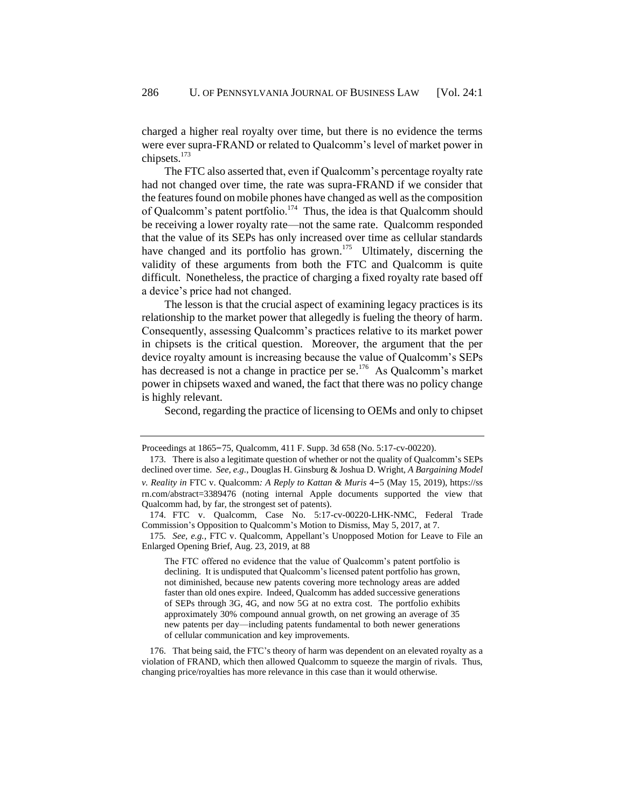charged a higher real royalty over time, but there is no evidence the terms were ever supra-FRAND or related to Qualcomm's level of market power in chipsets. $173$ 

The FTC also asserted that, even if Qualcomm's percentage royalty rate had not changed over time, the rate was supra-FRAND if we consider that the features found on mobile phones have changed as well as the composition of Qualcomm's patent portfolio.<sup>174</sup> Thus, the idea is that Qualcomm should be receiving a lower royalty rate—not the same rate. Qualcomm responded that the value of its SEPs has only increased over time as cellular standards have changed and its portfolio has grown.<sup>175</sup> Ultimately, discerning the validity of these arguments from both the FTC and Qualcomm is quite difficult. Nonetheless, the practice of charging a fixed royalty rate based off a device's price had not changed.

The lesson is that the crucial aspect of examining legacy practices is its relationship to the market power that allegedly is fueling the theory of harm. Consequently, assessing Qualcomm's practices relative to its market power in chipsets is the critical question. Moreover, the argument that the per device royalty amount is increasing because the value of Qualcomm's SEPs has decreased is not a change in practice per se.<sup>176</sup> As Qualcomm's market power in chipsets waxed and waned, the fact that there was no policy change is highly relevant.

Second, regarding the practice of licensing to OEMs and only to chipset

The FTC offered no evidence that the value of Qualcomm's patent portfolio is declining. It is undisputed that Qualcomm's licensed patent portfolio has grown, not diminished, because new patents covering more technology areas are added faster than old ones expire. Indeed, Qualcomm has added successive generations of SEPs through 3G, 4G, and now 5G at no extra cost. The portfolio exhibits approximately 30% compound annual growth, on net growing an average of 35 new patents per day—including patents fundamental to both newer generations of cellular communication and key improvements.

176. That being said, the FTC's theory of harm was dependent on an elevated royalty as a violation of FRAND, which then allowed Qualcomm to squeeze the margin of rivals. Thus, changing price/royalties has more relevance in this case than it would otherwise.

Proceedings at 1865–75, Qualcomm, 411 F. Supp. 3d 658 (No. 5:17-cv-00220).

<sup>173.</sup> There is also a legitimate question of whether or not the quality of Qualcomm's SEPs declined over time. *See, e.g.*, Douglas H. Ginsburg & Joshua D. Wright, *A Bargaining Model v. Reality in* FTC v. Qualcomm*: A Reply to Kattan & Muris* 4–5 (May 15, 2019), https://ss rn.com/abstract=3389476 (noting internal Apple documents supported the view that Qualcomm had, by far, the strongest set of patents).

<sup>174.</sup> FTC v. Qualcomm, Case No. 5:17-cv-00220-LHK-NMC, Federal Trade Commission's Opposition to Qualcomm's Motion to Dismiss, May 5, 2017, at 7.

<sup>175</sup>*. See, e.g.*, FTC v. Qualcomm, Appellant's Unopposed Motion for Leave to File an Enlarged Opening Brief, Aug. 23, 2019, at 88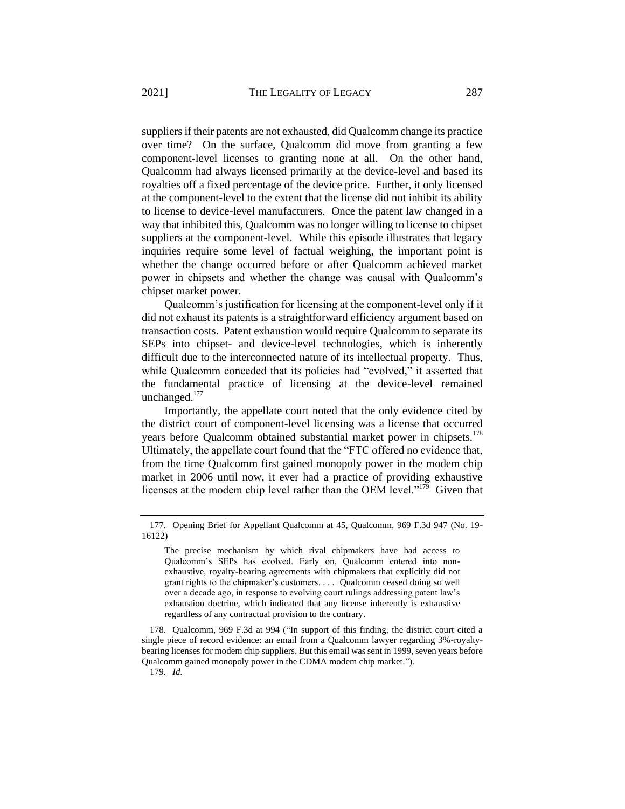suppliers if their patents are not exhausted, did Qualcomm change its practice over time? On the surface, Qualcomm did move from granting a few component-level licenses to granting none at all. On the other hand, Qualcomm had always licensed primarily at the device-level and based its royalties off a fixed percentage of the device price. Further, it only licensed at the component-level to the extent that the license did not inhibit its ability to license to device-level manufacturers. Once the patent law changed in a way that inhibited this, Qualcomm was no longer willing to license to chipset suppliers at the component-level. While this episode illustrates that legacy inquiries require some level of factual weighing, the important point is whether the change occurred before or after Qualcomm achieved market power in chipsets and whether the change was causal with Qualcomm's chipset market power.

Qualcomm's justification for licensing at the component-level only if it did not exhaust its patents is a straightforward efficiency argument based on transaction costs. Patent exhaustion would require Qualcomm to separate its SEPs into chipset- and device-level technologies, which is inherently difficult due to the interconnected nature of its intellectual property. Thus, while Qualcomm conceded that its policies had "evolved," it asserted that the fundamental practice of licensing at the device-level remained unchanged.<sup>177</sup>

Importantly, the appellate court noted that the only evidence cited by the district court of component-level licensing was a license that occurred years before Qualcomm obtained substantial market power in chipsets.<sup>178</sup> Ultimately, the appellate court found that the "FTC offered no evidence that, from the time Qualcomm first gained monopoly power in the modem chip market in 2006 until now, it ever had a practice of providing exhaustive licenses at the modem chip level rather than the OEM level."<sup>179</sup> Given that

<sup>177.</sup> Opening Brief for Appellant Qualcomm at 45, Qualcomm, 969 F.3d 947 (No. 19- 16122)

The precise mechanism by which rival chipmakers have had access to Qualcomm's SEPs has evolved. Early on, Qualcomm entered into nonexhaustive, royalty-bearing agreements with chipmakers that explicitly did not grant rights to the chipmaker's customers. . . . Qualcomm ceased doing so well over a decade ago, in response to evolving court rulings addressing patent law's exhaustion doctrine, which indicated that any license inherently is exhaustive regardless of any contractual provision to the contrary.

<sup>178.</sup> Qualcomm, 969 F.3d at 994 ("In support of this finding, the district court cited a single piece of record evidence: an email from a Qualcomm lawyer regarding 3%-royaltybearing licenses for modem chip suppliers. But this email was sent in 1999, seven years before Qualcomm gained monopoly power in the CDMA modem chip market.").

<sup>179</sup>*. Id.*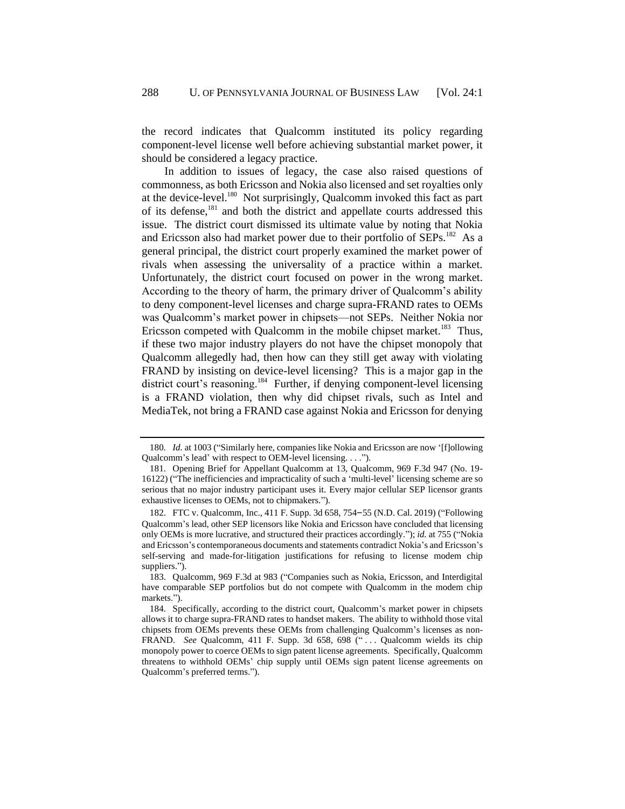the record indicates that Qualcomm instituted its policy regarding component-level license well before achieving substantial market power, it should be considered a legacy practice.

In addition to issues of legacy, the case also raised questions of commonness, as both Ericsson and Nokia also licensed and set royalties only at the device-level.<sup>180</sup> Not surprisingly, Qualcomm invoked this fact as part of its defense, $^{181}$  and both the district and appellate courts addressed this issue. The district court dismissed its ultimate value by noting that Nokia and Ericsson also had market power due to their portfolio of SEPs.<sup>182</sup> As a general principal, the district court properly examined the market power of rivals when assessing the universality of a practice within a market. Unfortunately, the district court focused on power in the wrong market. According to the theory of harm, the primary driver of Qualcomm's ability to deny component-level licenses and charge supra-FRAND rates to OEMs was Qualcomm's market power in chipsets—not SEPs. Neither Nokia nor Ericsson competed with Qualcomm in the mobile chipset market.<sup>183</sup> Thus, if these two major industry players do not have the chipset monopoly that Qualcomm allegedly had, then how can they still get away with violating FRAND by insisting on device-level licensing? This is a major gap in the district court's reasoning.<sup>184</sup> Further, if denying component-level licensing is a FRAND violation, then why did chipset rivals, such as Intel and MediaTek, not bring a FRAND case against Nokia and Ericsson for denying

<sup>180.</sup> *Id.* at 1003 ("Similarly here, companies like Nokia and Ericsson are now '[f]ollowing Qualcomm's lead' with respect to OEM-level licensing. . . .").

<sup>181.</sup> Opening Brief for Appellant Qualcomm at 13, Qualcomm, 969 F.3d 947 (No. 19- 16122) ("The inefficiencies and impracticality of such a 'multi-level' licensing scheme are so serious that no major industry participant uses it. Every major cellular SEP licensor grants exhaustive licenses to OEMs, not to chipmakers.").

<sup>182.</sup> FTC v. Qualcomm, Inc., 411 F. Supp. 3d 658, 754–55 (N.D. Cal. 2019) ("Following Qualcomm's lead, other SEP licensors like Nokia and Ericsson have concluded that licensing only OEMs is more lucrative, and structured their practices accordingly."); *id.* at 755 ("Nokia and Ericsson's contemporaneous documents and statements contradict Nokia's and Ericsson's self-serving and made-for-litigation justifications for refusing to license modem chip suppliers.").

<sup>183.</sup> Qualcomm, 969 F.3d at 983 ("Companies such as Nokia, Ericsson, and Interdigital have comparable SEP portfolios but do not compete with Qualcomm in the modem chip markets.").

<sup>184.</sup> Specifically, according to the district court, Qualcomm's market power in chipsets allows it to charge supra-FRAND rates to handset makers. The ability to withhold those vital chipsets from OEMs prevents these OEMs from challenging Qualcomm's licenses as non-FRAND. See Qualcomm, 411 F. Supp. 3d 658, 698 (" . . . Qualcomm wields its chip monopoly power to coerce OEMs to sign patent license agreements. Specifically, Qualcomm threatens to withhold OEMs' chip supply until OEMs sign patent license agreements on Qualcomm's preferred terms.").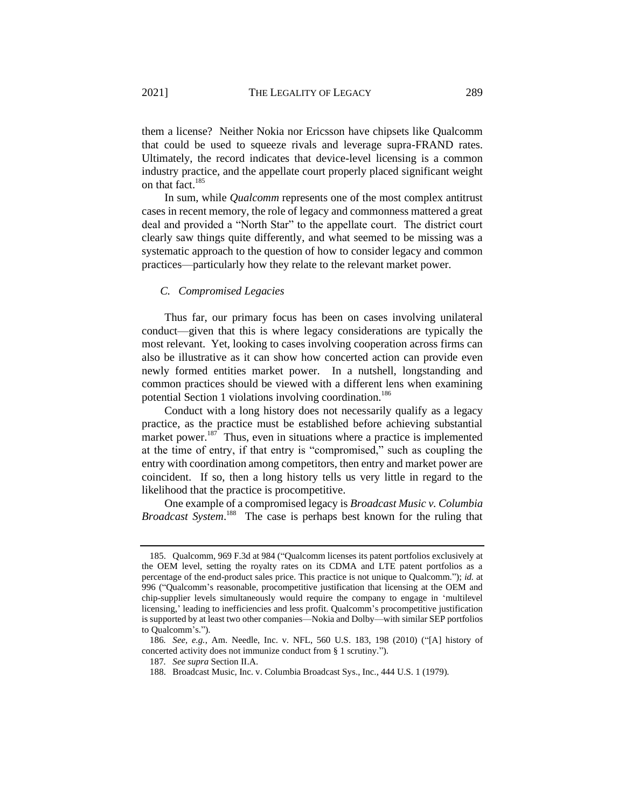them a license? Neither Nokia nor Ericsson have chipsets like Qualcomm that could be used to squeeze rivals and leverage supra-FRAND rates. Ultimately, the record indicates that device-level licensing is a common industry practice, and the appellate court properly placed significant weight on that fact.<sup>185</sup>

In sum, while *Qualcomm* represents one of the most complex antitrust cases in recent memory, the role of legacy and commonness mattered a great deal and provided a "North Star" to the appellate court. The district court clearly saw things quite differently, and what seemed to be missing was a systematic approach to the question of how to consider legacy and common practices—particularly how they relate to the relevant market power.

### <span id="page-45-0"></span>*C. Compromised Legacies*

Thus far, our primary focus has been on cases involving unilateral conduct—given that this is where legacy considerations are typically the most relevant. Yet, looking to cases involving cooperation across firms can also be illustrative as it can show how concerted action can provide even newly formed entities market power. In a nutshell, longstanding and common practices should be viewed with a different lens when examining potential Section 1 violations involving coordination.<sup>186</sup>

Conduct with a long history does not necessarily qualify as a legacy practice, as the practice must be established before achieving substantial market power.<sup>187</sup> Thus, even in situations where a practice is implemented at the time of entry, if that entry is "compromised," such as coupling the entry with coordination among competitors, then entry and market power are coincident. If so, then a long history tells us very little in regard to the likelihood that the practice is procompetitive.

One example of a compromised legacy is *Broadcast Music v. Columbia*  Broadcast System.<sup>188</sup> The case is perhaps best known for the ruling that

<sup>185.</sup> Qualcomm, 969 F.3d at 984 ("Qualcomm licenses its patent portfolios exclusively at the OEM level, setting the royalty rates on its CDMA and LTE patent portfolios as a percentage of the end-product sales price. This practice is not unique to Qualcomm."); *id.* at 996 ("Qualcomm's reasonable, procompetitive justification that licensing at the OEM and chip-supplier levels simultaneously would require the company to engage in 'multilevel licensing,' leading to inefficiencies and less profit. Qualcomm's procompetitive justification is supported by at least two other companies—Nokia and Dolby—with similar SEP portfolios to Qualcomm's.").

<sup>186</sup>*. See, e.g.*, Am. Needle, Inc. v. NFL, 560 U.S. 183, 198 (2010) ("[A] history of concerted activity does not immunize conduct from § 1 scrutiny.").

<sup>187</sup>*. See supra* Section I[I.A.](#page-15-0)

<sup>188.</sup> Broadcast Music, Inc. v. Columbia Broadcast Sys., Inc., 444 U.S. 1 (1979).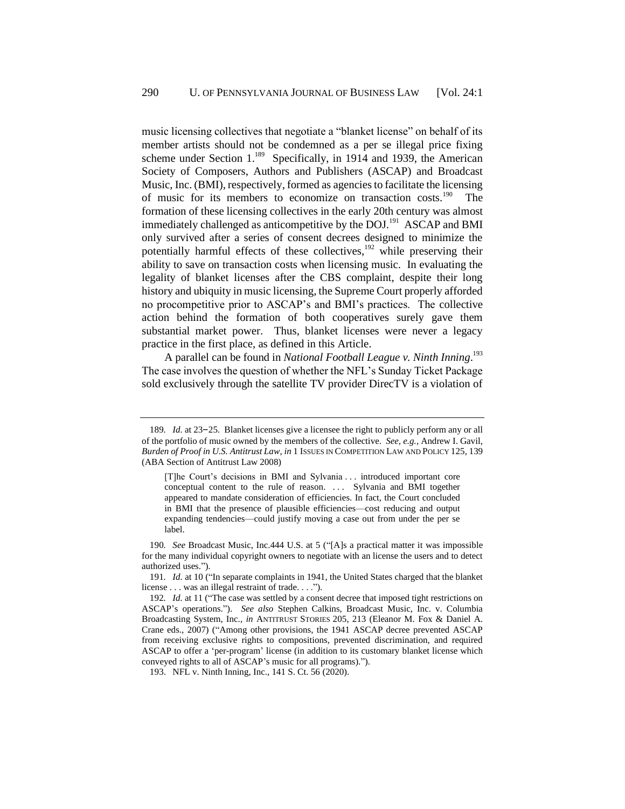music licensing collectives that negotiate a "blanket license" on behalf of its member artists should not be condemned as a per se illegal price fixing scheme under Section  $1.^{189}$  Specifically, in 1914 and 1939, the American Society of Composers, Authors and Publishers (ASCAP) and Broadcast Music, Inc. (BMI), respectively, formed as agencies to facilitate the licensing of music for its members to economize on transaction costs.<sup>190</sup> The formation of these licensing collectives in the early 20th century was almost immediately challenged as anticompetitive by the  $DOL^{191}$  ASCAP and BMI only survived after a series of consent decrees designed to minimize the potentially harmful effects of these collectives,<sup>192</sup> while preserving their ability to save on transaction costs when licensing music. In evaluating the legality of blanket licenses after the CBS complaint, despite their long history and ubiquity in music licensing, the Supreme Court properly afforded no procompetitive prior to ASCAP's and BMI's practices. The collective action behind the formation of both cooperatives surely gave them substantial market power. Thus, blanket licenses were never a legacy practice in the first place, as defined in this Article.

A parallel can be found in *National Football League v. Ninth Inning*. 193 The case involves the question of whether the NFL's Sunday Ticket Package sold exclusively through the satellite TV provider DirecTV is a violation of

<sup>189</sup>*. Id.* at 23–25. Blanket licenses give a licensee the right to publicly perform any or all of the portfolio of music owned by the members of the collective. *See, e.g.*, Andrew I. Gavil, *Burden of Proof in U.S. Antitrust Law*, *in* 1 ISSUES IN COMPETITION LAW AND POLICY 125, 139 (ABA Section of Antitrust Law 2008)

<sup>[</sup>T]he Court's decisions in BMI and Sylvania . . . introduced important core conceptual content to the rule of reason. ... Sylvania and BMI together appeared to mandate consideration of efficiencies. In fact, the Court concluded in BMI that the presence of plausible efficiencies—cost reducing and output expanding tendencies—could justify moving a case out from under the per se label.

<sup>190</sup>*. See* Broadcast Music, Inc.444 U.S. at 5 ("[A]s a practical matter it was impossible for the many individual copyright owners to negotiate with an license the users and to detect authorized uses.").

<sup>191</sup>*. Id.* at 10 ("In separate complaints in 1941, the United States charged that the blanket license . . . was an illegal restraint of trade. . . .").

<sup>192</sup>*. Id.* at 11 ("The case was settled by a consent decree that imposed tight restrictions on ASCAP's operations."). *See also* Stephen Calkins, Broadcast Music, Inc. v. Columbia Broadcasting System, Inc., *in* ANTITRUST STORIES 205, 213 (Eleanor M. Fox & Daniel A. Crane eds., 2007) ("Among other provisions, the 1941 ASCAP decree prevented ASCAP from receiving exclusive rights to compositions, prevented discrimination, and required ASCAP to offer a 'per-program' license (in addition to its customary blanket license which conveyed rights to all of ASCAP's music for all programs).").

<sup>193.</sup> NFL v. Ninth Inning, Inc., 141 S. Ct. 56 (2020).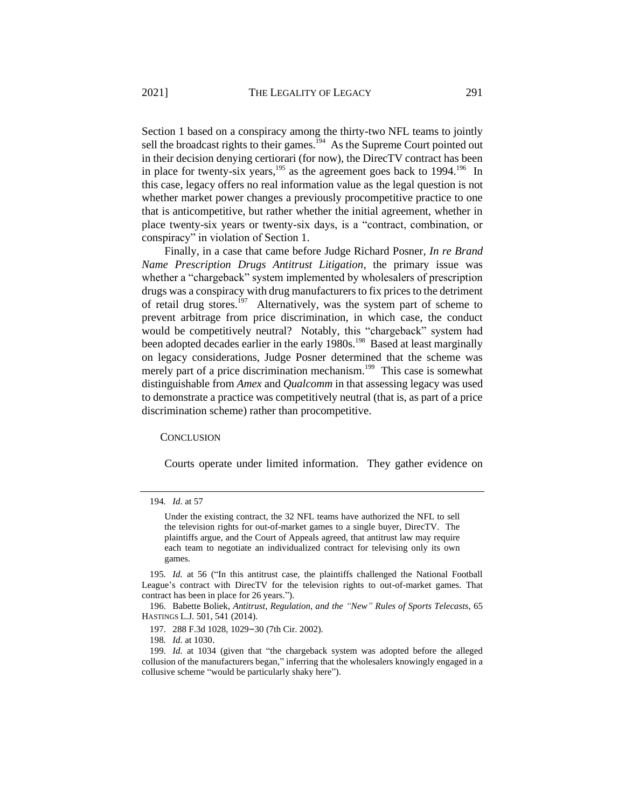Section 1 based on a conspiracy among the thirty-two NFL teams to jointly sell the broadcast rights to their games. $194$  As the Supreme Court pointed out in their decision denying certiorari (for now), the DirecTV contract has been in place for twenty-six years,  $195$  as the agreement goes back to 1994.<sup>196</sup> In this case, legacy offers no real information value as the legal question is not whether market power changes a previously procompetitive practice to one that is anticompetitive, but rather whether the initial agreement, whether in place twenty-six years or twenty-six days, is a "contract, combination, or conspiracy" in violation of Section 1.

Finally, in a case that came before Judge Richard Posner, *In re Brand Name Prescription Drugs Antitrust Litigation*, the primary issue was whether a "chargeback" system implemented by wholesalers of prescription drugs was a conspiracy with drug manufacturers to fix prices to the detriment of retail drug stores.<sup>197</sup> Alternatively, was the system part of scheme to prevent arbitrage from price discrimination, in which case, the conduct would be competitively neutral? Notably, this "chargeback" system had been adopted decades earlier in the early 1980s.<sup>198</sup> Based at least marginally on legacy considerations, Judge Posner determined that the scheme was merely part of a price discrimination mechanism.<sup>199</sup> This case is somewhat distinguishable from *Amex* and *Qualcomm* in that assessing legacy was used to demonstrate a practice was competitively neutral (that is, as part of a price discrimination scheme) rather than procompetitive.

### **CONCLUSION**

Courts operate under limited information. They gather evidence on

<sup>194</sup>*. Id*. at 57

Under the existing contract, the 32 NFL teams have authorized the NFL to sell the television rights for out-of-market games to a single buyer, DirecTV. The plaintiffs argue, and the Court of Appeals agreed, that antitrust law may require each team to negotiate an individualized contract for televising only its own games.

<sup>195</sup>*. Id.* at 56 ("In this antitrust case, the plaintiffs challenged the National Football League's contract with DirecTV for the television rights to out-of-market games. That contract has been in place for 26 years.").

<sup>196.</sup> Babette Boliek, *Antitrust, Regulation, and the "New" Rules of Sports Telecasts*, 65 HASTINGS L.J. 501, 541 (2014).

<sup>197.</sup> 288 F.3d 1028, 1029–30 (7th Cir. 2002).

<sup>198</sup>*. Id.* at 1030.

<sup>199</sup>*. Id.* at 1034 (given that "the chargeback system was adopted before the alleged collusion of the manufacturers began," inferring that the wholesalers knowingly engaged in a collusive scheme "would be particularly shaky here").